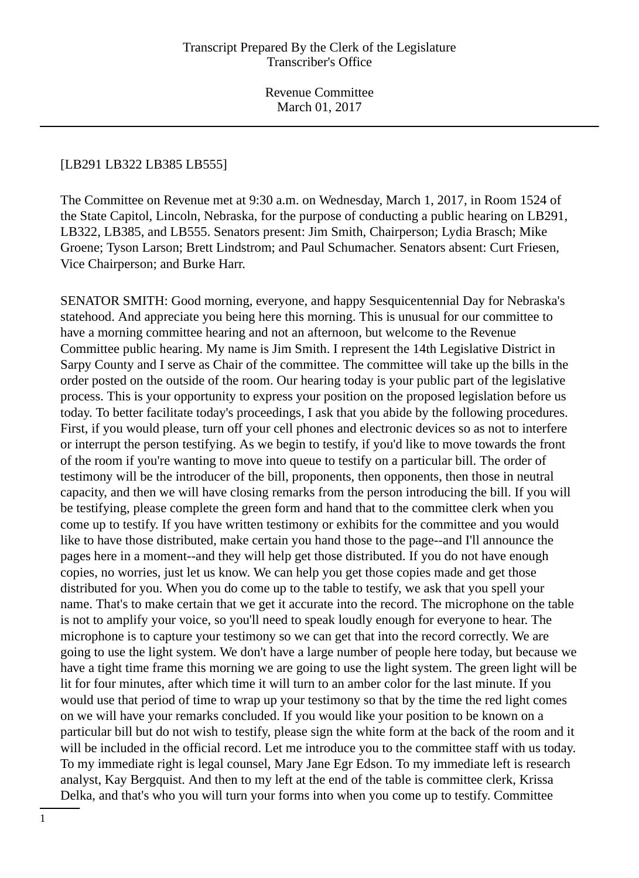#### [LB291 LB322 LB385 LB555]

The Committee on Revenue met at 9:30 a.m. on Wednesday, March 1, 2017, in Room 1524 of the State Capitol, Lincoln, Nebraska, for the purpose of conducting a public hearing on LB291, LB322, LB385, and LB555. Senators present: Jim Smith, Chairperson; Lydia Brasch; Mike Groene; Tyson Larson; Brett Lindstrom; and Paul Schumacher. Senators absent: Curt Friesen, Vice Chairperson; and Burke Harr.

SENATOR SMITH: Good morning, everyone, and happy Sesquicentennial Day for Nebraska's statehood. And appreciate you being here this morning. This is unusual for our committee to have a morning committee hearing and not an afternoon, but welcome to the Revenue Committee public hearing. My name is Jim Smith. I represent the 14th Legislative District in Sarpy County and I serve as Chair of the committee. The committee will take up the bills in the order posted on the outside of the room. Our hearing today is your public part of the legislative process. This is your opportunity to express your position on the proposed legislation before us today. To better facilitate today's proceedings, I ask that you abide by the following procedures. First, if you would please, turn off your cell phones and electronic devices so as not to interfere or interrupt the person testifying. As we begin to testify, if you'd like to move towards the front of the room if you're wanting to move into queue to testify on a particular bill. The order of testimony will be the introducer of the bill, proponents, then opponents, then those in neutral capacity, and then we will have closing remarks from the person introducing the bill. If you will be testifying, please complete the green form and hand that to the committee clerk when you come up to testify. If you have written testimony or exhibits for the committee and you would like to have those distributed, make certain you hand those to the page--and I'll announce the pages here in a moment--and they will help get those distributed. If you do not have enough copies, no worries, just let us know. We can help you get those copies made and get those distributed for you. When you do come up to the table to testify, we ask that you spell your name. That's to make certain that we get it accurate into the record. The microphone on the table is not to amplify your voice, so you'll need to speak loudly enough for everyone to hear. The microphone is to capture your testimony so we can get that into the record correctly. We are going to use the light system. We don't have a large number of people here today, but because we have a tight time frame this morning we are going to use the light system. The green light will be lit for four minutes, after which time it will turn to an amber color for the last minute. If you would use that period of time to wrap up your testimony so that by the time the red light comes on we will have your remarks concluded. If you would like your position to be known on a particular bill but do not wish to testify, please sign the white form at the back of the room and it will be included in the official record. Let me introduce you to the committee staff with us today. To my immediate right is legal counsel, Mary Jane Egr Edson. To my immediate left is research analyst, Kay Bergquist. And then to my left at the end of the table is committee clerk, Krissa Delka, and that's who you will turn your forms into when you come up to testify. Committee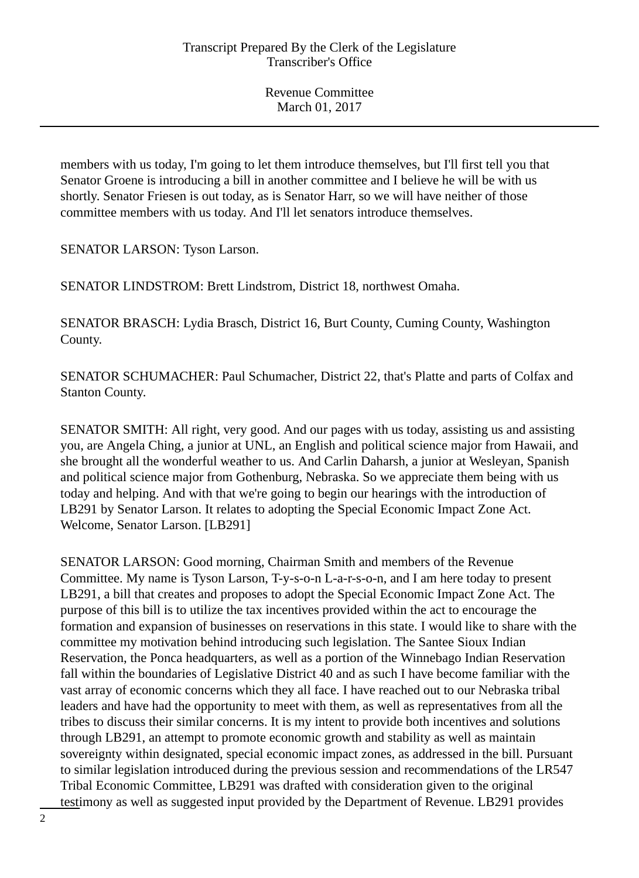members with us today, I'm going to let them introduce themselves, but I'll first tell you that Senator Groene is introducing a bill in another committee and I believe he will be with us shortly. Senator Friesen is out today, as is Senator Harr, so we will have neither of those committee members with us today. And I'll let senators introduce themselves.

SENATOR LARSON: Tyson Larson.

SENATOR LINDSTROM: Brett Lindstrom, District 18, northwest Omaha.

SENATOR BRASCH: Lydia Brasch, District 16, Burt County, Cuming County, Washington County.

SENATOR SCHUMACHER: Paul Schumacher, District 22, that's Platte and parts of Colfax and Stanton County.

SENATOR SMITH: All right, very good. And our pages with us today, assisting us and assisting you, are Angela Ching, a junior at UNL, an English and political science major from Hawaii, and she brought all the wonderful weather to us. And Carlin Daharsh, a junior at Wesleyan, Spanish and political science major from Gothenburg, Nebraska. So we appreciate them being with us today and helping. And with that we're going to begin our hearings with the introduction of LB291 by Senator Larson. It relates to adopting the Special Economic Impact Zone Act. Welcome, Senator Larson. [LB291]

SENATOR LARSON: Good morning, Chairman Smith and members of the Revenue Committee. My name is Tyson Larson, T-y-s-o-n L-a-r-s-o-n, and I am here today to present LB291, a bill that creates and proposes to adopt the Special Economic Impact Zone Act. The purpose of this bill is to utilize the tax incentives provided within the act to encourage the formation and expansion of businesses on reservations in this state. I would like to share with the committee my motivation behind introducing such legislation. The Santee Sioux Indian Reservation, the Ponca headquarters, as well as a portion of the Winnebago Indian Reservation fall within the boundaries of Legislative District 40 and as such I have become familiar with the vast array of economic concerns which they all face. I have reached out to our Nebraska tribal leaders and have had the opportunity to meet with them, as well as representatives from all the tribes to discuss their similar concerns. It is my intent to provide both incentives and solutions through LB291, an attempt to promote economic growth and stability as well as maintain sovereignty within designated, special economic impact zones, as addressed in the bill. Pursuant to similar legislation introduced during the previous session and recommendations of the LR547 Tribal Economic Committee, LB291 was drafted with consideration given to the original testimony as well as suggested input provided by the Department of Revenue. LB291 provides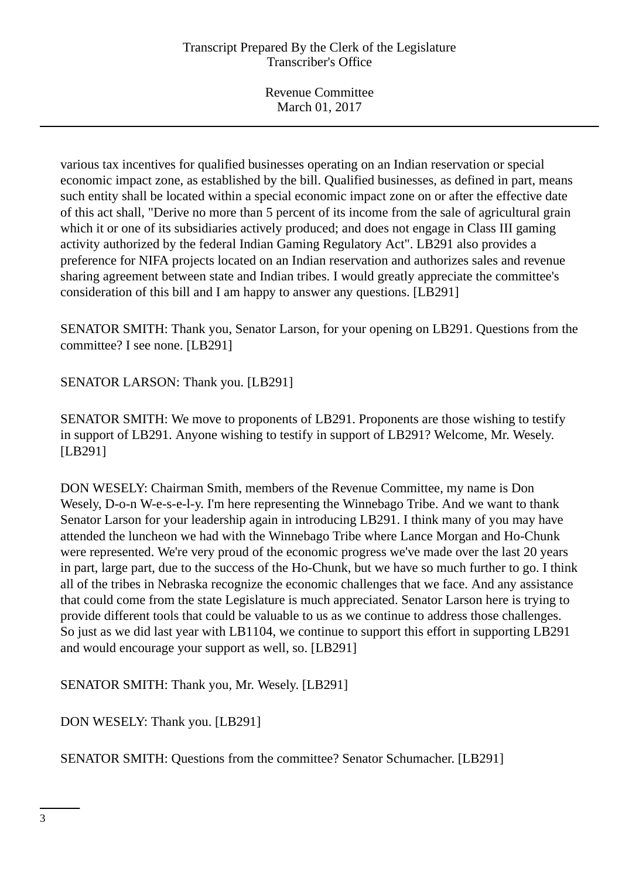various tax incentives for qualified businesses operating on an Indian reservation or special economic impact zone, as established by the bill. Qualified businesses, as defined in part, means such entity shall be located within a special economic impact zone on or after the effective date of this act shall, "Derive no more than 5 percent of its income from the sale of agricultural grain which it or one of its subsidiaries actively produced; and does not engage in Class III gaming activity authorized by the federal Indian Gaming Regulatory Act". LB291 also provides a preference for NIFA projects located on an Indian reservation and authorizes sales and revenue sharing agreement between state and Indian tribes. I would greatly appreciate the committee's consideration of this bill and I am happy to answer any questions. [LB291]

SENATOR SMITH: Thank you, Senator Larson, for your opening on LB291. Questions from the committee? I see none. [LB291]

SENATOR LARSON: Thank you. [LB291]

SENATOR SMITH: We move to proponents of LB291. Proponents are those wishing to testify in support of LB291. Anyone wishing to testify in support of LB291? Welcome, Mr. Wesely. [LB291]

DON WESELY: Chairman Smith, members of the Revenue Committee, my name is Don Wesely, D-o-n W-e-s-e-l-y. I'm here representing the Winnebago Tribe. And we want to thank Senator Larson for your leadership again in introducing LB291. I think many of you may have attended the luncheon we had with the Winnebago Tribe where Lance Morgan and Ho-Chunk were represented. We're very proud of the economic progress we've made over the last 20 years in part, large part, due to the success of the Ho-Chunk, but we have so much further to go. I think all of the tribes in Nebraska recognize the economic challenges that we face. And any assistance that could come from the state Legislature is much appreciated. Senator Larson here is trying to provide different tools that could be valuable to us as we continue to address those challenges. So just as we did last year with LB1104, we continue to support this effort in supporting LB291 and would encourage your support as well, so. [LB291]

SENATOR SMITH: Thank you, Mr. Wesely. [LB291]

DON WESELY: Thank you. [LB291]

SENATOR SMITH: Questions from the committee? Senator Schumacher. [LB291]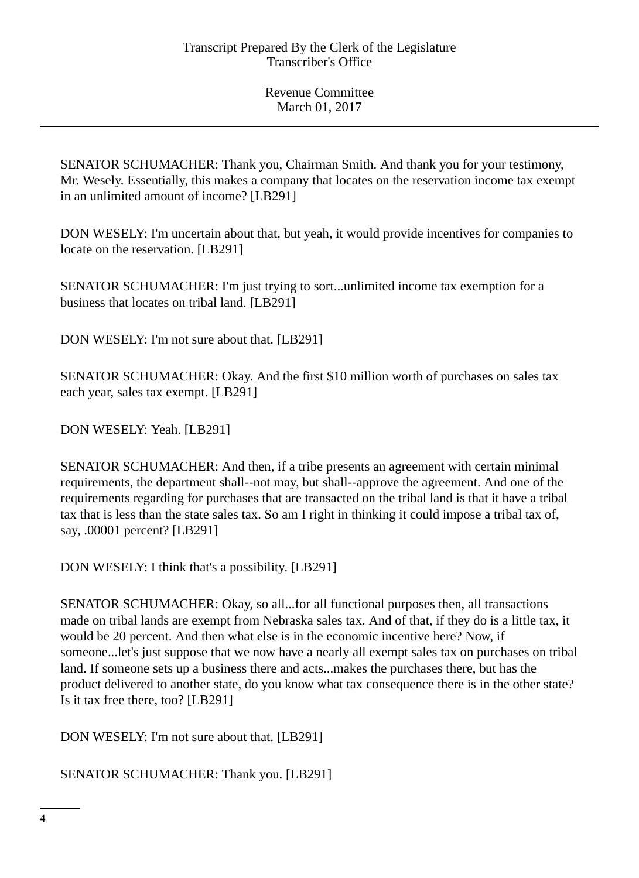SENATOR SCHUMACHER: Thank you, Chairman Smith. And thank you for your testimony, Mr. Wesely. Essentially, this makes a company that locates on the reservation income tax exempt in an unlimited amount of income? [LB291]

DON WESELY: I'm uncertain about that, but yeah, it would provide incentives for companies to locate on the reservation. [LB291]

SENATOR SCHUMACHER: I'm just trying to sort...unlimited income tax exemption for a business that locates on tribal land. [LB291]

DON WESELY: I'm not sure about that. [LB291]

SENATOR SCHUMACHER: Okay. And the first \$10 million worth of purchases on sales tax each year, sales tax exempt. [LB291]

DON WESELY: Yeah. [LB291]

SENATOR SCHUMACHER: And then, if a tribe presents an agreement with certain minimal requirements, the department shall--not may, but shall--approve the agreement. And one of the requirements regarding for purchases that are transacted on the tribal land is that it have a tribal tax that is less than the state sales tax. So am I right in thinking it could impose a tribal tax of, say, .00001 percent? [LB291]

DON WESELY: I think that's a possibility. [LB291]

SENATOR SCHUMACHER: Okay, so all...for all functional purposes then, all transactions made on tribal lands are exempt from Nebraska sales tax. And of that, if they do is a little tax, it would be 20 percent. And then what else is in the economic incentive here? Now, if someone...let's just suppose that we now have a nearly all exempt sales tax on purchases on tribal land. If someone sets up a business there and acts...makes the purchases there, but has the product delivered to another state, do you know what tax consequence there is in the other state? Is it tax free there, too? [LB291]

DON WESELY: I'm not sure about that. [LB291]

SENATOR SCHUMACHER: Thank you. [LB291]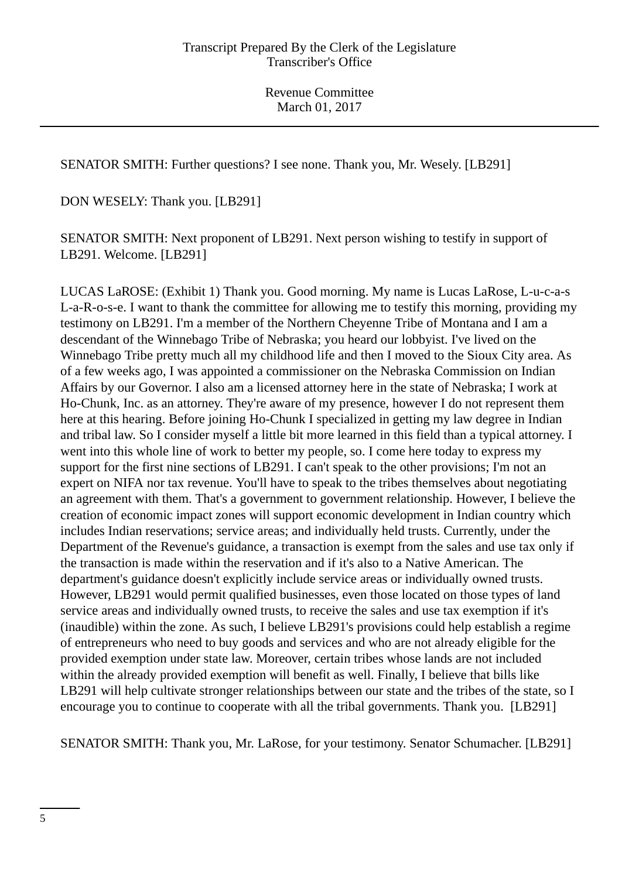SENATOR SMITH: Further questions? I see none. Thank you, Mr. Wesely. [LB291]

DON WESELY: Thank you. [LB291]

SENATOR SMITH: Next proponent of LB291. Next person wishing to testify in support of LB291. Welcome. [LB291]

LUCAS LaROSE: (Exhibit 1) Thank you. Good morning. My name is Lucas LaRose, L-u-c-a-s L-a-R-o-s-e. I want to thank the committee for allowing me to testify this morning, providing my testimony on LB291. I'm a member of the Northern Cheyenne Tribe of Montana and I am a descendant of the Winnebago Tribe of Nebraska; you heard our lobbyist. I've lived on the Winnebago Tribe pretty much all my childhood life and then I moved to the Sioux City area. As of a few weeks ago, I was appointed a commissioner on the Nebraska Commission on Indian Affairs by our Governor. I also am a licensed attorney here in the state of Nebraska; I work at Ho-Chunk, Inc. as an attorney. They're aware of my presence, however I do not represent them here at this hearing. Before joining Ho-Chunk I specialized in getting my law degree in Indian and tribal law. So I consider myself a little bit more learned in this field than a typical attorney. I went into this whole line of work to better my people, so. I come here today to express my support for the first nine sections of LB291. I can't speak to the other provisions; I'm not an expert on NIFA nor tax revenue. You'll have to speak to the tribes themselves about negotiating an agreement with them. That's a government to government relationship. However, I believe the creation of economic impact zones will support economic development in Indian country which includes Indian reservations; service areas; and individually held trusts. Currently, under the Department of the Revenue's guidance, a transaction is exempt from the sales and use tax only if the transaction is made within the reservation and if it's also to a Native American. The department's guidance doesn't explicitly include service areas or individually owned trusts. However, LB291 would permit qualified businesses, even those located on those types of land service areas and individually owned trusts, to receive the sales and use tax exemption if it's (inaudible) within the zone. As such, I believe LB291's provisions could help establish a regime of entrepreneurs who need to buy goods and services and who are not already eligible for the provided exemption under state law. Moreover, certain tribes whose lands are not included within the already provided exemption will benefit as well. Finally, I believe that bills like LB291 will help cultivate stronger relationships between our state and the tribes of the state, so I encourage you to continue to cooperate with all the tribal governments. Thank you. [LB291]

SENATOR SMITH: Thank you, Mr. LaRose, for your testimony. Senator Schumacher. [LB291]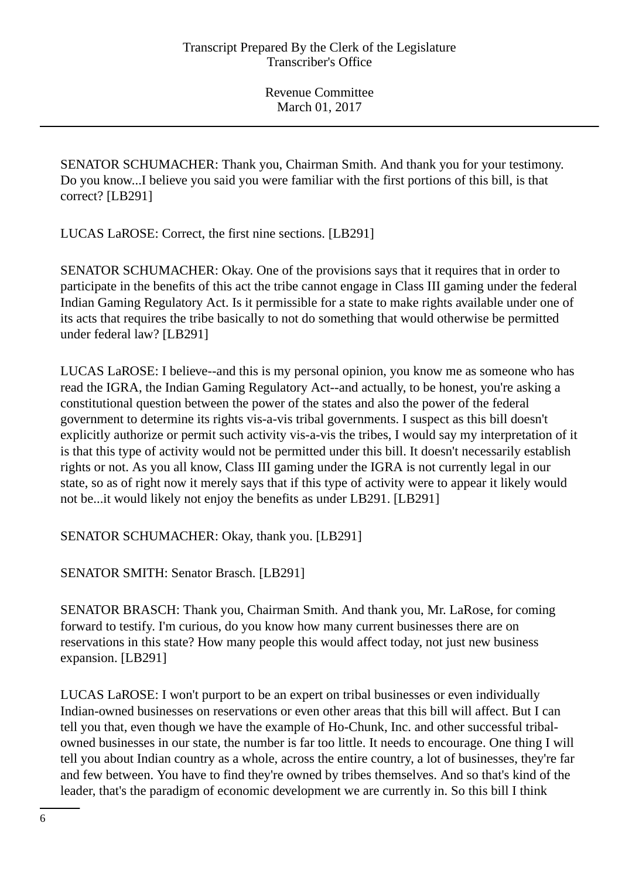SENATOR SCHUMACHER: Thank you, Chairman Smith. And thank you for your testimony. Do you know...I believe you said you were familiar with the first portions of this bill, is that correct? [LB291]

LUCAS LaROSE: Correct, the first nine sections. [LB291]

SENATOR SCHUMACHER: Okay. One of the provisions says that it requires that in order to participate in the benefits of this act the tribe cannot engage in Class III gaming under the federal Indian Gaming Regulatory Act. Is it permissible for a state to make rights available under one of its acts that requires the tribe basically to not do something that would otherwise be permitted under federal law? [LB291]

LUCAS LaROSE: I believe--and this is my personal opinion, you know me as someone who has read the IGRA, the Indian Gaming Regulatory Act--and actually, to be honest, you're asking a constitutional question between the power of the states and also the power of the federal government to determine its rights vis-a-vis tribal governments. I suspect as this bill doesn't explicitly authorize or permit such activity vis-a-vis the tribes, I would say my interpretation of it is that this type of activity would not be permitted under this bill. It doesn't necessarily establish rights or not. As you all know, Class III gaming under the IGRA is not currently legal in our state, so as of right now it merely says that if this type of activity were to appear it likely would not be...it would likely not enjoy the benefits as under LB291. [LB291]

SENATOR SCHUMACHER: Okay, thank you. [LB291]

SENATOR SMITH: Senator Brasch. [LB291]

SENATOR BRASCH: Thank you, Chairman Smith. And thank you, Mr. LaRose, for coming forward to testify. I'm curious, do you know how many current businesses there are on reservations in this state? How many people this would affect today, not just new business expansion. [LB291]

LUCAS LaROSE: I won't purport to be an expert on tribal businesses or even individually Indian-owned businesses on reservations or even other areas that this bill will affect. But I can tell you that, even though we have the example of Ho-Chunk, Inc. and other successful tribalowned businesses in our state, the number is far too little. It needs to encourage. One thing I will tell you about Indian country as a whole, across the entire country, a lot of businesses, they're far and few between. You have to find they're owned by tribes themselves. And so that's kind of the leader, that's the paradigm of economic development we are currently in. So this bill I think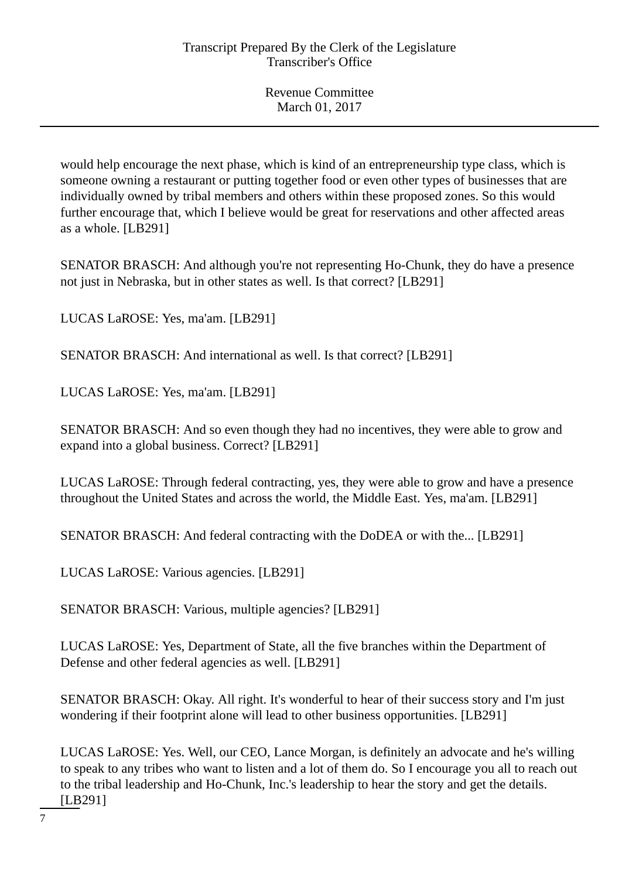would help encourage the next phase, which is kind of an entrepreneurship type class, which is someone owning a restaurant or putting together food or even other types of businesses that are individually owned by tribal members and others within these proposed zones. So this would further encourage that, which I believe would be great for reservations and other affected areas as a whole. [LB291]

SENATOR BRASCH: And although you're not representing Ho-Chunk, they do have a presence not just in Nebraska, but in other states as well. Is that correct? [LB291]

LUCAS LaROSE: Yes, ma'am. [LB291]

SENATOR BRASCH: And international as well. Is that correct? [LB291]

LUCAS LaROSE: Yes, ma'am. [LB291]

SENATOR BRASCH: And so even though they had no incentives, they were able to grow and expand into a global business. Correct? [LB291]

LUCAS LaROSE: Through federal contracting, yes, they were able to grow and have a presence throughout the United States and across the world, the Middle East. Yes, ma'am. [LB291]

SENATOR BRASCH: And federal contracting with the DoDEA or with the... [LB291]

LUCAS LaROSE: Various agencies. [LB291]

SENATOR BRASCH: Various, multiple agencies? [LB291]

LUCAS LaROSE: Yes, Department of State, all the five branches within the Department of Defense and other federal agencies as well. [LB291]

SENATOR BRASCH: Okay. All right. It's wonderful to hear of their success story and I'm just wondering if their footprint alone will lead to other business opportunities. [LB291]

LUCAS LaROSE: Yes. Well, our CEO, Lance Morgan, is definitely an advocate and he's willing to speak to any tribes who want to listen and a lot of them do. So I encourage you all to reach out to the tribal leadership and Ho-Chunk, Inc.'s leadership to hear the story and get the details. [LB291]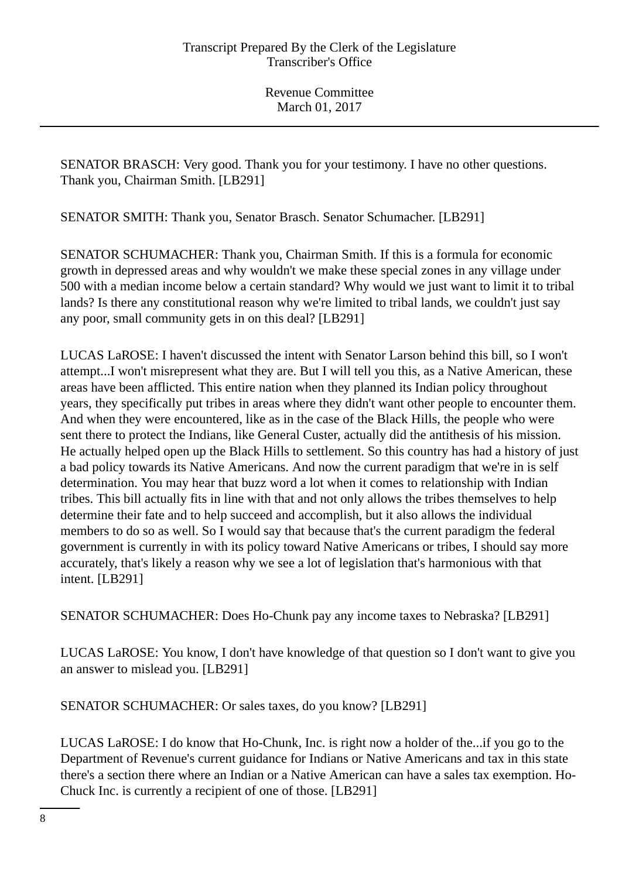SENATOR BRASCH: Very good. Thank you for your testimony. I have no other questions. Thank you, Chairman Smith. [LB291]

SENATOR SMITH: Thank you, Senator Brasch. Senator Schumacher. [LB291]

SENATOR SCHUMACHER: Thank you, Chairman Smith. If this is a formula for economic growth in depressed areas and why wouldn't we make these special zones in any village under 500 with a median income below a certain standard? Why would we just want to limit it to tribal lands? Is there any constitutional reason why we're limited to tribal lands, we couldn't just say any poor, small community gets in on this deal? [LB291]

LUCAS LaROSE: I haven't discussed the intent with Senator Larson behind this bill, so I won't attempt...I won't misrepresent what they are. But I will tell you this, as a Native American, these areas have been afflicted. This entire nation when they planned its Indian policy throughout years, they specifically put tribes in areas where they didn't want other people to encounter them. And when they were encountered, like as in the case of the Black Hills, the people who were sent there to protect the Indians, like General Custer, actually did the antithesis of his mission. He actually helped open up the Black Hills to settlement. So this country has had a history of just a bad policy towards its Native Americans. And now the current paradigm that we're in is self determination. You may hear that buzz word a lot when it comes to relationship with Indian tribes. This bill actually fits in line with that and not only allows the tribes themselves to help determine their fate and to help succeed and accomplish, but it also allows the individual members to do so as well. So I would say that because that's the current paradigm the federal government is currently in with its policy toward Native Americans or tribes, I should say more accurately, that's likely a reason why we see a lot of legislation that's harmonious with that intent. [LB291]

SENATOR SCHUMACHER: Does Ho-Chunk pay any income taxes to Nebraska? [LB291]

LUCAS LaROSE: You know, I don't have knowledge of that question so I don't want to give you an answer to mislead you. [LB291]

SENATOR SCHUMACHER: Or sales taxes, do you know? [LB291]

LUCAS LaROSE: I do know that Ho-Chunk, Inc. is right now a holder of the...if you go to the Department of Revenue's current guidance for Indians or Native Americans and tax in this state there's a section there where an Indian or a Native American can have a sales tax exemption. Ho-Chuck Inc. is currently a recipient of one of those. [LB291]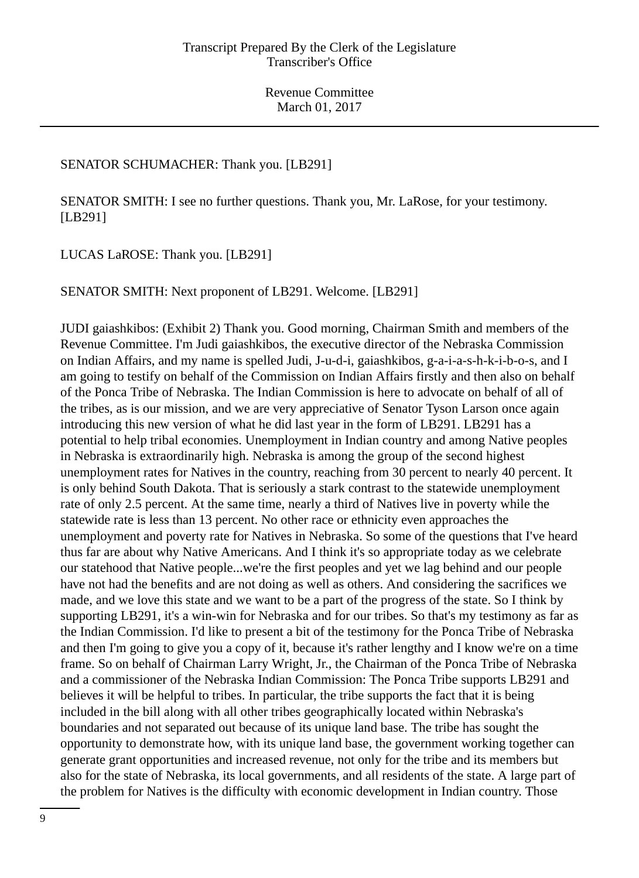## SENATOR SCHUMACHER: Thank you. [LB291]

SENATOR SMITH: I see no further questions. Thank you, Mr. LaRose, for your testimony. [LB291]

LUCAS LaROSE: Thank you. [LB291]

SENATOR SMITH: Next proponent of LB291. Welcome. [LB291]

JUDI gaiashkibos: (Exhibit 2) Thank you. Good morning, Chairman Smith and members of the Revenue Committee. I'm Judi gaiashkibos, the executive director of the Nebraska Commission on Indian Affairs, and my name is spelled Judi, J-u-d-i, gaiashkibos, g-a-i-a-s-h-k-i-b-o-s, and I am going to testify on behalf of the Commission on Indian Affairs firstly and then also on behalf of the Ponca Tribe of Nebraska. The Indian Commission is here to advocate on behalf of all of the tribes, as is our mission, and we are very appreciative of Senator Tyson Larson once again introducing this new version of what he did last year in the form of LB291. LB291 has a potential to help tribal economies. Unemployment in Indian country and among Native peoples in Nebraska is extraordinarily high. Nebraska is among the group of the second highest unemployment rates for Natives in the country, reaching from 30 percent to nearly 40 percent. It is only behind South Dakota. That is seriously a stark contrast to the statewide unemployment rate of only 2.5 percent. At the same time, nearly a third of Natives live in poverty while the statewide rate is less than 13 percent. No other race or ethnicity even approaches the unemployment and poverty rate for Natives in Nebraska. So some of the questions that I've heard thus far are about why Native Americans. And I think it's so appropriate today as we celebrate our statehood that Native people...we're the first peoples and yet we lag behind and our people have not had the benefits and are not doing as well as others. And considering the sacrifices we made, and we love this state and we want to be a part of the progress of the state. So I think by supporting LB291, it's a win-win for Nebraska and for our tribes. So that's my testimony as far as the Indian Commission. I'd like to present a bit of the testimony for the Ponca Tribe of Nebraska and then I'm going to give you a copy of it, because it's rather lengthy and I know we're on a time frame. So on behalf of Chairman Larry Wright, Jr., the Chairman of the Ponca Tribe of Nebraska and a commissioner of the Nebraska Indian Commission: The Ponca Tribe supports LB291 and believes it will be helpful to tribes. In particular, the tribe supports the fact that it is being included in the bill along with all other tribes geographically located within Nebraska's boundaries and not separated out because of its unique land base. The tribe has sought the opportunity to demonstrate how, with its unique land base, the government working together can generate grant opportunities and increased revenue, not only for the tribe and its members but also for the state of Nebraska, its local governments, and all residents of the state. A large part of the problem for Natives is the difficulty with economic development in Indian country. Those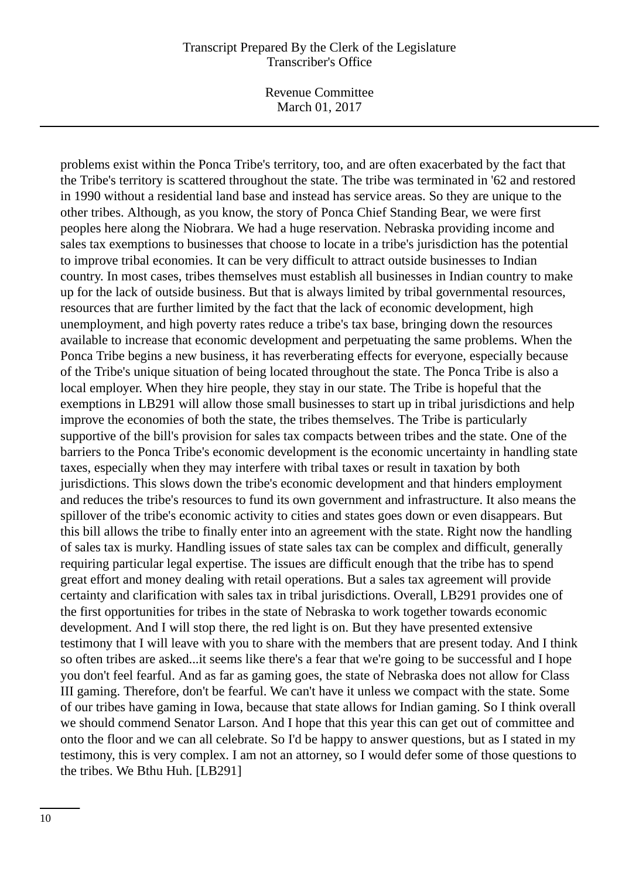Revenue Committee March 01, 2017

problems exist within the Ponca Tribe's territory, too, and are often exacerbated by the fact that the Tribe's territory is scattered throughout the state. The tribe was terminated in '62 and restored in 1990 without a residential land base and instead has service areas. So they are unique to the other tribes. Although, as you know, the story of Ponca Chief Standing Bear, we were first peoples here along the Niobrara. We had a huge reservation. Nebraska providing income and sales tax exemptions to businesses that choose to locate in a tribe's jurisdiction has the potential to improve tribal economies. It can be very difficult to attract outside businesses to Indian country. In most cases, tribes themselves must establish all businesses in Indian country to make up for the lack of outside business. But that is always limited by tribal governmental resources, resources that are further limited by the fact that the lack of economic development, high unemployment, and high poverty rates reduce a tribe's tax base, bringing down the resources available to increase that economic development and perpetuating the same problems. When the Ponca Tribe begins a new business, it has reverberating effects for everyone, especially because of the Tribe's unique situation of being located throughout the state. The Ponca Tribe is also a local employer. When they hire people, they stay in our state. The Tribe is hopeful that the exemptions in LB291 will allow those small businesses to start up in tribal jurisdictions and help improve the economies of both the state, the tribes themselves. The Tribe is particularly supportive of the bill's provision for sales tax compacts between tribes and the state. One of the barriers to the Ponca Tribe's economic development is the economic uncertainty in handling state taxes, especially when they may interfere with tribal taxes or result in taxation by both jurisdictions. This slows down the tribe's economic development and that hinders employment and reduces the tribe's resources to fund its own government and infrastructure. It also means the spillover of the tribe's economic activity to cities and states goes down or even disappears. But this bill allows the tribe to finally enter into an agreement with the state. Right now the handling of sales tax is murky. Handling issues of state sales tax can be complex and difficult, generally requiring particular legal expertise. The issues are difficult enough that the tribe has to spend great effort and money dealing with retail operations. But a sales tax agreement will provide certainty and clarification with sales tax in tribal jurisdictions. Overall, LB291 provides one of the first opportunities for tribes in the state of Nebraska to work together towards economic development. And I will stop there, the red light is on. But they have presented extensive testimony that I will leave with you to share with the members that are present today. And I think so often tribes are asked...it seems like there's a fear that we're going to be successful and I hope you don't feel fearful. And as far as gaming goes, the state of Nebraska does not allow for Class III gaming. Therefore, don't be fearful. We can't have it unless we compact with the state. Some of our tribes have gaming in Iowa, because that state allows for Indian gaming. So I think overall we should commend Senator Larson. And I hope that this year this can get out of committee and onto the floor and we can all celebrate. So I'd be happy to answer questions, but as I stated in my testimony, this is very complex. I am not an attorney, so I would defer some of those questions to the tribes. We Bthu Huh. [LB291]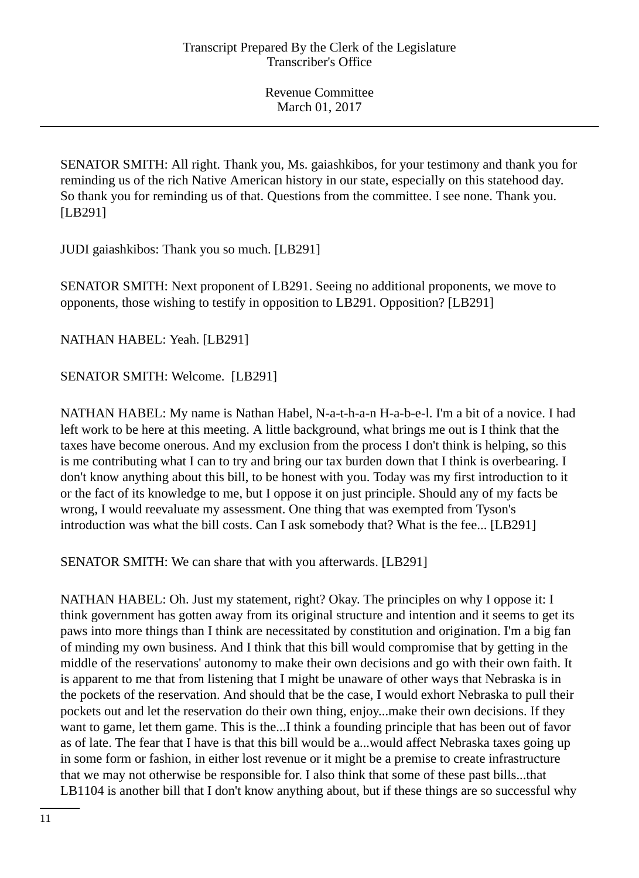SENATOR SMITH: All right. Thank you, Ms. gaiashkibos, for your testimony and thank you for reminding us of the rich Native American history in our state, especially on this statehood day. So thank you for reminding us of that. Questions from the committee. I see none. Thank you. [LB291]

JUDI gaiashkibos: Thank you so much. [LB291]

SENATOR SMITH: Next proponent of LB291. Seeing no additional proponents, we move to opponents, those wishing to testify in opposition to LB291. Opposition? [LB291]

NATHAN HABEL: Yeah. [LB291]

SENATOR SMITH: Welcome. [LB291]

NATHAN HABEL: My name is Nathan Habel, N-a-t-h-a-n H-a-b-e-l. I'm a bit of a novice. I had left work to be here at this meeting. A little background, what brings me out is I think that the taxes have become onerous. And my exclusion from the process I don't think is helping, so this is me contributing what I can to try and bring our tax burden down that I think is overbearing. I don't know anything about this bill, to be honest with you. Today was my first introduction to it or the fact of its knowledge to me, but I oppose it on just principle. Should any of my facts be wrong, I would reevaluate my assessment. One thing that was exempted from Tyson's introduction was what the bill costs. Can I ask somebody that? What is the fee... [LB291]

SENATOR SMITH: We can share that with you afterwards. [LB291]

NATHAN HABEL: Oh. Just my statement, right? Okay. The principles on why I oppose it: I think government has gotten away from its original structure and intention and it seems to get its paws into more things than I think are necessitated by constitution and origination. I'm a big fan of minding my own business. And I think that this bill would compromise that by getting in the middle of the reservations' autonomy to make their own decisions and go with their own faith. It is apparent to me that from listening that I might be unaware of other ways that Nebraska is in the pockets of the reservation. And should that be the case, I would exhort Nebraska to pull their pockets out and let the reservation do their own thing, enjoy...make their own decisions. If they want to game, let them game. This is the...I think a founding principle that has been out of favor as of late. The fear that I have is that this bill would be a...would affect Nebraska taxes going up in some form or fashion, in either lost revenue or it might be a premise to create infrastructure that we may not otherwise be responsible for. I also think that some of these past bills...that LB1104 is another bill that I don't know anything about, but if these things are so successful why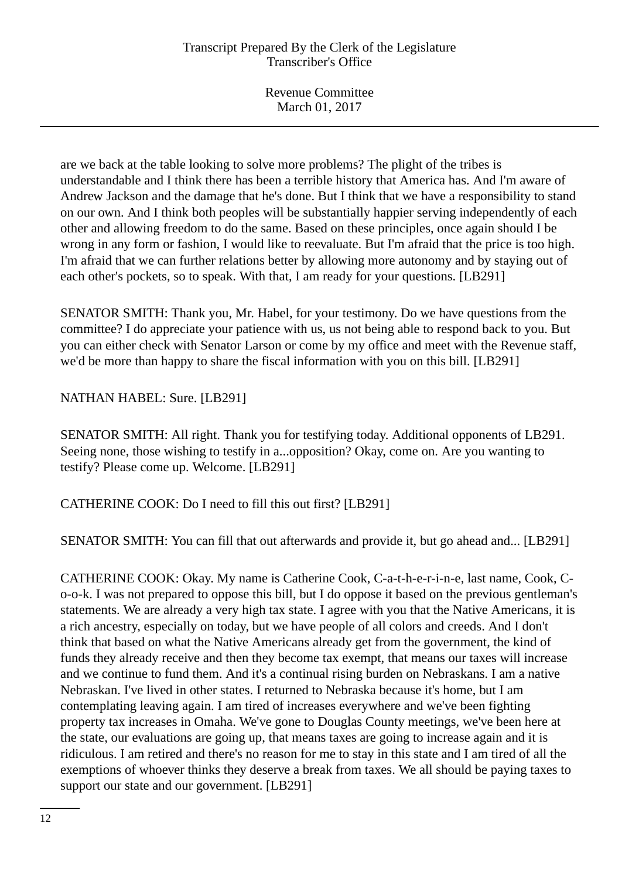are we back at the table looking to solve more problems? The plight of the tribes is understandable and I think there has been a terrible history that America has. And I'm aware of Andrew Jackson and the damage that he's done. But I think that we have a responsibility to stand on our own. And I think both peoples will be substantially happier serving independently of each other and allowing freedom to do the same. Based on these principles, once again should I be wrong in any form or fashion, I would like to reevaluate. But I'm afraid that the price is too high. I'm afraid that we can further relations better by allowing more autonomy and by staying out of each other's pockets, so to speak. With that, I am ready for your questions. [LB291]

SENATOR SMITH: Thank you, Mr. Habel, for your testimony. Do we have questions from the committee? I do appreciate your patience with us, us not being able to respond back to you. But you can either check with Senator Larson or come by my office and meet with the Revenue staff, we'd be more than happy to share the fiscal information with you on this bill. [LB291]

NATHAN HABEL: Sure. [LB291]

SENATOR SMITH: All right. Thank you for testifying today. Additional opponents of LB291. Seeing none, those wishing to testify in a...opposition? Okay, come on. Are you wanting to testify? Please come up. Welcome. [LB291]

CATHERINE COOK: Do I need to fill this out first? [LB291]

SENATOR SMITH: You can fill that out afterwards and provide it, but go ahead and... [LB291]

CATHERINE COOK: Okay. My name is Catherine Cook, C-a-t-h-e-r-i-n-e, last name, Cook, Co-o-k. I was not prepared to oppose this bill, but I do oppose it based on the previous gentleman's statements. We are already a very high tax state. I agree with you that the Native Americans, it is a rich ancestry, especially on today, but we have people of all colors and creeds. And I don't think that based on what the Native Americans already get from the government, the kind of funds they already receive and then they become tax exempt, that means our taxes will increase and we continue to fund them. And it's a continual rising burden on Nebraskans. I am a native Nebraskan. I've lived in other states. I returned to Nebraska because it's home, but I am contemplating leaving again. I am tired of increases everywhere and we've been fighting property tax increases in Omaha. We've gone to Douglas County meetings, we've been here at the state, our evaluations are going up, that means taxes are going to increase again and it is ridiculous. I am retired and there's no reason for me to stay in this state and I am tired of all the exemptions of whoever thinks they deserve a break from taxes. We all should be paying taxes to support our state and our government. [LB291]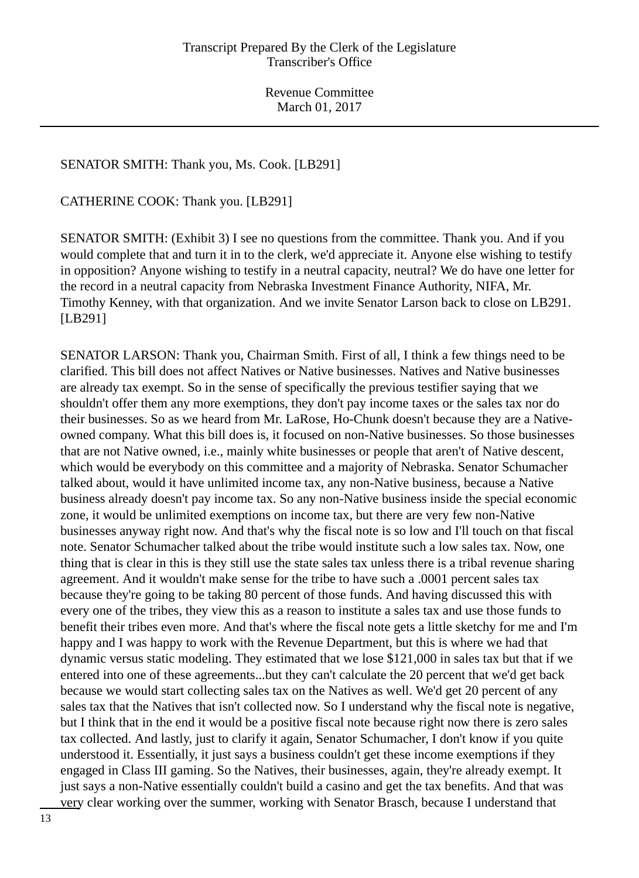## SENATOR SMITH: Thank you, Ms. Cook. [LB291]

CATHERINE COOK: Thank you. [LB291]

SENATOR SMITH: (Exhibit 3) I see no questions from the committee. Thank you. And if you would complete that and turn it in to the clerk, we'd appreciate it. Anyone else wishing to testify in opposition? Anyone wishing to testify in a neutral capacity, neutral? We do have one letter for the record in a neutral capacity from Nebraska Investment Finance Authority, NIFA, Mr. Timothy Kenney, with that organization. And we invite Senator Larson back to close on LB291. [LB291]

SENATOR LARSON: Thank you, Chairman Smith. First of all, I think a few things need to be clarified. This bill does not affect Natives or Native businesses. Natives and Native businesses are already tax exempt. So in the sense of specifically the previous testifier saying that we shouldn't offer them any more exemptions, they don't pay income taxes or the sales tax nor do their businesses. So as we heard from Mr. LaRose, Ho-Chunk doesn't because they are a Nativeowned company. What this bill does is, it focused on non-Native businesses. So those businesses that are not Native owned, i.e., mainly white businesses or people that aren't of Native descent, which would be everybody on this committee and a majority of Nebraska. Senator Schumacher talked about, would it have unlimited income tax, any non-Native business, because a Native business already doesn't pay income tax. So any non-Native business inside the special economic zone, it would be unlimited exemptions on income tax, but there are very few non-Native businesses anyway right now. And that's why the fiscal note is so low and I'll touch on that fiscal note. Senator Schumacher talked about the tribe would institute such a low sales tax. Now, one thing that is clear in this is they still use the state sales tax unless there is a tribal revenue sharing agreement. And it wouldn't make sense for the tribe to have such a .0001 percent sales tax because they're going to be taking 80 percent of those funds. And having discussed this with every one of the tribes, they view this as a reason to institute a sales tax and use those funds to benefit their tribes even more. And that's where the fiscal note gets a little sketchy for me and I'm happy and I was happy to work with the Revenue Department, but this is where we had that dynamic versus static modeling. They estimated that we lose \$121,000 in sales tax but that if we entered into one of these agreements...but they can't calculate the 20 percent that we'd get back because we would start collecting sales tax on the Natives as well. We'd get 20 percent of any sales tax that the Natives that isn't collected now. So I understand why the fiscal note is negative, but I think that in the end it would be a positive fiscal note because right now there is zero sales tax collected. And lastly, just to clarify it again, Senator Schumacher, I don't know if you quite understood it. Essentially, it just says a business couldn't get these income exemptions if they engaged in Class III gaming. So the Natives, their businesses, again, they're already exempt. It just says a non-Native essentially couldn't build a casino and get the tax benefits. And that was very clear working over the summer, working with Senator Brasch, because I understand that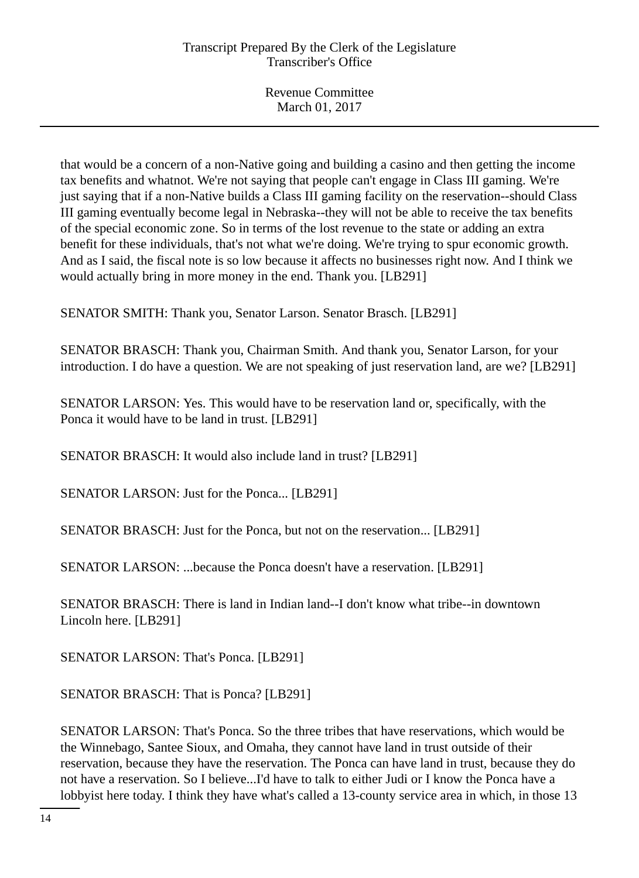that would be a concern of a non-Native going and building a casino and then getting the income tax benefits and whatnot. We're not saying that people can't engage in Class III gaming. We're just saying that if a non-Native builds a Class III gaming facility on the reservation--should Class III gaming eventually become legal in Nebraska--they will not be able to receive the tax benefits of the special economic zone. So in terms of the lost revenue to the state or adding an extra benefit for these individuals, that's not what we're doing. We're trying to spur economic growth. And as I said, the fiscal note is so low because it affects no businesses right now. And I think we would actually bring in more money in the end. Thank you. [LB291]

SENATOR SMITH: Thank you, Senator Larson. Senator Brasch. [LB291]

SENATOR BRASCH: Thank you, Chairman Smith. And thank you, Senator Larson, for your introduction. I do have a question. We are not speaking of just reservation land, are we? [LB291]

SENATOR LARSON: Yes. This would have to be reservation land or, specifically, with the Ponca it would have to be land in trust. [LB291]

SENATOR BRASCH: It would also include land in trust? [LB291]

SENATOR LARSON: Just for the Ponca... [LB291]

SENATOR BRASCH: Just for the Ponca, but not on the reservation... [LB291]

SENATOR LARSON: ...because the Ponca doesn't have a reservation. [LB291]

SENATOR BRASCH: There is land in Indian land--I don't know what tribe--in downtown Lincoln here. [LB291]

SENATOR LARSON: That's Ponca. [LB291]

SENATOR BRASCH: That is Ponca? [LB291]

SENATOR LARSON: That's Ponca. So the three tribes that have reservations, which would be the Winnebago, Santee Sioux, and Omaha, they cannot have land in trust outside of their reservation, because they have the reservation. The Ponca can have land in trust, because they do not have a reservation. So I believe...I'd have to talk to either Judi or I know the Ponca have a lobbyist here today. I think they have what's called a 13-county service area in which, in those 13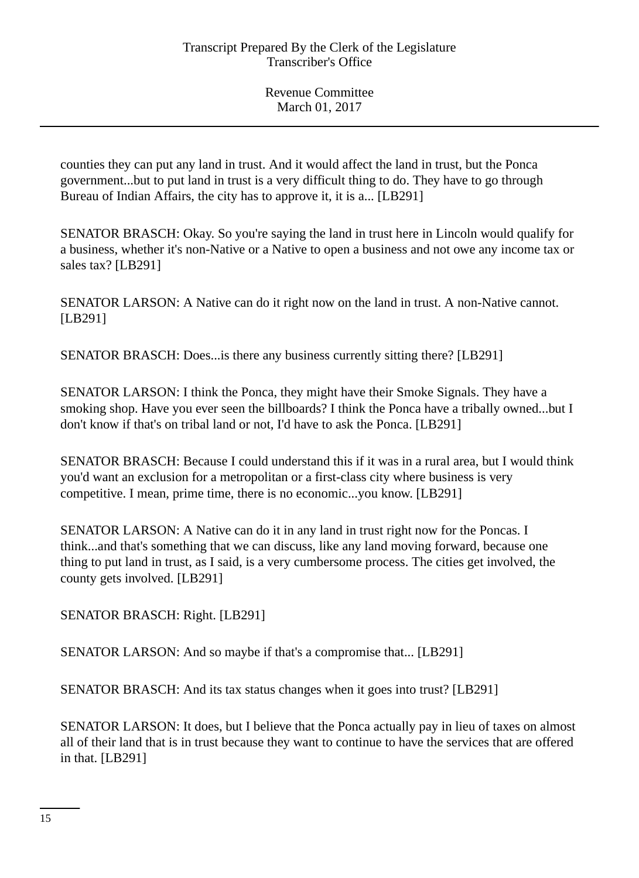counties they can put any land in trust. And it would affect the land in trust, but the Ponca government...but to put land in trust is a very difficult thing to do. They have to go through Bureau of Indian Affairs, the city has to approve it, it is a... [LB291]

SENATOR BRASCH: Okay. So you're saying the land in trust here in Lincoln would qualify for a business, whether it's non-Native or a Native to open a business and not owe any income tax or sales tax? [LB291]

SENATOR LARSON: A Native can do it right now on the land in trust. A non-Native cannot. [LB291]

SENATOR BRASCH: Does...is there any business currently sitting there? [LB291]

SENATOR LARSON: I think the Ponca, they might have their Smoke Signals. They have a smoking shop. Have you ever seen the billboards? I think the Ponca have a tribally owned...but I don't know if that's on tribal land or not, I'd have to ask the Ponca. [LB291]

SENATOR BRASCH: Because I could understand this if it was in a rural area, but I would think you'd want an exclusion for a metropolitan or a first-class city where business is very competitive. I mean, prime time, there is no economic...you know. [LB291]

SENATOR LARSON: A Native can do it in any land in trust right now for the Poncas. I think...and that's something that we can discuss, like any land moving forward, because one thing to put land in trust, as I said, is a very cumbersome process. The cities get involved, the county gets involved. [LB291]

SENATOR BRASCH: Right. [LB291]

SENATOR LARSON: And so maybe if that's a compromise that... [LB291]

SENATOR BRASCH: And its tax status changes when it goes into trust? [LB291]

SENATOR LARSON: It does, but I believe that the Ponca actually pay in lieu of taxes on almost all of their land that is in trust because they want to continue to have the services that are offered in that. [LB291]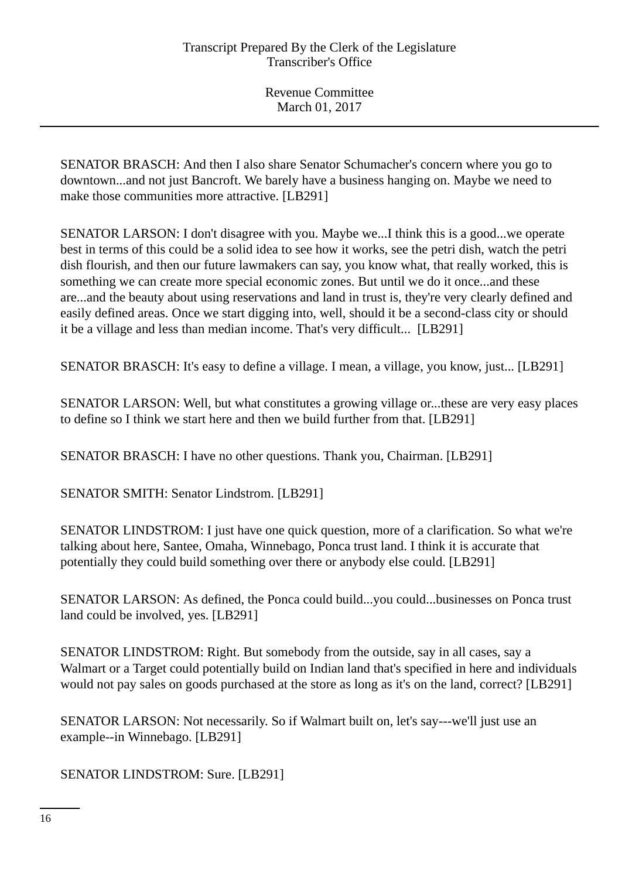SENATOR BRASCH: And then I also share Senator Schumacher's concern where you go to downtown...and not just Bancroft. We barely have a business hanging on. Maybe we need to make those communities more attractive. [LB291]

SENATOR LARSON: I don't disagree with you. Maybe we...I think this is a good...we operate best in terms of this could be a solid idea to see how it works, see the petri dish, watch the petri dish flourish, and then our future lawmakers can say, you know what, that really worked, this is something we can create more special economic zones. But until we do it once...and these are...and the beauty about using reservations and land in trust is, they're very clearly defined and easily defined areas. Once we start digging into, well, should it be a second-class city or should it be a village and less than median income. That's very difficult... [LB291]

SENATOR BRASCH: It's easy to define a village. I mean, a village, you know, just... [LB291]

SENATOR LARSON: Well, but what constitutes a growing village or...these are very easy places to define so I think we start here and then we build further from that. [LB291]

SENATOR BRASCH: I have no other questions. Thank you, Chairman. [LB291]

SENATOR SMITH: Senator Lindstrom. [LB291]

SENATOR LINDSTROM: I just have one quick question, more of a clarification. So what we're talking about here, Santee, Omaha, Winnebago, Ponca trust land. I think it is accurate that potentially they could build something over there or anybody else could. [LB291]

SENATOR LARSON: As defined, the Ponca could build...you could...businesses on Ponca trust land could be involved, yes. [LB291]

SENATOR LINDSTROM: Right. But somebody from the outside, say in all cases, say a Walmart or a Target could potentially build on Indian land that's specified in here and individuals would not pay sales on goods purchased at the store as long as it's on the land, correct? [LB291]

SENATOR LARSON: Not necessarily. So if Walmart built on, let's say---we'll just use an example--in Winnebago. [LB291]

SENATOR LINDSTROM: Sure. [LB291]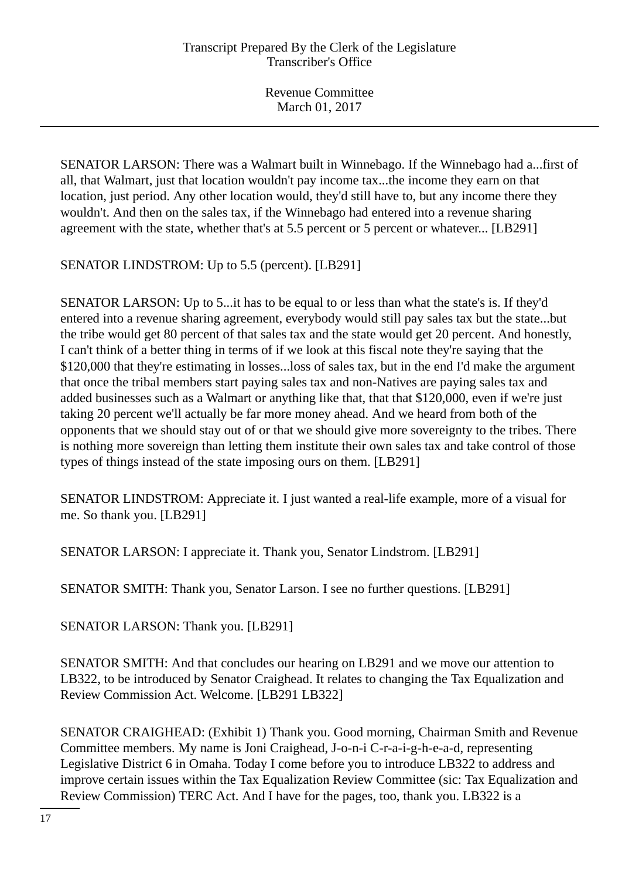SENATOR LARSON: There was a Walmart built in Winnebago. If the Winnebago had a...first of all, that Walmart, just that location wouldn't pay income tax...the income they earn on that location, just period. Any other location would, they'd still have to, but any income there they wouldn't. And then on the sales tax, if the Winnebago had entered into a revenue sharing agreement with the state, whether that's at 5.5 percent or 5 percent or whatever... [LB291]

SENATOR LINDSTROM: Up to 5.5 (percent). [LB291]

SENATOR LARSON: Up to 5...it has to be equal to or less than what the state's is. If they'd entered into a revenue sharing agreement, everybody would still pay sales tax but the state...but the tribe would get 80 percent of that sales tax and the state would get 20 percent. And honestly, I can't think of a better thing in terms of if we look at this fiscal note they're saying that the \$120,000 that they're estimating in losses...loss of sales tax, but in the end I'd make the argument that once the tribal members start paying sales tax and non-Natives are paying sales tax and added businesses such as a Walmart or anything like that, that that \$120,000, even if we're just taking 20 percent we'll actually be far more money ahead. And we heard from both of the opponents that we should stay out of or that we should give more sovereignty to the tribes. There is nothing more sovereign than letting them institute their own sales tax and take control of those types of things instead of the state imposing ours on them. [LB291]

SENATOR LINDSTROM: Appreciate it. I just wanted a real-life example, more of a visual for me. So thank you. [LB291]

SENATOR LARSON: I appreciate it. Thank you, Senator Lindstrom. [LB291]

SENATOR SMITH: Thank you, Senator Larson. I see no further questions. [LB291]

SENATOR LARSON: Thank you. [LB291]

SENATOR SMITH: And that concludes our hearing on LB291 and we move our attention to LB322, to be introduced by Senator Craighead. It relates to changing the Tax Equalization and Review Commission Act. Welcome. [LB291 LB322]

SENATOR CRAIGHEAD: (Exhibit 1) Thank you. Good morning, Chairman Smith and Revenue Committee members. My name is Joni Craighead, J-o-n-i C-r-a-i-g-h-e-a-d, representing Legislative District 6 in Omaha. Today I come before you to introduce LB322 to address and improve certain issues within the Tax Equalization Review Committee (sic: Tax Equalization and Review Commission) TERC Act. And I have for the pages, too, thank you. LB322 is a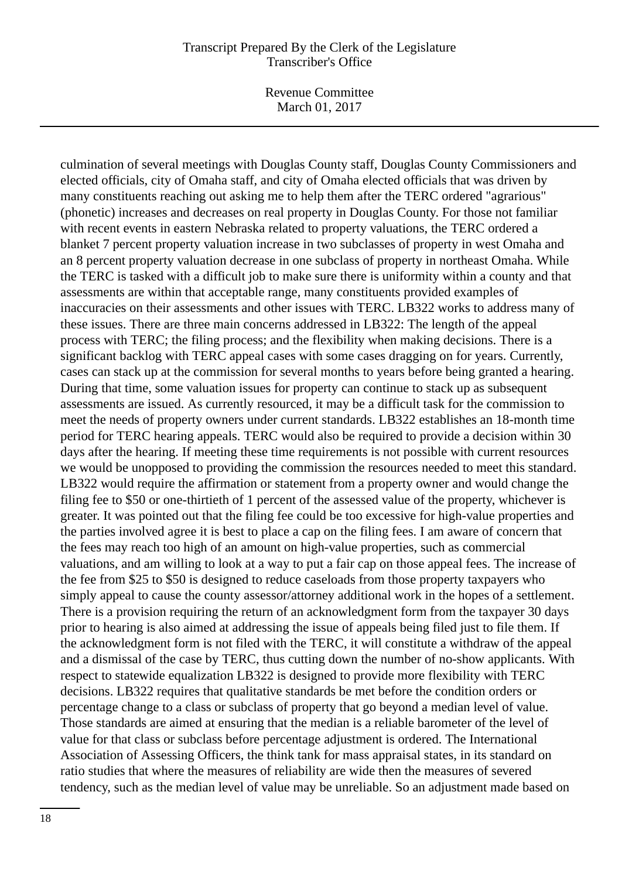Revenue Committee March 01, 2017

culmination of several meetings with Douglas County staff, Douglas County Commissioners and elected officials, city of Omaha staff, and city of Omaha elected officials that was driven by many constituents reaching out asking me to help them after the TERC ordered "agrarious" (phonetic) increases and decreases on real property in Douglas County. For those not familiar with recent events in eastern Nebraska related to property valuations, the TERC ordered a blanket 7 percent property valuation increase in two subclasses of property in west Omaha and an 8 percent property valuation decrease in one subclass of property in northeast Omaha. While the TERC is tasked with a difficult job to make sure there is uniformity within a county and that assessments are within that acceptable range, many constituents provided examples of inaccuracies on their assessments and other issues with TERC. LB322 works to address many of these issues. There are three main concerns addressed in LB322: The length of the appeal process with TERC; the filing process; and the flexibility when making decisions. There is a significant backlog with TERC appeal cases with some cases dragging on for years. Currently, cases can stack up at the commission for several months to years before being granted a hearing. During that time, some valuation issues for property can continue to stack up as subsequent assessments are issued. As currently resourced, it may be a difficult task for the commission to meet the needs of property owners under current standards. LB322 establishes an 18-month time period for TERC hearing appeals. TERC would also be required to provide a decision within 30 days after the hearing. If meeting these time requirements is not possible with current resources we would be unopposed to providing the commission the resources needed to meet this standard. LB322 would require the affirmation or statement from a property owner and would change the filing fee to \$50 or one-thirtieth of 1 percent of the assessed value of the property, whichever is greater. It was pointed out that the filing fee could be too excessive for high-value properties and the parties involved agree it is best to place a cap on the filing fees. I am aware of concern that the fees may reach too high of an amount on high-value properties, such as commercial valuations, and am willing to look at a way to put a fair cap on those appeal fees. The increase of the fee from \$25 to \$50 is designed to reduce caseloads from those property taxpayers who simply appeal to cause the county assessor/attorney additional work in the hopes of a settlement. There is a provision requiring the return of an acknowledgment form from the taxpayer 30 days prior to hearing is also aimed at addressing the issue of appeals being filed just to file them. If the acknowledgment form is not filed with the TERC, it will constitute a withdraw of the appeal and a dismissal of the case by TERC, thus cutting down the number of no-show applicants. With respect to statewide equalization LB322 is designed to provide more flexibility with TERC decisions. LB322 requires that qualitative standards be met before the condition orders or percentage change to a class or subclass of property that go beyond a median level of value. Those standards are aimed at ensuring that the median is a reliable barometer of the level of value for that class or subclass before percentage adjustment is ordered. The International Association of Assessing Officers, the think tank for mass appraisal states, in its standard on ratio studies that where the measures of reliability are wide then the measures of severed tendency, such as the median level of value may be unreliable. So an adjustment made based on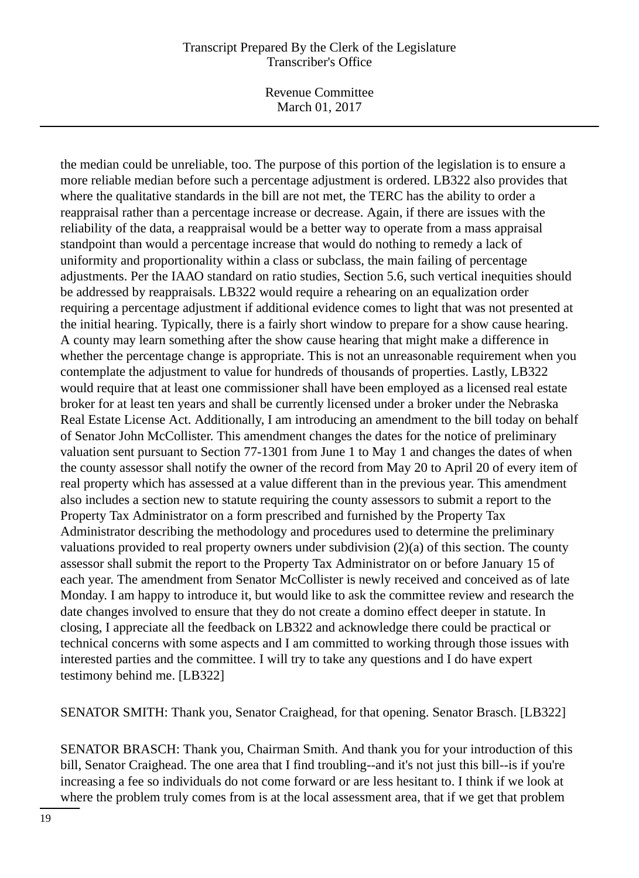Revenue Committee March 01, 2017

the median could be unreliable, too. The purpose of this portion of the legislation is to ensure a more reliable median before such a percentage adjustment is ordered. LB322 also provides that where the qualitative standards in the bill are not met, the TERC has the ability to order a reappraisal rather than a percentage increase or decrease. Again, if there are issues with the reliability of the data, a reappraisal would be a better way to operate from a mass appraisal standpoint than would a percentage increase that would do nothing to remedy a lack of uniformity and proportionality within a class or subclass, the main failing of percentage adjustments. Per the IAAO standard on ratio studies, Section 5.6, such vertical inequities should be addressed by reappraisals. LB322 would require a rehearing on an equalization order requiring a percentage adjustment if additional evidence comes to light that was not presented at the initial hearing. Typically, there is a fairly short window to prepare for a show cause hearing. A county may learn something after the show cause hearing that might make a difference in whether the percentage change is appropriate. This is not an unreasonable requirement when you contemplate the adjustment to value for hundreds of thousands of properties. Lastly, LB322 would require that at least one commissioner shall have been employed as a licensed real estate broker for at least ten years and shall be currently licensed under a broker under the Nebraska Real Estate License Act. Additionally, I am introducing an amendment to the bill today on behalf of Senator John McCollister. This amendment changes the dates for the notice of preliminary valuation sent pursuant to Section 77-1301 from June 1 to May 1 and changes the dates of when the county assessor shall notify the owner of the record from May 20 to April 20 of every item of real property which has assessed at a value different than in the previous year. This amendment also includes a section new to statute requiring the county assessors to submit a report to the Property Tax Administrator on a form prescribed and furnished by the Property Tax Administrator describing the methodology and procedures used to determine the preliminary valuations provided to real property owners under subdivision (2)(a) of this section. The county assessor shall submit the report to the Property Tax Administrator on or before January 15 of each year. The amendment from Senator McCollister is newly received and conceived as of late Monday. I am happy to introduce it, but would like to ask the committee review and research the date changes involved to ensure that they do not create a domino effect deeper in statute. In closing, I appreciate all the feedback on LB322 and acknowledge there could be practical or technical concerns with some aspects and I am committed to working through those issues with interested parties and the committee. I will try to take any questions and I do have expert testimony behind me. [LB322]

SENATOR SMITH: Thank you, Senator Craighead, for that opening. Senator Brasch. [LB322]

SENATOR BRASCH: Thank you, Chairman Smith. And thank you for your introduction of this bill, Senator Craighead. The one area that I find troubling--and it's not just this bill--is if you're increasing a fee so individuals do not come forward or are less hesitant to. I think if we look at where the problem truly comes from is at the local assessment area, that if we get that problem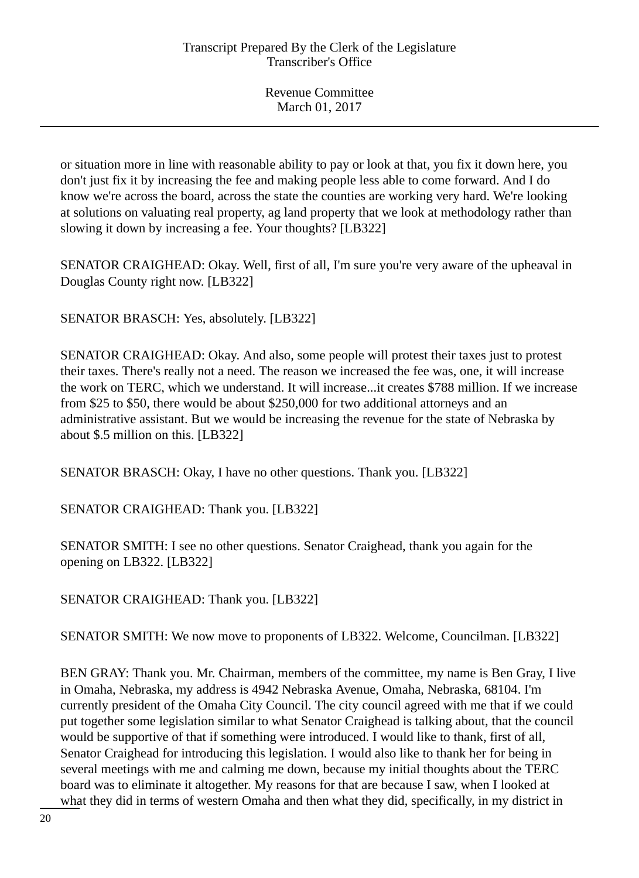or situation more in line with reasonable ability to pay or look at that, you fix it down here, you don't just fix it by increasing the fee and making people less able to come forward. And I do know we're across the board, across the state the counties are working very hard. We're looking at solutions on valuating real property, ag land property that we look at methodology rather than slowing it down by increasing a fee. Your thoughts? [LB322]

SENATOR CRAIGHEAD: Okay. Well, first of all, I'm sure you're very aware of the upheaval in Douglas County right now. [LB322]

SENATOR BRASCH: Yes, absolutely. [LB322]

SENATOR CRAIGHEAD: Okay. And also, some people will protest their taxes just to protest their taxes. There's really not a need. The reason we increased the fee was, one, it will increase the work on TERC, which we understand. It will increase...it creates \$788 million. If we increase from \$25 to \$50, there would be about \$250,000 for two additional attorneys and an administrative assistant. But we would be increasing the revenue for the state of Nebraska by about \$.5 million on this. [LB322]

SENATOR BRASCH: Okay, I have no other questions. Thank you. [LB322]

SENATOR CRAIGHEAD: Thank you. [LB322]

SENATOR SMITH: I see no other questions. Senator Craighead, thank you again for the opening on LB322. [LB322]

SENATOR CRAIGHEAD: Thank you. [LB322]

SENATOR SMITH: We now move to proponents of LB322. Welcome, Councilman. [LB322]

BEN GRAY: Thank you. Mr. Chairman, members of the committee, my name is Ben Gray, I live in Omaha, Nebraska, my address is 4942 Nebraska Avenue, Omaha, Nebraska, 68104. I'm currently president of the Omaha City Council. The city council agreed with me that if we could put together some legislation similar to what Senator Craighead is talking about, that the council would be supportive of that if something were introduced. I would like to thank, first of all, Senator Craighead for introducing this legislation. I would also like to thank her for being in several meetings with me and calming me down, because my initial thoughts about the TERC board was to eliminate it altogether. My reasons for that are because I saw, when I looked at what they did in terms of western Omaha and then what they did, specifically, in my district in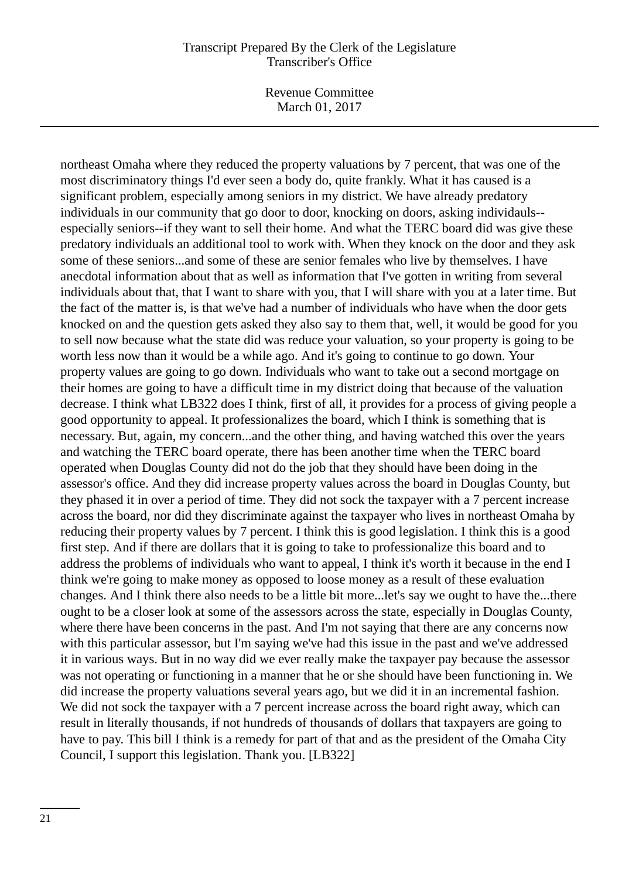Revenue Committee March 01, 2017

northeast Omaha where they reduced the property valuations by 7 percent, that was one of the most discriminatory things I'd ever seen a body do, quite frankly. What it has caused is a significant problem, especially among seniors in my district. We have already predatory individuals in our community that go door to door, knocking on doors, asking individauls- especially seniors--if they want to sell their home. And what the TERC board did was give these predatory individuals an additional tool to work with. When they knock on the door and they ask some of these seniors...and some of these are senior females who live by themselves. I have anecdotal information about that as well as information that I've gotten in writing from several individuals about that, that I want to share with you, that I will share with you at a later time. But the fact of the matter is, is that we've had a number of individuals who have when the door gets knocked on and the question gets asked they also say to them that, well, it would be good for you to sell now because what the state did was reduce your valuation, so your property is going to be worth less now than it would be a while ago. And it's going to continue to go down. Your property values are going to go down. Individuals who want to take out a second mortgage on their homes are going to have a difficult time in my district doing that because of the valuation decrease. I think what LB322 does I think, first of all, it provides for a process of giving people a good opportunity to appeal. It professionalizes the board, which I think is something that is necessary. But, again, my concern...and the other thing, and having watched this over the years and watching the TERC board operate, there has been another time when the TERC board operated when Douglas County did not do the job that they should have been doing in the assessor's office. And they did increase property values across the board in Douglas County, but they phased it in over a period of time. They did not sock the taxpayer with a 7 percent increase across the board, nor did they discriminate against the taxpayer who lives in northeast Omaha by reducing their property values by 7 percent. I think this is good legislation. I think this is a good first step. And if there are dollars that it is going to take to professionalize this board and to address the problems of individuals who want to appeal, I think it's worth it because in the end I think we're going to make money as opposed to loose money as a result of these evaluation changes. And I think there also needs to be a little bit more...let's say we ought to have the...there ought to be a closer look at some of the assessors across the state, especially in Douglas County, where there have been concerns in the past. And I'm not saying that there are any concerns now with this particular assessor, but I'm saying we've had this issue in the past and we've addressed it in various ways. But in no way did we ever really make the taxpayer pay because the assessor was not operating or functioning in a manner that he or she should have been functioning in. We did increase the property valuations several years ago, but we did it in an incremental fashion. We did not sock the taxpayer with a 7 percent increase across the board right away, which can result in literally thousands, if not hundreds of thousands of dollars that taxpayers are going to have to pay. This bill I think is a remedy for part of that and as the president of the Omaha City Council, I support this legislation. Thank you. [LB322]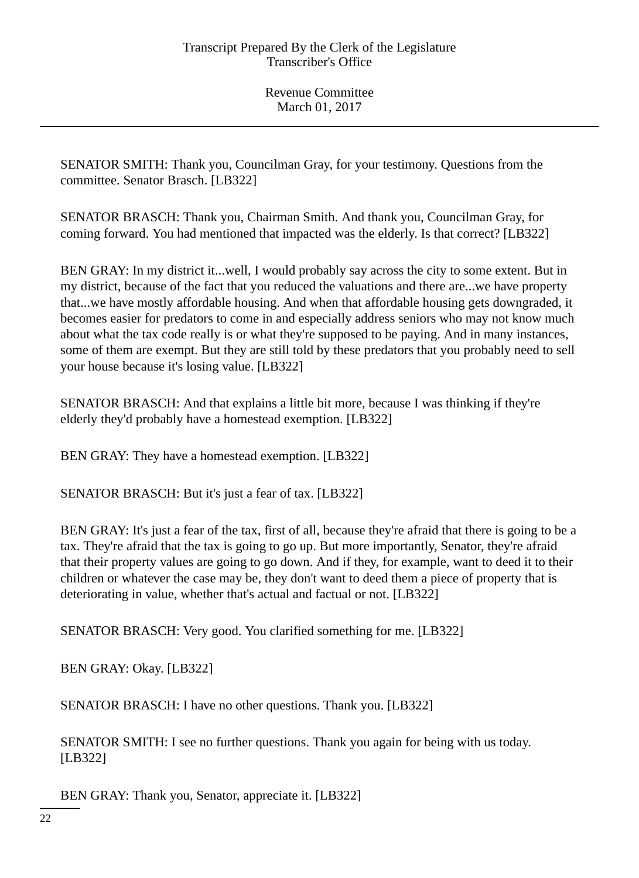SENATOR SMITH: Thank you, Councilman Gray, for your testimony. Questions from the committee. Senator Brasch. [LB322]

SENATOR BRASCH: Thank you, Chairman Smith. And thank you, Councilman Gray, for coming forward. You had mentioned that impacted was the elderly. Is that correct? [LB322]

BEN GRAY: In my district it...well, I would probably say across the city to some extent. But in my district, because of the fact that you reduced the valuations and there are...we have property that...we have mostly affordable housing. And when that affordable housing gets downgraded, it becomes easier for predators to come in and especially address seniors who may not know much about what the tax code really is or what they're supposed to be paying. And in many instances, some of them are exempt. But they are still told by these predators that you probably need to sell your house because it's losing value. [LB322]

SENATOR BRASCH: And that explains a little bit more, because I was thinking if they're elderly they'd probably have a homestead exemption. [LB322]

BEN GRAY: They have a homestead exemption. [LB322]

SENATOR BRASCH: But it's just a fear of tax. [LB322]

BEN GRAY: It's just a fear of the tax, first of all, because they're afraid that there is going to be a tax. They're afraid that the tax is going to go up. But more importantly, Senator, they're afraid that their property values are going to go down. And if they, for example, want to deed it to their children or whatever the case may be, they don't want to deed them a piece of property that is deteriorating in value, whether that's actual and factual or not. [LB322]

SENATOR BRASCH: Very good. You clarified something for me. [LB322]

BEN GRAY: Okay. [LB322]

SENATOR BRASCH: I have no other questions. Thank you. [LB322]

SENATOR SMITH: I see no further questions. Thank you again for being with us today. [LB322]

BEN GRAY: Thank you, Senator, appreciate it. [LB322]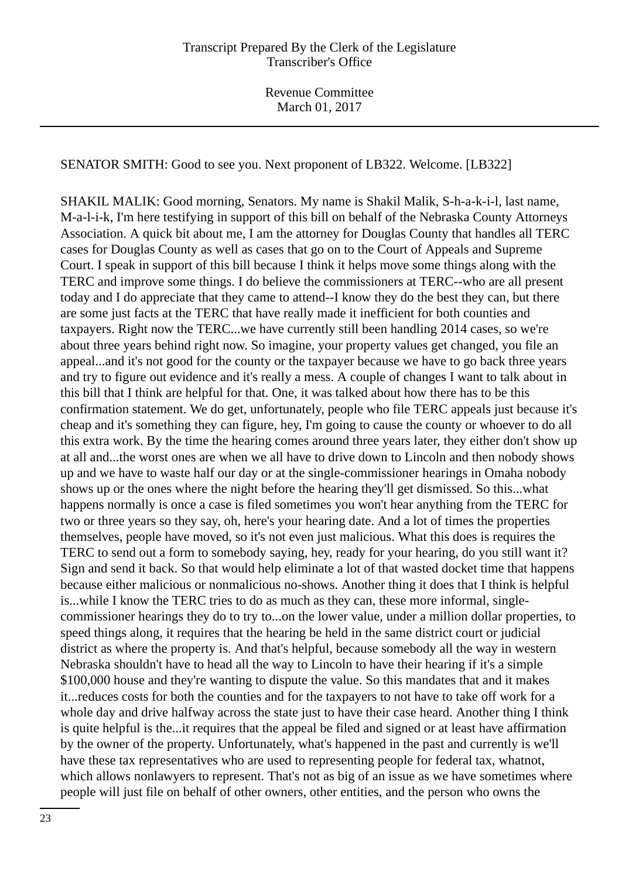SENATOR SMITH: Good to see you. Next proponent of LB322. Welcome. [LB322]

SHAKIL MALIK: Good morning, Senators. My name is Shakil Malik, S-h-a-k-i-l, last name, M-a-l-i-k, I'm here testifying in support of this bill on behalf of the Nebraska County Attorneys Association. A quick bit about me, I am the attorney for Douglas County that handles all TERC cases for Douglas County as well as cases that go on to the Court of Appeals and Supreme Court. I speak in support of this bill because I think it helps move some things along with the TERC and improve some things. I do believe the commissioners at TERC--who are all present today and I do appreciate that they came to attend--I know they do the best they can, but there are some just facts at the TERC that have really made it inefficient for both counties and taxpayers. Right now the TERC...we have currently still been handling 2014 cases, so we're about three years behind right now. So imagine, your property values get changed, you file an appeal...and it's not good for the county or the taxpayer because we have to go back three years and try to figure out evidence and it's really a mess. A couple of changes I want to talk about in this bill that I think are helpful for that. One, it was talked about how there has to be this confirmation statement. We do get, unfortunately, people who file TERC appeals just because it's cheap and it's something they can figure, hey, I'm going to cause the county or whoever to do all this extra work. By the time the hearing comes around three years later, they either don't show up at all and...the worst ones are when we all have to drive down to Lincoln and then nobody shows up and we have to waste half our day or at the single-commissioner hearings in Omaha nobody shows up or the ones where the night before the hearing they'll get dismissed. So this...what happens normally is once a case is filed sometimes you won't hear anything from the TERC for two or three years so they say, oh, here's your hearing date. And a lot of times the properties themselves, people have moved, so it's not even just malicious. What this does is requires the TERC to send out a form to somebody saying, hey, ready for your hearing, do you still want it? Sign and send it back. So that would help eliminate a lot of that wasted docket time that happens because either malicious or nonmalicious no-shows. Another thing it does that I think is helpful is...while I know the TERC tries to do as much as they can, these more informal, singlecommissioner hearings they do to try to...on the lower value, under a million dollar properties, to speed things along, it requires that the hearing be held in the same district court or judicial district as where the property is. And that's helpful, because somebody all the way in western Nebraska shouldn't have to head all the way to Lincoln to have their hearing if it's a simple \$100,000 house and they're wanting to dispute the value. So this mandates that and it makes it...reduces costs for both the counties and for the taxpayers to not have to take off work for a whole day and drive halfway across the state just to have their case heard. Another thing I think is quite helpful is the...it requires that the appeal be filed and signed or at least have affirmation by the owner of the property. Unfortunately, what's happened in the past and currently is we'll have these tax representatives who are used to representing people for federal tax, whatnot, which allows nonlawyers to represent. That's not as big of an issue as we have sometimes where people will just file on behalf of other owners, other entities, and the person who owns the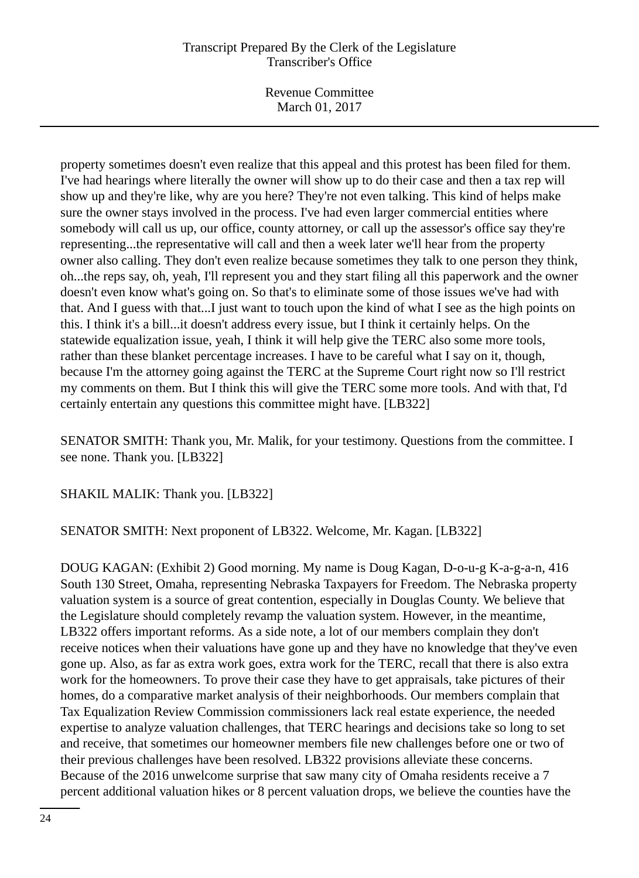Revenue Committee March 01, 2017

property sometimes doesn't even realize that this appeal and this protest has been filed for them. I've had hearings where literally the owner will show up to do their case and then a tax rep will show up and they're like, why are you here? They're not even talking. This kind of helps make sure the owner stays involved in the process. I've had even larger commercial entities where somebody will call us up, our office, county attorney, or call up the assessor's office say they're representing...the representative will call and then a week later we'll hear from the property owner also calling. They don't even realize because sometimes they talk to one person they think, oh...the reps say, oh, yeah, I'll represent you and they start filing all this paperwork and the owner doesn't even know what's going on. So that's to eliminate some of those issues we've had with that. And I guess with that...I just want to touch upon the kind of what I see as the high points on this. I think it's a bill...it doesn't address every issue, but I think it certainly helps. On the statewide equalization issue, yeah, I think it will help give the TERC also some more tools, rather than these blanket percentage increases. I have to be careful what I say on it, though, because I'm the attorney going against the TERC at the Supreme Court right now so I'll restrict my comments on them. But I think this will give the TERC some more tools. And with that, I'd certainly entertain any questions this committee might have. [LB322]

SENATOR SMITH: Thank you, Mr. Malik, for your testimony. Questions from the committee. I see none. Thank you. [LB322]

SHAKIL MALIK: Thank you. [LB322]

SENATOR SMITH: Next proponent of LB322. Welcome, Mr. Kagan. [LB322]

DOUG KAGAN: (Exhibit 2) Good morning. My name is Doug Kagan, D-o-u-g K-a-g-a-n, 416 South 130 Street, Omaha, representing Nebraska Taxpayers for Freedom. The Nebraska property valuation system is a source of great contention, especially in Douglas County. We believe that the Legislature should completely revamp the valuation system. However, in the meantime, LB322 offers important reforms. As a side note, a lot of our members complain they don't receive notices when their valuations have gone up and they have no knowledge that they've even gone up. Also, as far as extra work goes, extra work for the TERC, recall that there is also extra work for the homeowners. To prove their case they have to get appraisals, take pictures of their homes, do a comparative market analysis of their neighborhoods. Our members complain that Tax Equalization Review Commission commissioners lack real estate experience, the needed expertise to analyze valuation challenges, that TERC hearings and decisions take so long to set and receive, that sometimes our homeowner members file new challenges before one or two of their previous challenges have been resolved. LB322 provisions alleviate these concerns. Because of the 2016 unwelcome surprise that saw many city of Omaha residents receive a 7 percent additional valuation hikes or 8 percent valuation drops, we believe the counties have the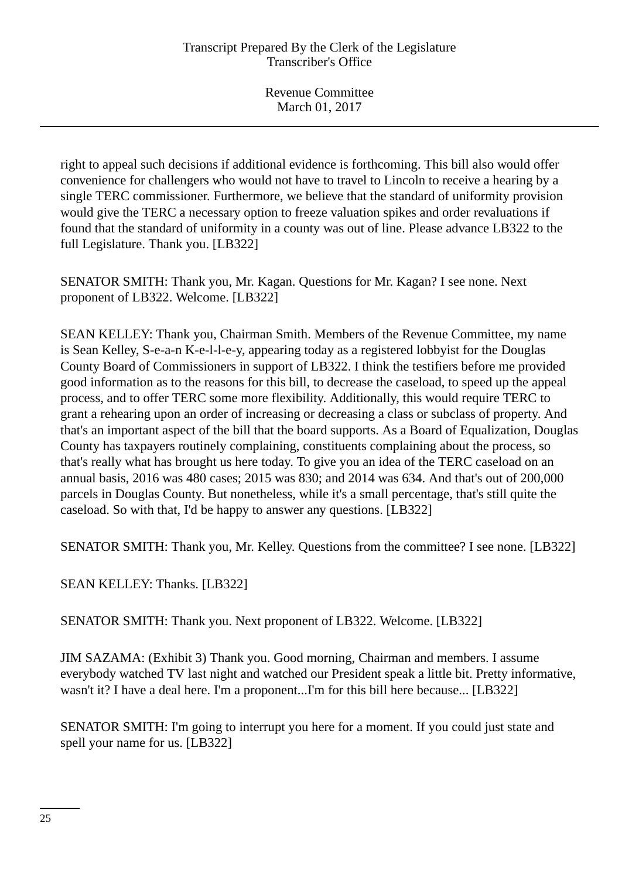right to appeal such decisions if additional evidence is forthcoming. This bill also would offer convenience for challengers who would not have to travel to Lincoln to receive a hearing by a single TERC commissioner. Furthermore, we believe that the standard of uniformity provision would give the TERC a necessary option to freeze valuation spikes and order revaluations if found that the standard of uniformity in a county was out of line. Please advance LB322 to the full Legislature. Thank you. [LB322]

SENATOR SMITH: Thank you, Mr. Kagan. Questions for Mr. Kagan? I see none. Next proponent of LB322. Welcome. [LB322]

SEAN KELLEY: Thank you, Chairman Smith. Members of the Revenue Committee, my name is Sean Kelley, S-e-a-n K-e-l-l-e-y, appearing today as a registered lobbyist for the Douglas County Board of Commissioners in support of LB322. I think the testifiers before me provided good information as to the reasons for this bill, to decrease the caseload, to speed up the appeal process, and to offer TERC some more flexibility. Additionally, this would require TERC to grant a rehearing upon an order of increasing or decreasing a class or subclass of property. And that's an important aspect of the bill that the board supports. As a Board of Equalization, Douglas County has taxpayers routinely complaining, constituents complaining about the process, so that's really what has brought us here today. To give you an idea of the TERC caseload on an annual basis, 2016 was 480 cases; 2015 was 830; and 2014 was 634. And that's out of 200,000 parcels in Douglas County. But nonetheless, while it's a small percentage, that's still quite the caseload. So with that, I'd be happy to answer any questions. [LB322]

SENATOR SMITH: Thank you, Mr. Kelley. Questions from the committee? I see none. [LB322]

SEAN KELLEY: Thanks. [LB322]

SENATOR SMITH: Thank you. Next proponent of LB322. Welcome. [LB322]

JIM SAZAMA: (Exhibit 3) Thank you. Good morning, Chairman and members. I assume everybody watched TV last night and watched our President speak a little bit. Pretty informative, wasn't it? I have a deal here. I'm a proponent...I'm for this bill here because... [LB322]

SENATOR SMITH: I'm going to interrupt you here for a moment. If you could just state and spell your name for us. [LB322]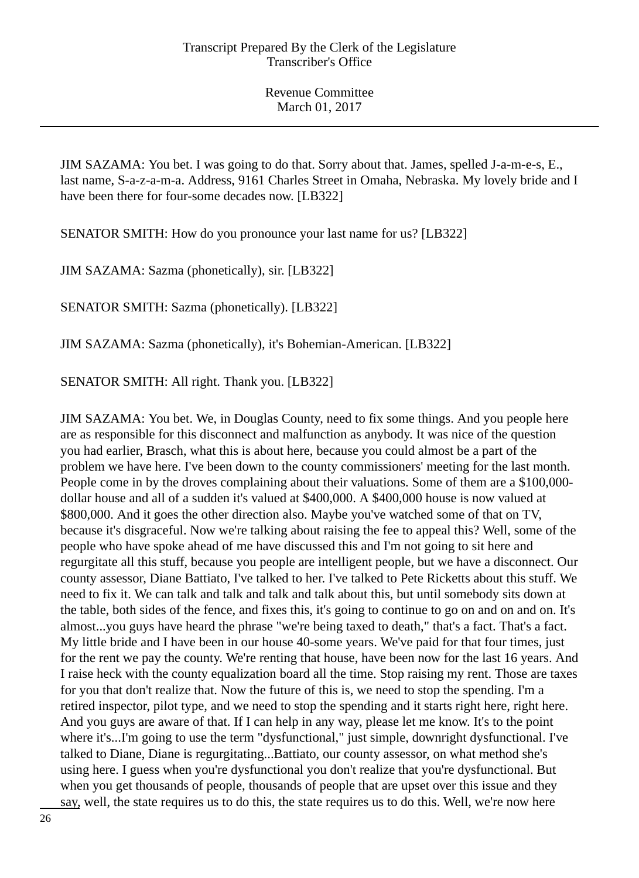JIM SAZAMA: You bet. I was going to do that. Sorry about that. James, spelled J-a-m-e-s, E., last name, S-a-z-a-m-a. Address, 9161 Charles Street in Omaha, Nebraska. My lovely bride and I have been there for four-some decades now. [LB322]

SENATOR SMITH: How do you pronounce your last name for us? [LB322]

JIM SAZAMA: Sazma (phonetically), sir. [LB322]

SENATOR SMITH: Sazma (phonetically). [LB322]

JIM SAZAMA: Sazma (phonetically), it's Bohemian-American. [LB322]

SENATOR SMITH: All right. Thank you. [LB322]

JIM SAZAMA: You bet. We, in Douglas County, need to fix some things. And you people here are as responsible for this disconnect and malfunction as anybody. It was nice of the question you had earlier, Brasch, what this is about here, because you could almost be a part of the problem we have here. I've been down to the county commissioners' meeting for the last month. People come in by the droves complaining about their valuations. Some of them are a \$100,000 dollar house and all of a sudden it's valued at \$400,000. A \$400,000 house is now valued at \$800,000. And it goes the other direction also. Maybe you've watched some of that on TV, because it's disgraceful. Now we're talking about raising the fee to appeal this? Well, some of the people who have spoke ahead of me have discussed this and I'm not going to sit here and regurgitate all this stuff, because you people are intelligent people, but we have a disconnect. Our county assessor, Diane Battiato, I've talked to her. I've talked to Pete Ricketts about this stuff. We need to fix it. We can talk and talk and talk and talk about this, but until somebody sits down at the table, both sides of the fence, and fixes this, it's going to continue to go on and on and on. It's almost...you guys have heard the phrase "we're being taxed to death," that's a fact. That's a fact. My little bride and I have been in our house 40-some years. We've paid for that four times, just for the rent we pay the county. We're renting that house, have been now for the last 16 years. And I raise heck with the county equalization board all the time. Stop raising my rent. Those are taxes for you that don't realize that. Now the future of this is, we need to stop the spending. I'm a retired inspector, pilot type, and we need to stop the spending and it starts right here, right here. And you guys are aware of that. If I can help in any way, please let me know. It's to the point where it's...I'm going to use the term "dysfunctional," just simple, downright dysfunctional. I've talked to Diane, Diane is regurgitating...Battiato, our county assessor, on what method she's using here. I guess when you're dysfunctional you don't realize that you're dysfunctional. But when you get thousands of people, thousands of people that are upset over this issue and they say, well, the state requires us to do this, the state requires us to do this. Well, we're now here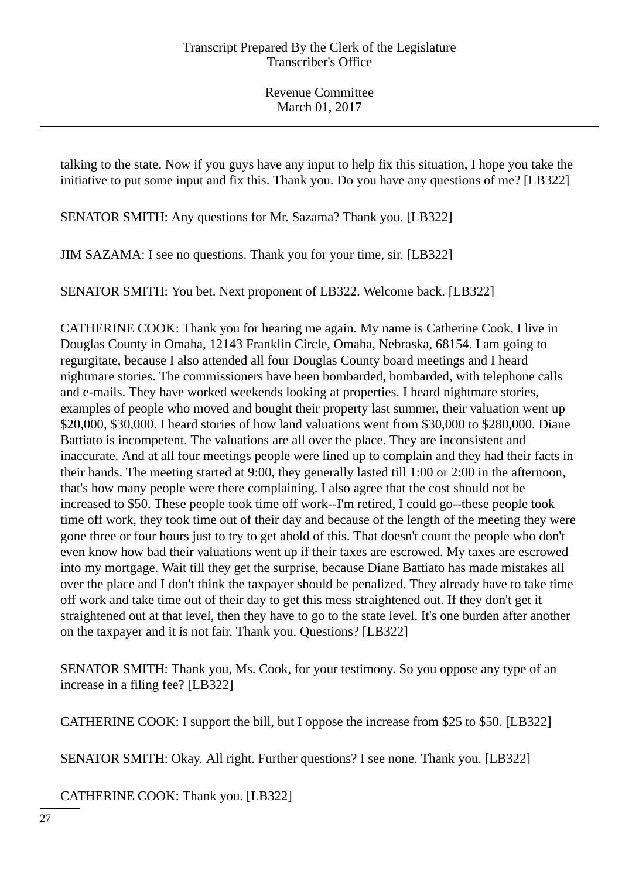talking to the state. Now if you guys have any input to help fix this situation, I hope you take the initiative to put some input and fix this. Thank you. Do you have any questions of me? [LB322]

SENATOR SMITH: Any questions for Mr. Sazama? Thank you. [LB322]

JIM SAZAMA: I see no questions. Thank you for your time, sir. [LB322]

SENATOR SMITH: You bet. Next proponent of LB322. Welcome back. [LB322]

CATHERINE COOK: Thank you for hearing me again. My name is Catherine Cook, I live in Douglas County in Omaha, 12143 Franklin Circle, Omaha, Nebraska, 68154. I am going to regurgitate, because I also attended all four Douglas County board meetings and I heard nightmare stories. The commissioners have been bombarded, bombarded, with telephone calls and e-mails. They have worked weekends looking at properties. I heard nightmare stories, examples of people who moved and bought their property last summer, their valuation went up \$20,000, \$30,000. I heard stories of how land valuations went from \$30,000 to \$280,000. Diane Battiato is incompetent. The valuations are all over the place. They are inconsistent and inaccurate. And at all four meetings people were lined up to complain and they had their facts in their hands. The meeting started at 9:00, they generally lasted till 1:00 or 2:00 in the afternoon, that's how many people were there complaining. I also agree that the cost should not be increased to \$50. These people took time off work--I'm retired, I could go--these people took time off work, they took time out of their day and because of the length of the meeting they were gone three or four hours just to try to get ahold of this. That doesn't count the people who don't even know how bad their valuations went up if their taxes are escrowed. My taxes are escrowed into my mortgage. Wait till they get the surprise, because Diane Battiato has made mistakes all over the place and I don't think the taxpayer should be penalized. They already have to take time off work and take time out of their day to get this mess straightened out. If they don't get it straightened out at that level, then they have to go to the state level. It's one burden after another on the taxpayer and it is not fair. Thank you. Questions? [LB322]

SENATOR SMITH: Thank you, Ms. Cook, for your testimony. So you oppose any type of an increase in a filing fee? [LB322]

CATHERINE COOK: I support the bill, but I oppose the increase from \$25 to \$50. [LB322]

SENATOR SMITH: Okay. All right. Further questions? I see none. Thank you. [LB322]

CATHERINE COOK: Thank you. [LB322]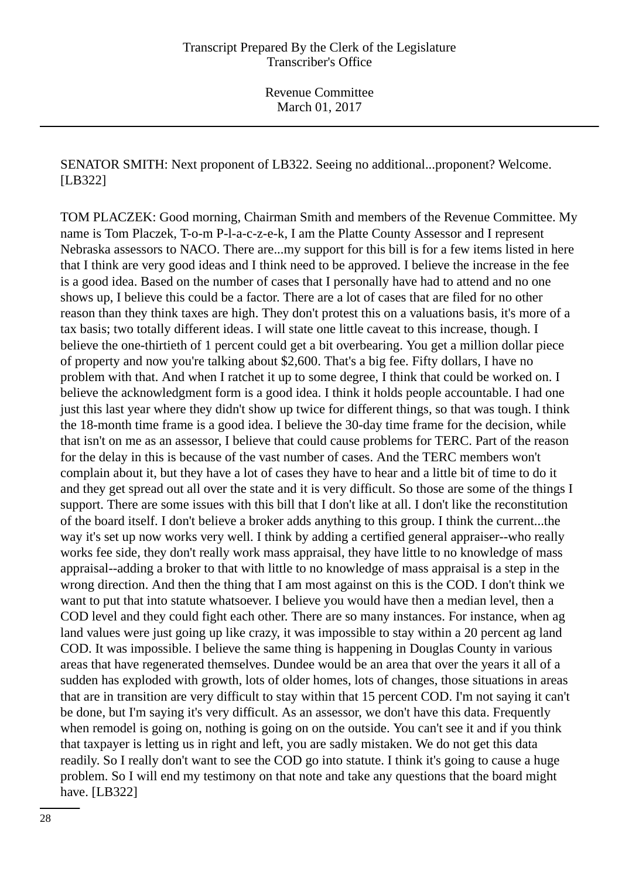# SENATOR SMITH: Next proponent of LB322. Seeing no additional...proponent? Welcome. [LB322]

TOM PLACZEK: Good morning, Chairman Smith and members of the Revenue Committee. My name is Tom Placzek, T-o-m P-l-a-c-z-e-k, I am the Platte County Assessor and I represent Nebraska assessors to NACO. There are...my support for this bill is for a few items listed in here that I think are very good ideas and I think need to be approved. I believe the increase in the fee is a good idea. Based on the number of cases that I personally have had to attend and no one shows up, I believe this could be a factor. There are a lot of cases that are filed for no other reason than they think taxes are high. They don't protest this on a valuations basis, it's more of a tax basis; two totally different ideas. I will state one little caveat to this increase, though. I believe the one-thirtieth of 1 percent could get a bit overbearing. You get a million dollar piece of property and now you're talking about \$2,600. That's a big fee. Fifty dollars, I have no problem with that. And when I ratchet it up to some degree, I think that could be worked on. I believe the acknowledgment form is a good idea. I think it holds people accountable. I had one just this last year where they didn't show up twice for different things, so that was tough. I think the 18-month time frame is a good idea. I believe the 30-day time frame for the decision, while that isn't on me as an assessor, I believe that could cause problems for TERC. Part of the reason for the delay in this is because of the vast number of cases. And the TERC members won't complain about it, but they have a lot of cases they have to hear and a little bit of time to do it and they get spread out all over the state and it is very difficult. So those are some of the things I support. There are some issues with this bill that I don't like at all. I don't like the reconstitution of the board itself. I don't believe a broker adds anything to this group. I think the current...the way it's set up now works very well. I think by adding a certified general appraiser--who really works fee side, they don't really work mass appraisal, they have little to no knowledge of mass appraisal--adding a broker to that with little to no knowledge of mass appraisal is a step in the wrong direction. And then the thing that I am most against on this is the COD. I don't think we want to put that into statute whatsoever. I believe you would have then a median level, then a COD level and they could fight each other. There are so many instances. For instance, when ag land values were just going up like crazy, it was impossible to stay within a 20 percent ag land COD. It was impossible. I believe the same thing is happening in Douglas County in various areas that have regenerated themselves. Dundee would be an area that over the years it all of a sudden has exploded with growth, lots of older homes, lots of changes, those situations in areas that are in transition are very difficult to stay within that 15 percent COD. I'm not saying it can't be done, but I'm saying it's very difficult. As an assessor, we don't have this data. Frequently when remodel is going on, nothing is going on on the outside. You can't see it and if you think that taxpayer is letting us in right and left, you are sadly mistaken. We do not get this data readily. So I really don't want to see the COD go into statute. I think it's going to cause a huge problem. So I will end my testimony on that note and take any questions that the board might have. [LB322]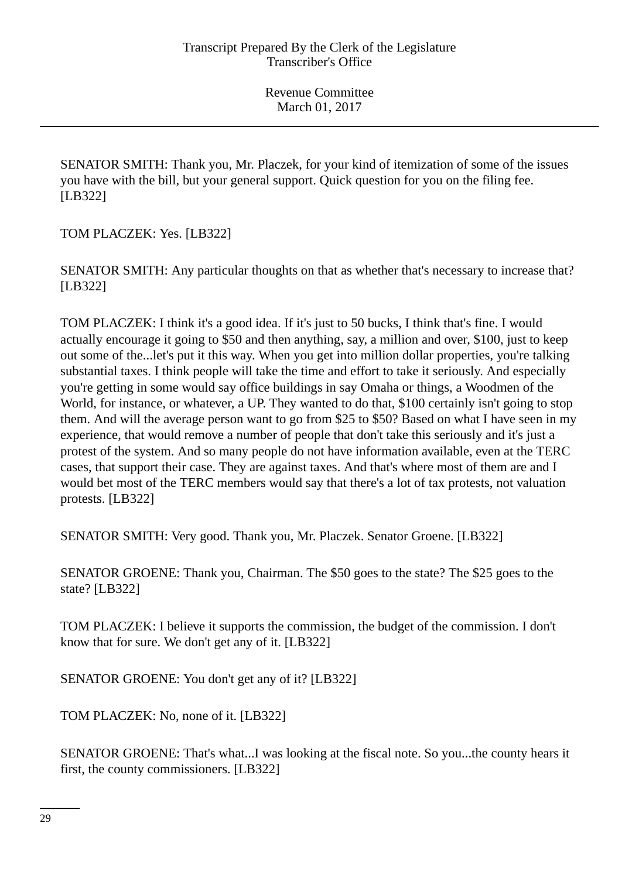SENATOR SMITH: Thank you, Mr. Placzek, for your kind of itemization of some of the issues you have with the bill, but your general support. Quick question for you on the filing fee. [LB322]

TOM PLACZEK: Yes. [LB322]

SENATOR SMITH: Any particular thoughts on that as whether that's necessary to increase that? [LB322]

TOM PLACZEK: I think it's a good idea. If it's just to 50 bucks, I think that's fine. I would actually encourage it going to \$50 and then anything, say, a million and over, \$100, just to keep out some of the...let's put it this way. When you get into million dollar properties, you're talking substantial taxes. I think people will take the time and effort to take it seriously. And especially you're getting in some would say office buildings in say Omaha or things, a Woodmen of the World, for instance, or whatever, a UP. They wanted to do that, \$100 certainly isn't going to stop them. And will the average person want to go from \$25 to \$50? Based on what I have seen in my experience, that would remove a number of people that don't take this seriously and it's just a protest of the system. And so many people do not have information available, even at the TERC cases, that support their case. They are against taxes. And that's where most of them are and I would bet most of the TERC members would say that there's a lot of tax protests, not valuation protests. [LB322]

SENATOR SMITH: Very good. Thank you, Mr. Placzek. Senator Groene. [LB322]

SENATOR GROENE: Thank you, Chairman. The \$50 goes to the state? The \$25 goes to the state? [LB322]

TOM PLACZEK: I believe it supports the commission, the budget of the commission. I don't know that for sure. We don't get any of it. [LB322]

SENATOR GROENE: You don't get any of it? [LB322]

TOM PLACZEK: No, none of it. [LB322]

SENATOR GROENE: That's what...I was looking at the fiscal note. So you...the county hears it first, the county commissioners. [LB322]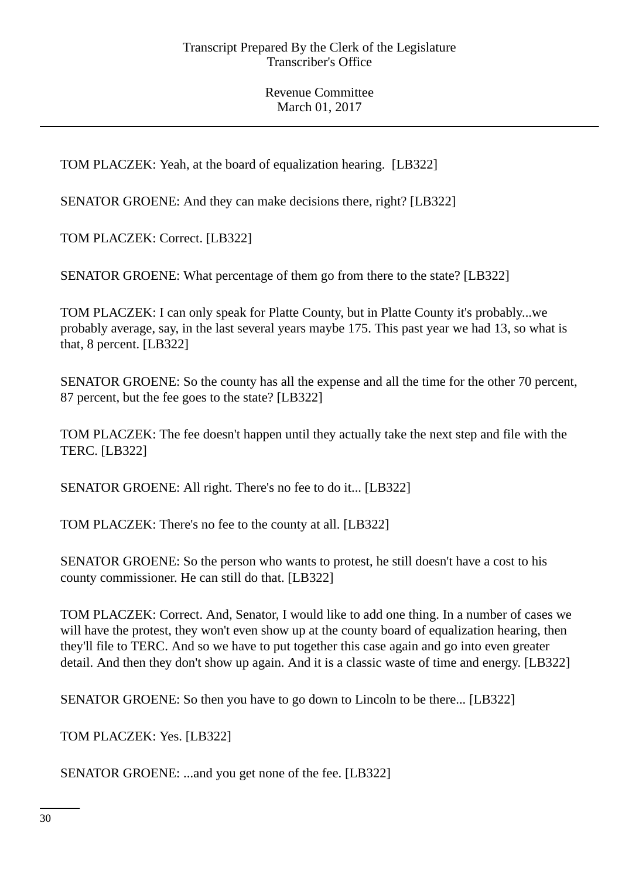TOM PLACZEK: Yeah, at the board of equalization hearing. [LB322]

SENATOR GROENE: And they can make decisions there, right? [LB322]

TOM PLACZEK: Correct. [LB322]

SENATOR GROENE: What percentage of them go from there to the state? [LB322]

TOM PLACZEK: I can only speak for Platte County, but in Platte County it's probably...we probably average, say, in the last several years maybe 175. This past year we had 13, so what is that, 8 percent. [LB322]

SENATOR GROENE: So the county has all the expense and all the time for the other 70 percent, 87 percent, but the fee goes to the state? [LB322]

TOM PLACZEK: The fee doesn't happen until they actually take the next step and file with the TERC. [LB322]

SENATOR GROENE: All right. There's no fee to do it... [LB322]

TOM PLACZEK: There's no fee to the county at all. [LB322]

SENATOR GROENE: So the person who wants to protest, he still doesn't have a cost to his county commissioner. He can still do that. [LB322]

TOM PLACZEK: Correct. And, Senator, I would like to add one thing. In a number of cases we will have the protest, they won't even show up at the county board of equalization hearing, then they'll file to TERC. And so we have to put together this case again and go into even greater detail. And then they don't show up again. And it is a classic waste of time and energy. [LB322]

SENATOR GROENE: So then you have to go down to Lincoln to be there... [LB322]

TOM PLACZEK: Yes. [LB322]

SENATOR GROENE: ...and you get none of the fee. [LB322]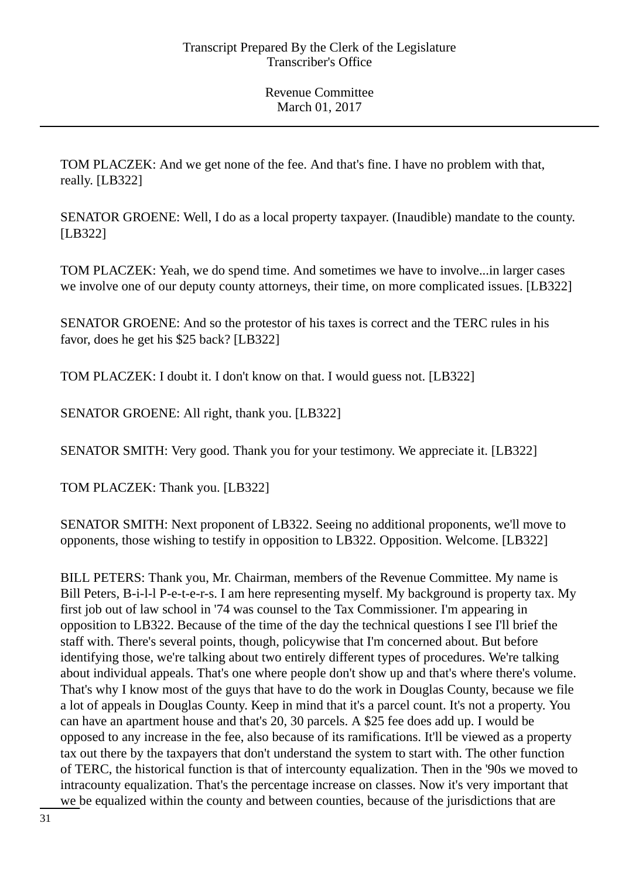TOM PLACZEK: And we get none of the fee. And that's fine. I have no problem with that, really. [LB322]

SENATOR GROENE: Well, I do as a local property taxpayer. (Inaudible) mandate to the county. [LB322]

TOM PLACZEK: Yeah, we do spend time. And sometimes we have to involve...in larger cases we involve one of our deputy county attorneys, their time, on more complicated issues. [LB322]

SENATOR GROENE: And so the protestor of his taxes is correct and the TERC rules in his favor, does he get his \$25 back? [LB322]

TOM PLACZEK: I doubt it. I don't know on that. I would guess not. [LB322]

SENATOR GROENE: All right, thank you. [LB322]

SENATOR SMITH: Very good. Thank you for your testimony. We appreciate it. [LB322]

TOM PLACZEK: Thank you. [LB322]

SENATOR SMITH: Next proponent of LB322. Seeing no additional proponents, we'll move to opponents, those wishing to testify in opposition to LB322. Opposition. Welcome. [LB322]

BILL PETERS: Thank you, Mr. Chairman, members of the Revenue Committee. My name is Bill Peters, B-i-l-l P-e-t-e-r-s. I am here representing myself. My background is property tax. My first job out of law school in '74 was counsel to the Tax Commissioner. I'm appearing in opposition to LB322. Because of the time of the day the technical questions I see I'll brief the staff with. There's several points, though, policywise that I'm concerned about. But before identifying those, we're talking about two entirely different types of procedures. We're talking about individual appeals. That's one where people don't show up and that's where there's volume. That's why I know most of the guys that have to do the work in Douglas County, because we file a lot of appeals in Douglas County. Keep in mind that it's a parcel count. It's not a property. You can have an apartment house and that's 20, 30 parcels. A \$25 fee does add up. I would be opposed to any increase in the fee, also because of its ramifications. It'll be viewed as a property tax out there by the taxpayers that don't understand the system to start with. The other function of TERC, the historical function is that of intercounty equalization. Then in the '90s we moved to intracounty equalization. That's the percentage increase on classes. Now it's very important that we be equalized within the county and between counties, because of the jurisdictions that are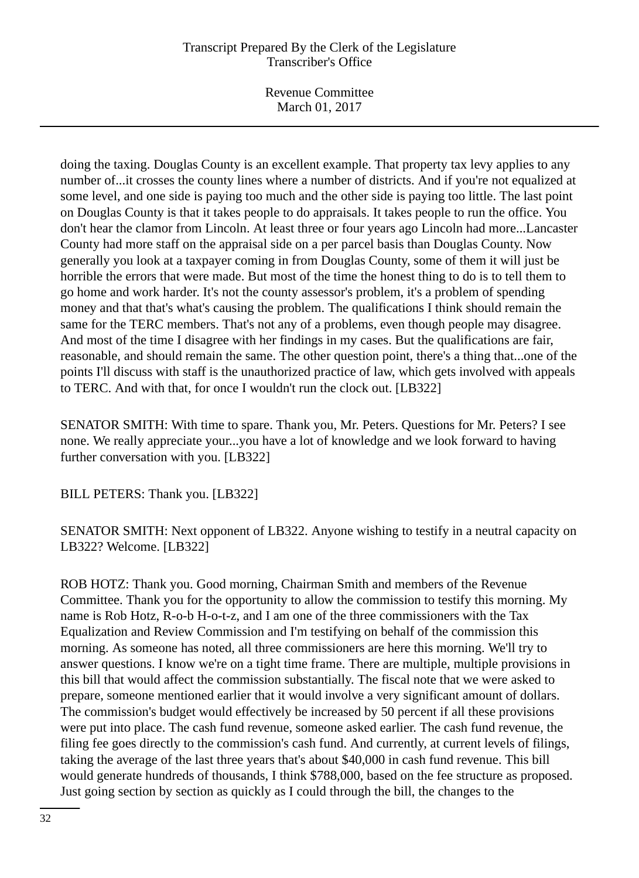Revenue Committee March 01, 2017

doing the taxing. Douglas County is an excellent example. That property tax levy applies to any number of...it crosses the county lines where a number of districts. And if you're not equalized at some level, and one side is paying too much and the other side is paying too little. The last point on Douglas County is that it takes people to do appraisals. It takes people to run the office. You don't hear the clamor from Lincoln. At least three or four years ago Lincoln had more...Lancaster County had more staff on the appraisal side on a per parcel basis than Douglas County. Now generally you look at a taxpayer coming in from Douglas County, some of them it will just be horrible the errors that were made. But most of the time the honest thing to do is to tell them to go home and work harder. It's not the county assessor's problem, it's a problem of spending money and that that's what's causing the problem. The qualifications I think should remain the same for the TERC members. That's not any of a problems, even though people may disagree. And most of the time I disagree with her findings in my cases. But the qualifications are fair, reasonable, and should remain the same. The other question point, there's a thing that...one of the points I'll discuss with staff is the unauthorized practice of law, which gets involved with appeals to TERC. And with that, for once I wouldn't run the clock out. [LB322]

SENATOR SMITH: With time to spare. Thank you, Mr. Peters. Questions for Mr. Peters? I see none. We really appreciate your...you have a lot of knowledge and we look forward to having further conversation with you. [LB322]

BILL PETERS: Thank you. [LB322]

SENATOR SMITH: Next opponent of LB322. Anyone wishing to testify in a neutral capacity on LB322? Welcome. [LB322]

ROB HOTZ: Thank you. Good morning, Chairman Smith and members of the Revenue Committee. Thank you for the opportunity to allow the commission to testify this morning. My name is Rob Hotz, R-o-b H-o-t-z, and I am one of the three commissioners with the Tax Equalization and Review Commission and I'm testifying on behalf of the commission this morning. As someone has noted, all three commissioners are here this morning. We'll try to answer questions. I know we're on a tight time frame. There are multiple, multiple provisions in this bill that would affect the commission substantially. The fiscal note that we were asked to prepare, someone mentioned earlier that it would involve a very significant amount of dollars. The commission's budget would effectively be increased by 50 percent if all these provisions were put into place. The cash fund revenue, someone asked earlier. The cash fund revenue, the filing fee goes directly to the commission's cash fund. And currently, at current levels of filings, taking the average of the last three years that's about \$40,000 in cash fund revenue. This bill would generate hundreds of thousands, I think \$788,000, based on the fee structure as proposed. Just going section by section as quickly as I could through the bill, the changes to the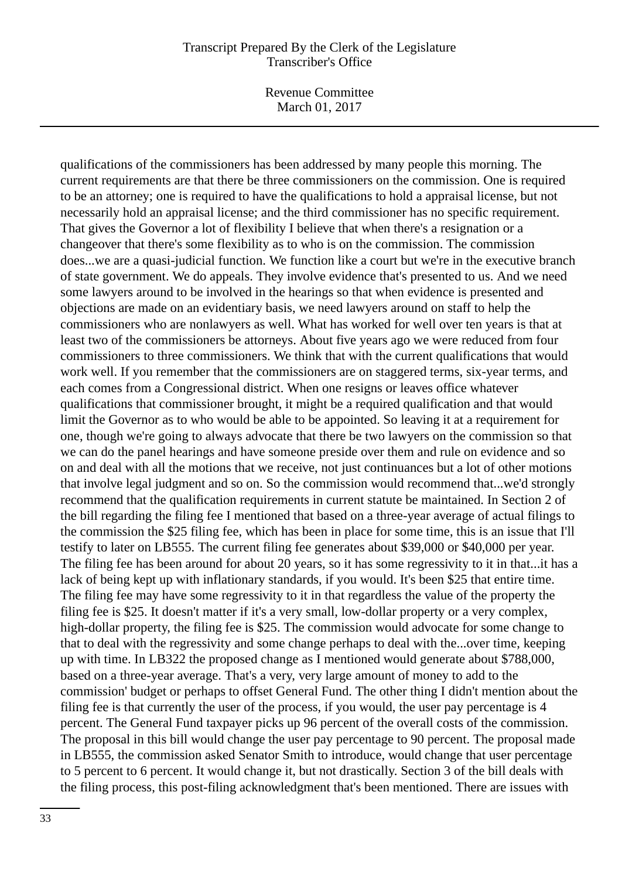Revenue Committee March 01, 2017

qualifications of the commissioners has been addressed by many people this morning. The current requirements are that there be three commissioners on the commission. One is required to be an attorney; one is required to have the qualifications to hold a appraisal license, but not necessarily hold an appraisal license; and the third commissioner has no specific requirement. That gives the Governor a lot of flexibility I believe that when there's a resignation or a changeover that there's some flexibility as to who is on the commission. The commission does...we are a quasi-judicial function. We function like a court but we're in the executive branch of state government. We do appeals. They involve evidence that's presented to us. And we need some lawyers around to be involved in the hearings so that when evidence is presented and objections are made on an evidentiary basis, we need lawyers around on staff to help the commissioners who are nonlawyers as well. What has worked for well over ten years is that at least two of the commissioners be attorneys. About five years ago we were reduced from four commissioners to three commissioners. We think that with the current qualifications that would work well. If you remember that the commissioners are on staggered terms, six-year terms, and each comes from a Congressional district. When one resigns or leaves office whatever qualifications that commissioner brought, it might be a required qualification and that would limit the Governor as to who would be able to be appointed. So leaving it at a requirement for one, though we're going to always advocate that there be two lawyers on the commission so that we can do the panel hearings and have someone preside over them and rule on evidence and so on and deal with all the motions that we receive, not just continuances but a lot of other motions that involve legal judgment and so on. So the commission would recommend that...we'd strongly recommend that the qualification requirements in current statute be maintained. In Section 2 of the bill regarding the filing fee I mentioned that based on a three-year average of actual filings to the commission the \$25 filing fee, which has been in place for some time, this is an issue that I'll testify to later on LB555. The current filing fee generates about \$39,000 or \$40,000 per year. The filing fee has been around for about 20 years, so it has some regressivity to it in that...it has a lack of being kept up with inflationary standards, if you would. It's been \$25 that entire time. The filing fee may have some regressivity to it in that regardless the value of the property the filing fee is \$25. It doesn't matter if it's a very small, low-dollar property or a very complex, high-dollar property, the filing fee is \$25. The commission would advocate for some change to that to deal with the regressivity and some change perhaps to deal with the...over time, keeping up with time. In LB322 the proposed change as I mentioned would generate about \$788,000, based on a three-year average. That's a very, very large amount of money to add to the commission' budget or perhaps to offset General Fund. The other thing I didn't mention about the filing fee is that currently the user of the process, if you would, the user pay percentage is 4 percent. The General Fund taxpayer picks up 96 percent of the overall costs of the commission. The proposal in this bill would change the user pay percentage to 90 percent. The proposal made in LB555, the commission asked Senator Smith to introduce, would change that user percentage to 5 percent to 6 percent. It would change it, but not drastically. Section 3 of the bill deals with the filing process, this post-filing acknowledgment that's been mentioned. There are issues with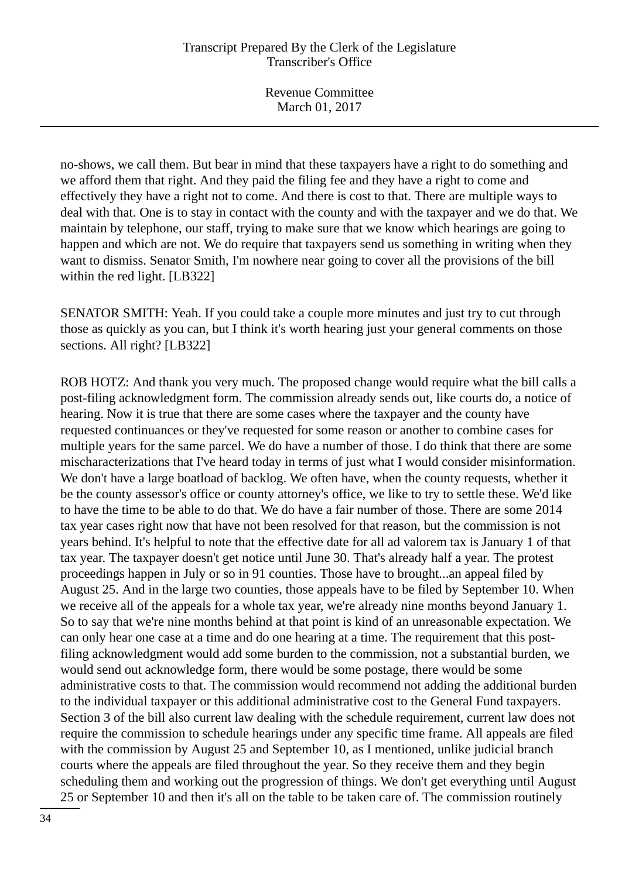no-shows, we call them. But bear in mind that these taxpayers have a right to do something and we afford them that right. And they paid the filing fee and they have a right to come and effectively they have a right not to come. And there is cost to that. There are multiple ways to deal with that. One is to stay in contact with the county and with the taxpayer and we do that. We maintain by telephone, our staff, trying to make sure that we know which hearings are going to happen and which are not. We do require that taxpayers send us something in writing when they want to dismiss. Senator Smith, I'm nowhere near going to cover all the provisions of the bill within the red light. [LB322]

SENATOR SMITH: Yeah. If you could take a couple more minutes and just try to cut through those as quickly as you can, but I think it's worth hearing just your general comments on those sections. All right? [LB322]

ROB HOTZ: And thank you very much. The proposed change would require what the bill calls a post-filing acknowledgment form. The commission already sends out, like courts do, a notice of hearing. Now it is true that there are some cases where the taxpayer and the county have requested continuances or they've requested for some reason or another to combine cases for multiple years for the same parcel. We do have a number of those. I do think that there are some mischaracterizations that I've heard today in terms of just what I would consider misinformation. We don't have a large boatload of backlog. We often have, when the county requests, whether it be the county assessor's office or county attorney's office, we like to try to settle these. We'd like to have the time to be able to do that. We do have a fair number of those. There are some 2014 tax year cases right now that have not been resolved for that reason, but the commission is not years behind. It's helpful to note that the effective date for all ad valorem tax is January 1 of that tax year. The taxpayer doesn't get notice until June 30. That's already half a year. The protest proceedings happen in July or so in 91 counties. Those have to brought...an appeal filed by August 25. And in the large two counties, those appeals have to be filed by September 10. When we receive all of the appeals for a whole tax year, we're already nine months beyond January 1. So to say that we're nine months behind at that point is kind of an unreasonable expectation. We can only hear one case at a time and do one hearing at a time. The requirement that this postfiling acknowledgment would add some burden to the commission, not a substantial burden, we would send out acknowledge form, there would be some postage, there would be some administrative costs to that. The commission would recommend not adding the additional burden to the individual taxpayer or this additional administrative cost to the General Fund taxpayers. Section 3 of the bill also current law dealing with the schedule requirement, current law does not require the commission to schedule hearings under any specific time frame. All appeals are filed with the commission by August 25 and September 10, as I mentioned, unlike judicial branch courts where the appeals are filed throughout the year. So they receive them and they begin scheduling them and working out the progression of things. We don't get everything until August 25 or September 10 and then it's all on the table to be taken care of. The commission routinely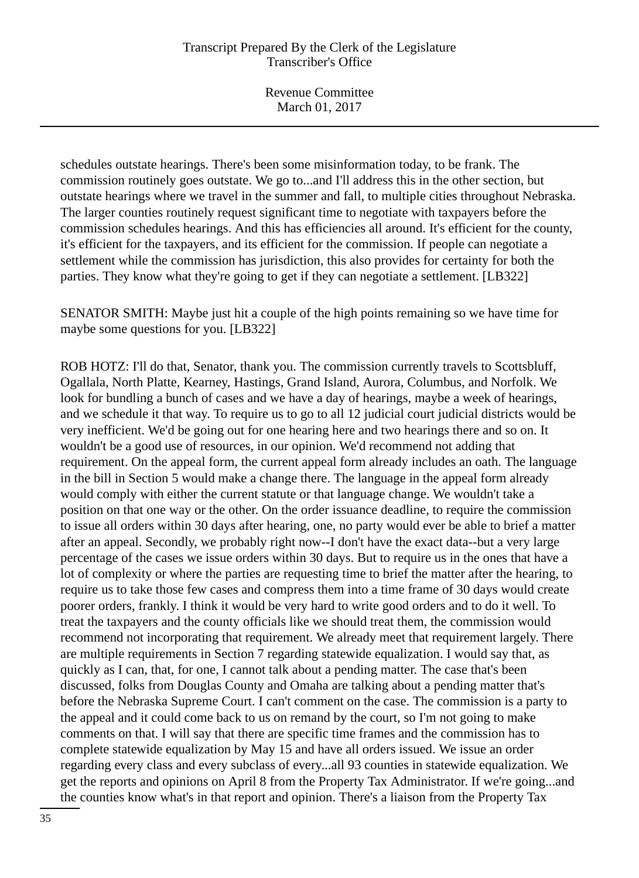Revenue Committee March 01, 2017

schedules outstate hearings. There's been some misinformation today, to be frank. The commission routinely goes outstate. We go to...and I'll address this in the other section, but outstate hearings where we travel in the summer and fall, to multiple cities throughout Nebraska. The larger counties routinely request significant time to negotiate with taxpayers before the commission schedules hearings. And this has efficiencies all around. It's efficient for the county, it's efficient for the taxpayers, and its efficient for the commission. If people can negotiate a settlement while the commission has jurisdiction, this also provides for certainty for both the parties. They know what they're going to get if they can negotiate a settlement. [LB322]

SENATOR SMITH: Maybe just hit a couple of the high points remaining so we have time for maybe some questions for you. [LB322]

ROB HOTZ: I'll do that, Senator, thank you. The commission currently travels to Scottsbluff, Ogallala, North Platte, Kearney, Hastings, Grand Island, Aurora, Columbus, and Norfolk. We look for bundling a bunch of cases and we have a day of hearings, maybe a week of hearings, and we schedule it that way. To require us to go to all 12 judicial court judicial districts would be very inefficient. We'd be going out for one hearing here and two hearings there and so on. It wouldn't be a good use of resources, in our opinion. We'd recommend not adding that requirement. On the appeal form, the current appeal form already includes an oath. The language in the bill in Section 5 would make a change there. The language in the appeal form already would comply with either the current statute or that language change. We wouldn't take a position on that one way or the other. On the order issuance deadline, to require the commission to issue all orders within 30 days after hearing, one, no party would ever be able to brief a matter after an appeal. Secondly, we probably right now--I don't have the exact data--but a very large percentage of the cases we issue orders within 30 days. But to require us in the ones that have a lot of complexity or where the parties are requesting time to brief the matter after the hearing, to require us to take those few cases and compress them into a time frame of 30 days would create poorer orders, frankly. I think it would be very hard to write good orders and to do it well. To treat the taxpayers and the county officials like we should treat them, the commission would recommend not incorporating that requirement. We already meet that requirement largely. There are multiple requirements in Section 7 regarding statewide equalization. I would say that, as quickly as I can, that, for one, I cannot talk about a pending matter. The case that's been discussed, folks from Douglas County and Omaha are talking about a pending matter that's before the Nebraska Supreme Court. I can't comment on the case. The commission is a party to the appeal and it could come back to us on remand by the court, so I'm not going to make comments on that. I will say that there are specific time frames and the commission has to complete statewide equalization by May 15 and have all orders issued. We issue an order regarding every class and every subclass of every...all 93 counties in statewide equalization. We get the reports and opinions on April 8 from the Property Tax Administrator. If we're going...and the counties know what's in that report and opinion. There's a liaison from the Property Tax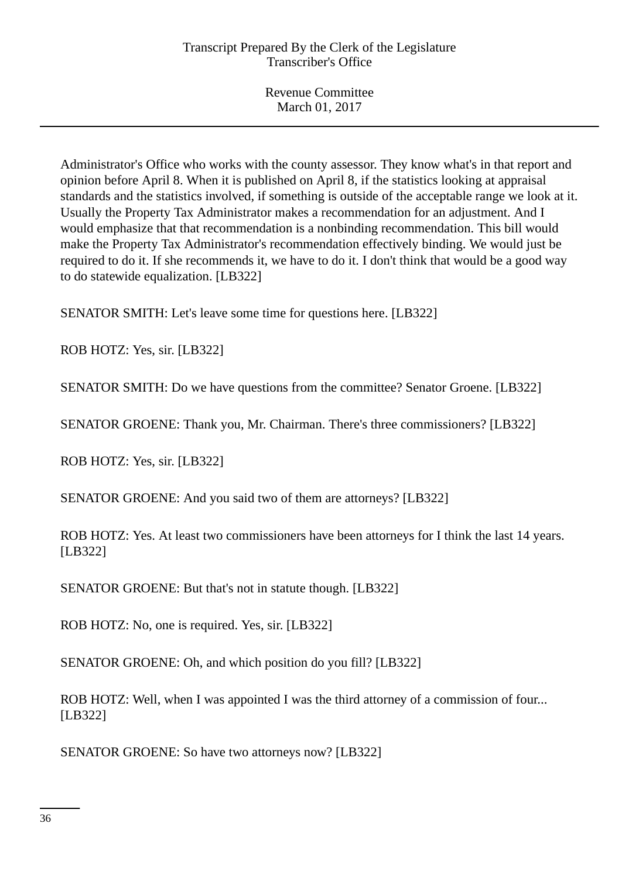Administrator's Office who works with the county assessor. They know what's in that report and opinion before April 8. When it is published on April 8, if the statistics looking at appraisal standards and the statistics involved, if something is outside of the acceptable range we look at it. Usually the Property Tax Administrator makes a recommendation for an adjustment. And I would emphasize that that recommendation is a nonbinding recommendation. This bill would make the Property Tax Administrator's recommendation effectively binding. We would just be required to do it. If she recommends it, we have to do it. I don't think that would be a good way to do statewide equalization. [LB322]

SENATOR SMITH: Let's leave some time for questions here. [LB322]

ROB HOTZ: Yes, sir. [LB322]

SENATOR SMITH: Do we have questions from the committee? Senator Groene. [LB322]

SENATOR GROENE: Thank you, Mr. Chairman. There's three commissioners? [LB322]

ROB HOTZ: Yes, sir. [LB322]

SENATOR GROENE: And you said two of them are attorneys? [LB322]

ROB HOTZ: Yes. At least two commissioners have been attorneys for I think the last 14 years. [LB322]

SENATOR GROENE: But that's not in statute though. [LB322]

ROB HOTZ: No, one is required. Yes, sir. [LB322]

SENATOR GROENE: Oh, and which position do you fill? [LB322]

ROB HOTZ: Well, when I was appointed I was the third attorney of a commission of four... [LB322]

SENATOR GROENE: So have two attorneys now? [LB322]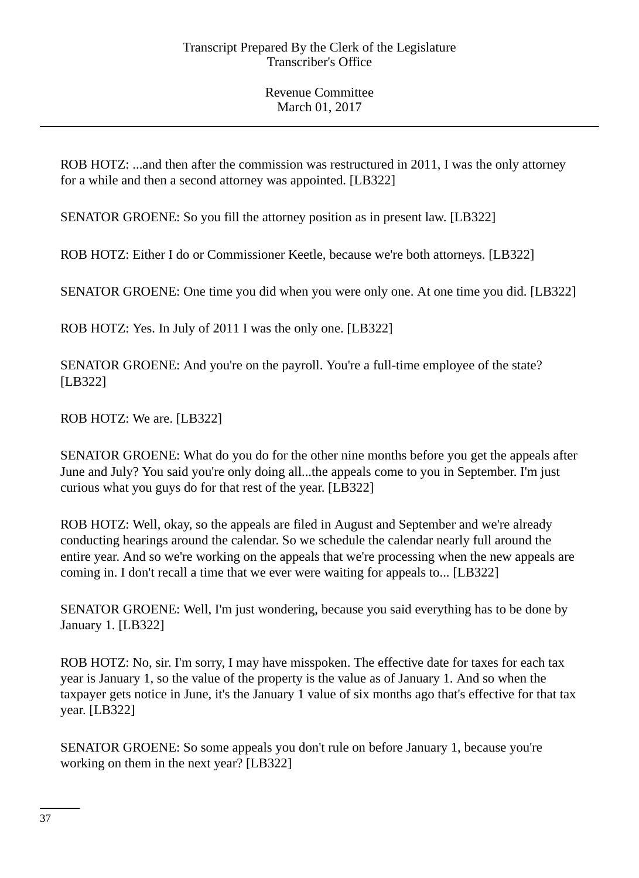ROB HOTZ: ...and then after the commission was restructured in 2011, I was the only attorney for a while and then a second attorney was appointed. [LB322]

SENATOR GROENE: So you fill the attorney position as in present law. [LB322]

ROB HOTZ: Either I do or Commissioner Keetle, because we're both attorneys. [LB322]

SENATOR GROENE: One time you did when you were only one. At one time you did. [LB322]

ROB HOTZ: Yes. In July of 2011 I was the only one. [LB322]

SENATOR GROENE: And you're on the payroll. You're a full-time employee of the state? [LB322]

ROB HOTZ: We are. [LB322]

SENATOR GROENE: What do you do for the other nine months before you get the appeals after June and July? You said you're only doing all...the appeals come to you in September. I'm just curious what you guys do for that rest of the year. [LB322]

ROB HOTZ: Well, okay, so the appeals are filed in August and September and we're already conducting hearings around the calendar. So we schedule the calendar nearly full around the entire year. And so we're working on the appeals that we're processing when the new appeals are coming in. I don't recall a time that we ever were waiting for appeals to... [LB322]

SENATOR GROENE: Well, I'm just wondering, because you said everything has to be done by January 1. [LB322]

ROB HOTZ: No, sir. I'm sorry, I may have misspoken. The effective date for taxes for each tax year is January 1, so the value of the property is the value as of January 1. And so when the taxpayer gets notice in June, it's the January 1 value of six months ago that's effective for that tax year. [LB322]

SENATOR GROENE: So some appeals you don't rule on before January 1, because you're working on them in the next year? [LB322]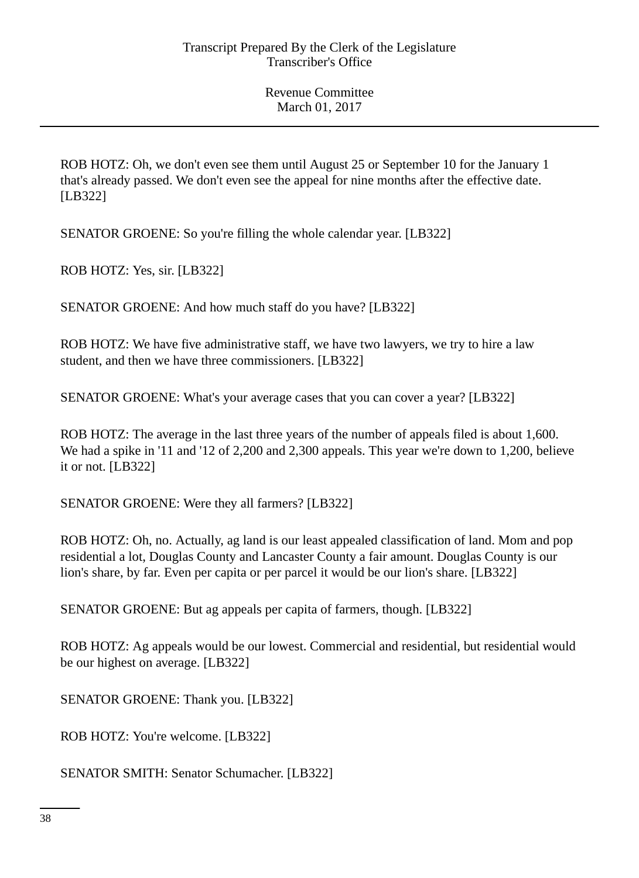ROB HOTZ: Oh, we don't even see them until August 25 or September 10 for the January 1 that's already passed. We don't even see the appeal for nine months after the effective date. [LB322]

SENATOR GROENE: So you're filling the whole calendar year. [LB322]

ROB HOTZ: Yes, sir. [LB322]

SENATOR GROENE: And how much staff do you have? [LB322]

ROB HOTZ: We have five administrative staff, we have two lawyers, we try to hire a law student, and then we have three commissioners. [LB322]

SENATOR GROENE: What's your average cases that you can cover a year? [LB322]

ROB HOTZ: The average in the last three years of the number of appeals filed is about 1,600. We had a spike in '11 and '12 of 2,200 and 2,300 appeals. This year we're down to 1,200, believe it or not. [LB322]

SENATOR GROENE: Were they all farmers? [LB322]

ROB HOTZ: Oh, no. Actually, ag land is our least appealed classification of land. Mom and pop residential a lot, Douglas County and Lancaster County a fair amount. Douglas County is our lion's share, by far. Even per capita or per parcel it would be our lion's share. [LB322]

SENATOR GROENE: But ag appeals per capita of farmers, though. [LB322]

ROB HOTZ: Ag appeals would be our lowest. Commercial and residential, but residential would be our highest on average. [LB322]

SENATOR GROENE: Thank you. [LB322]

ROB HOTZ: You're welcome. [LB322]

SENATOR SMITH: Senator Schumacher. [LB322]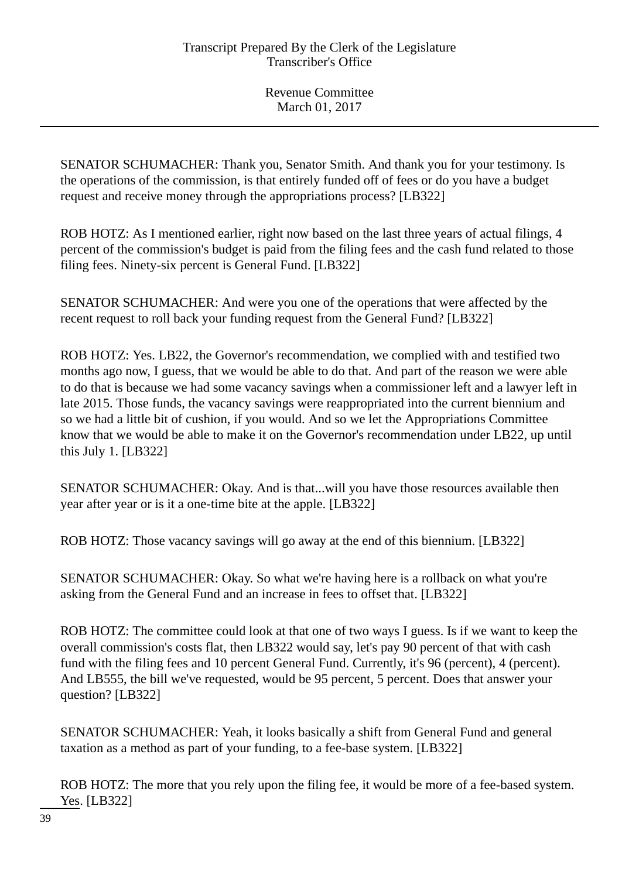SENATOR SCHUMACHER: Thank you, Senator Smith. And thank you for your testimony. Is the operations of the commission, is that entirely funded off of fees or do you have a budget request and receive money through the appropriations process? [LB322]

ROB HOTZ: As I mentioned earlier, right now based on the last three years of actual filings, 4 percent of the commission's budget is paid from the filing fees and the cash fund related to those filing fees. Ninety-six percent is General Fund. [LB322]

SENATOR SCHUMACHER: And were you one of the operations that were affected by the recent request to roll back your funding request from the General Fund? [LB322]

ROB HOTZ: Yes. LB22, the Governor's recommendation, we complied with and testified two months ago now, I guess, that we would be able to do that. And part of the reason we were able to do that is because we had some vacancy savings when a commissioner left and a lawyer left in late 2015. Those funds, the vacancy savings were reappropriated into the current biennium and so we had a little bit of cushion, if you would. And so we let the Appropriations Committee know that we would be able to make it on the Governor's recommendation under LB22, up until this July 1. [LB322]

SENATOR SCHUMACHER: Okay. And is that...will you have those resources available then year after year or is it a one-time bite at the apple. [LB322]

ROB HOTZ: Those vacancy savings will go away at the end of this biennium. [LB322]

SENATOR SCHUMACHER: Okay. So what we're having here is a rollback on what you're asking from the General Fund and an increase in fees to offset that. [LB322]

ROB HOTZ: The committee could look at that one of two ways I guess. Is if we want to keep the overall commission's costs flat, then LB322 would say, let's pay 90 percent of that with cash fund with the filing fees and 10 percent General Fund. Currently, it's 96 (percent), 4 (percent). And LB555, the bill we've requested, would be 95 percent, 5 percent. Does that answer your question? [LB322]

SENATOR SCHUMACHER: Yeah, it looks basically a shift from General Fund and general taxation as a method as part of your funding, to a fee-base system. [LB322]

ROB HOTZ: The more that you rely upon the filing fee, it would be more of a fee-based system. Yes. [LB322]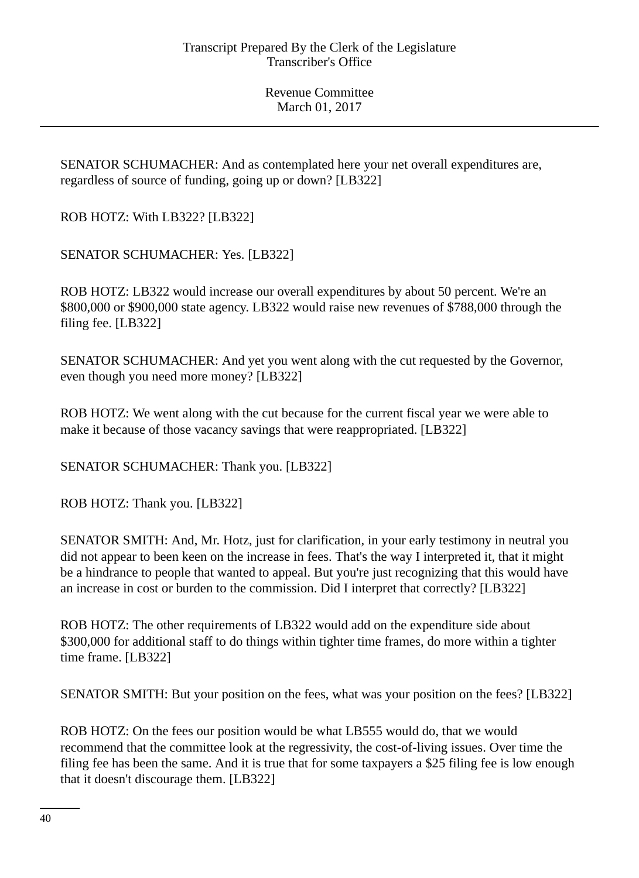SENATOR SCHUMACHER: And as contemplated here your net overall expenditures are, regardless of source of funding, going up or down? [LB322]

ROB HOTZ: With LB322? [LB322]

SENATOR SCHUMACHER: Yes. [LB322]

ROB HOTZ: LB322 would increase our overall expenditures by about 50 percent. We're an \$800,000 or \$900,000 state agency. LB322 would raise new revenues of \$788,000 through the filing fee. [LB322]

SENATOR SCHUMACHER: And yet you went along with the cut requested by the Governor, even though you need more money? [LB322]

ROB HOTZ: We went along with the cut because for the current fiscal year we were able to make it because of those vacancy savings that were reappropriated. [LB322]

SENATOR SCHUMACHER: Thank you. [LB322]

ROB HOTZ: Thank you. [LB322]

SENATOR SMITH: And, Mr. Hotz, just for clarification, in your early testimony in neutral you did not appear to been keen on the increase in fees. That's the way I interpreted it, that it might be a hindrance to people that wanted to appeal. But you're just recognizing that this would have an increase in cost or burden to the commission. Did I interpret that correctly? [LB322]

ROB HOTZ: The other requirements of LB322 would add on the expenditure side about \$300,000 for additional staff to do things within tighter time frames, do more within a tighter time frame. [LB322]

SENATOR SMITH: But your position on the fees, what was your position on the fees? [LB322]

ROB HOTZ: On the fees our position would be what LB555 would do, that we would recommend that the committee look at the regressivity, the cost-of-living issues. Over time the filing fee has been the same. And it is true that for some taxpayers a \$25 filing fee is low enough that it doesn't discourage them. [LB322]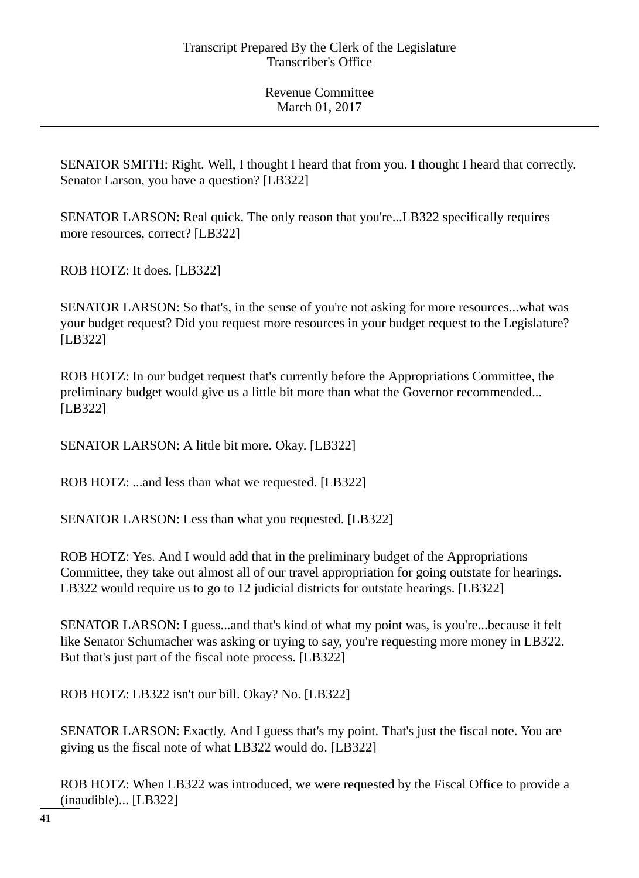SENATOR SMITH: Right. Well, I thought I heard that from you. I thought I heard that correctly. Senator Larson, you have a question? [LB322]

SENATOR LARSON: Real quick. The only reason that you're...LB322 specifically requires more resources, correct? [LB322]

ROB HOTZ: It does. [LB322]

SENATOR LARSON: So that's, in the sense of you're not asking for more resources...what was your budget request? Did you request more resources in your budget request to the Legislature? [LB322]

ROB HOTZ: In our budget request that's currently before the Appropriations Committee, the preliminary budget would give us a little bit more than what the Governor recommended... [LB322]

SENATOR LARSON: A little bit more. Okay. [LB322]

ROB HOTZ: ...and less than what we requested. [LB322]

SENATOR LARSON: Less than what you requested. [LB322]

ROB HOTZ: Yes. And I would add that in the preliminary budget of the Appropriations Committee, they take out almost all of our travel appropriation for going outstate for hearings. LB322 would require us to go to 12 judicial districts for outstate hearings. [LB322]

SENATOR LARSON: I guess...and that's kind of what my point was, is you're...because it felt like Senator Schumacher was asking or trying to say, you're requesting more money in LB322. But that's just part of the fiscal note process. [LB322]

ROB HOTZ: LB322 isn't our bill. Okay? No. [LB322]

SENATOR LARSON: Exactly. And I guess that's my point. That's just the fiscal note. You are giving us the fiscal note of what LB322 would do. [LB322]

ROB HOTZ: When LB322 was introduced, we were requested by the Fiscal Office to provide a (inaudible)... [LB322]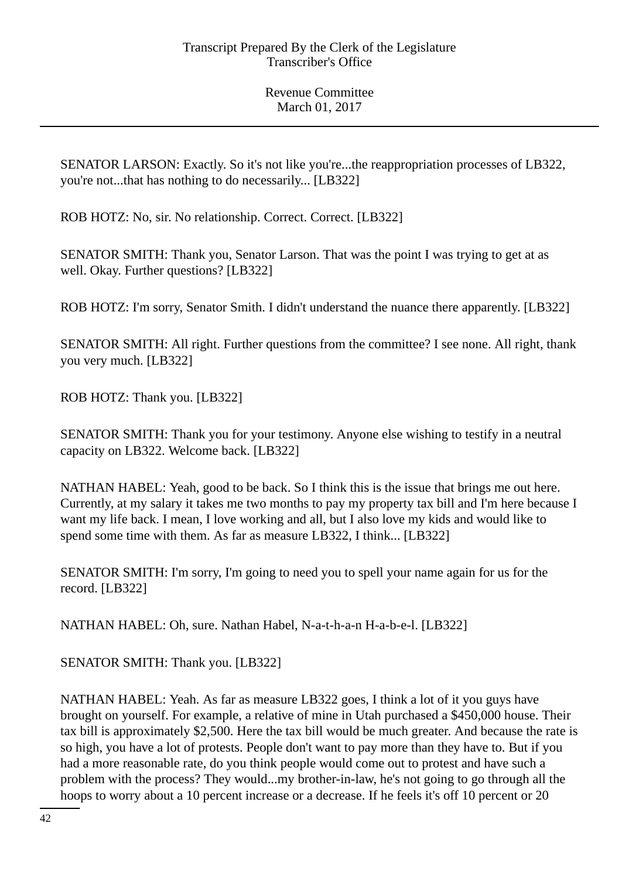SENATOR LARSON: Exactly. So it's not like you're...the reappropriation processes of LB322, you're not...that has nothing to do necessarily... [LB322]

ROB HOTZ: No, sir. No relationship. Correct. Correct. [LB322]

SENATOR SMITH: Thank you, Senator Larson. That was the point I was trying to get at as well. Okay. Further questions? [LB322]

ROB HOTZ: I'm sorry, Senator Smith. I didn't understand the nuance there apparently. [LB322]

SENATOR SMITH: All right. Further questions from the committee? I see none. All right, thank you very much. [LB322]

ROB HOTZ: Thank you. [LB322]

SENATOR SMITH: Thank you for your testimony. Anyone else wishing to testify in a neutral capacity on LB322. Welcome back. [LB322]

NATHAN HABEL: Yeah, good to be back. So I think this is the issue that brings me out here. Currently, at my salary it takes me two months to pay my property tax bill and I'm here because I want my life back. I mean, I love working and all, but I also love my kids and would like to spend some time with them. As far as measure LB322, I think... [LB322]

SENATOR SMITH: I'm sorry, I'm going to need you to spell your name again for us for the record. [LB322]

NATHAN HABEL: Oh, sure. Nathan Habel, N-a-t-h-a-n H-a-b-e-l. [LB322]

SENATOR SMITH: Thank you. [LB322]

NATHAN HABEL: Yeah. As far as measure LB322 goes, I think a lot of it you guys have brought on yourself. For example, a relative of mine in Utah purchased a \$450,000 house. Their tax bill is approximately \$2,500. Here the tax bill would be much greater. And because the rate is so high, you have a lot of protests. People don't want to pay more than they have to. But if you had a more reasonable rate, do you think people would come out to protest and have such a problem with the process? They would...my brother-in-law, he's not going to go through all the hoops to worry about a 10 percent increase or a decrease. If he feels it's off 10 percent or 20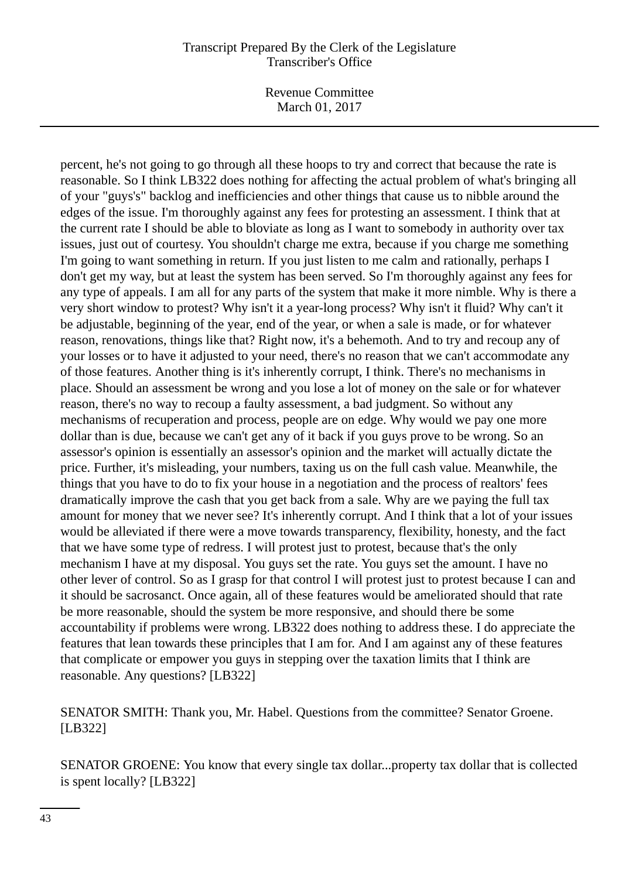Revenue Committee March 01, 2017

percent, he's not going to go through all these hoops to try and correct that because the rate is reasonable. So I think LB322 does nothing for affecting the actual problem of what's bringing all of your "guys's" backlog and inefficiencies and other things that cause us to nibble around the edges of the issue. I'm thoroughly against any fees for protesting an assessment. I think that at the current rate I should be able to bloviate as long as I want to somebody in authority over tax issues, just out of courtesy. You shouldn't charge me extra, because if you charge me something I'm going to want something in return. If you just listen to me calm and rationally, perhaps I don't get my way, but at least the system has been served. So I'm thoroughly against any fees for any type of appeals. I am all for any parts of the system that make it more nimble. Why is there a very short window to protest? Why isn't it a year-long process? Why isn't it fluid? Why can't it be adjustable, beginning of the year, end of the year, or when a sale is made, or for whatever reason, renovations, things like that? Right now, it's a behemoth. And to try and recoup any of your losses or to have it adjusted to your need, there's no reason that we can't accommodate any of those features. Another thing is it's inherently corrupt, I think. There's no mechanisms in place. Should an assessment be wrong and you lose a lot of money on the sale or for whatever reason, there's no way to recoup a faulty assessment, a bad judgment. So without any mechanisms of recuperation and process, people are on edge. Why would we pay one more dollar than is due, because we can't get any of it back if you guys prove to be wrong. So an assessor's opinion is essentially an assessor's opinion and the market will actually dictate the price. Further, it's misleading, your numbers, taxing us on the full cash value. Meanwhile, the things that you have to do to fix your house in a negotiation and the process of realtors' fees dramatically improve the cash that you get back from a sale. Why are we paying the full tax amount for money that we never see? It's inherently corrupt. And I think that a lot of your issues would be alleviated if there were a move towards transparency, flexibility, honesty, and the fact that we have some type of redress. I will protest just to protest, because that's the only mechanism I have at my disposal. You guys set the rate. You guys set the amount. I have no other lever of control. So as I grasp for that control I will protest just to protest because I can and it should be sacrosanct. Once again, all of these features would be ameliorated should that rate be more reasonable, should the system be more responsive, and should there be some accountability if problems were wrong. LB322 does nothing to address these. I do appreciate the features that lean towards these principles that I am for. And I am against any of these features that complicate or empower you guys in stepping over the taxation limits that I think are reasonable. Any questions? [LB322]

## SENATOR SMITH: Thank you, Mr. Habel. Questions from the committee? Senator Groene. [LB322]

SENATOR GROENE: You know that every single tax dollar...property tax dollar that is collected is spent locally? [LB322]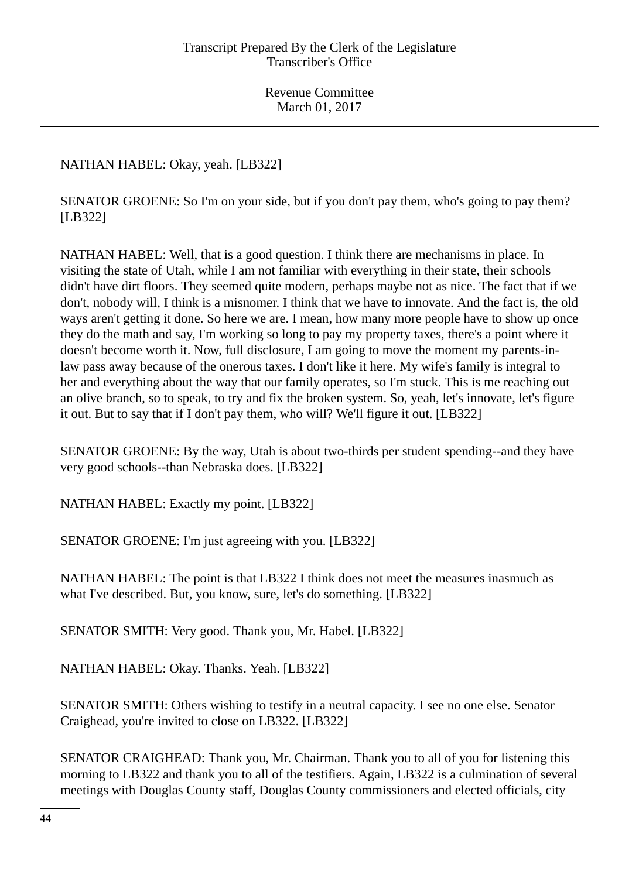NATHAN HABEL: Okay, yeah. [LB322]

SENATOR GROENE: So I'm on your side, but if you don't pay them, who's going to pay them? [LB322]

NATHAN HABEL: Well, that is a good question. I think there are mechanisms in place. In visiting the state of Utah, while I am not familiar with everything in their state, their schools didn't have dirt floors. They seemed quite modern, perhaps maybe not as nice. The fact that if we don't, nobody will, I think is a misnomer. I think that we have to innovate. And the fact is, the old ways aren't getting it done. So here we are. I mean, how many more people have to show up once they do the math and say, I'm working so long to pay my property taxes, there's a point where it doesn't become worth it. Now, full disclosure, I am going to move the moment my parents-inlaw pass away because of the onerous taxes. I don't like it here. My wife's family is integral to her and everything about the way that our family operates, so I'm stuck. This is me reaching out an olive branch, so to speak, to try and fix the broken system. So, yeah, let's innovate, let's figure it out. But to say that if I don't pay them, who will? We'll figure it out. [LB322]

SENATOR GROENE: By the way, Utah is about two-thirds per student spending--and they have very good schools--than Nebraska does. [LB322]

NATHAN HABEL: Exactly my point. [LB322]

SENATOR GROENE: I'm just agreeing with you. [LB322]

NATHAN HABEL: The point is that LB322 I think does not meet the measures inasmuch as what I've described. But, you know, sure, let's do something. [LB322]

SENATOR SMITH: Very good. Thank you, Mr. Habel. [LB322]

NATHAN HABEL: Okay. Thanks. Yeah. [LB322]

SENATOR SMITH: Others wishing to testify in a neutral capacity. I see no one else. Senator Craighead, you're invited to close on LB322. [LB322]

SENATOR CRAIGHEAD: Thank you, Mr. Chairman. Thank you to all of you for listening this morning to LB322 and thank you to all of the testifiers. Again, LB322 is a culmination of several meetings with Douglas County staff, Douglas County commissioners and elected officials, city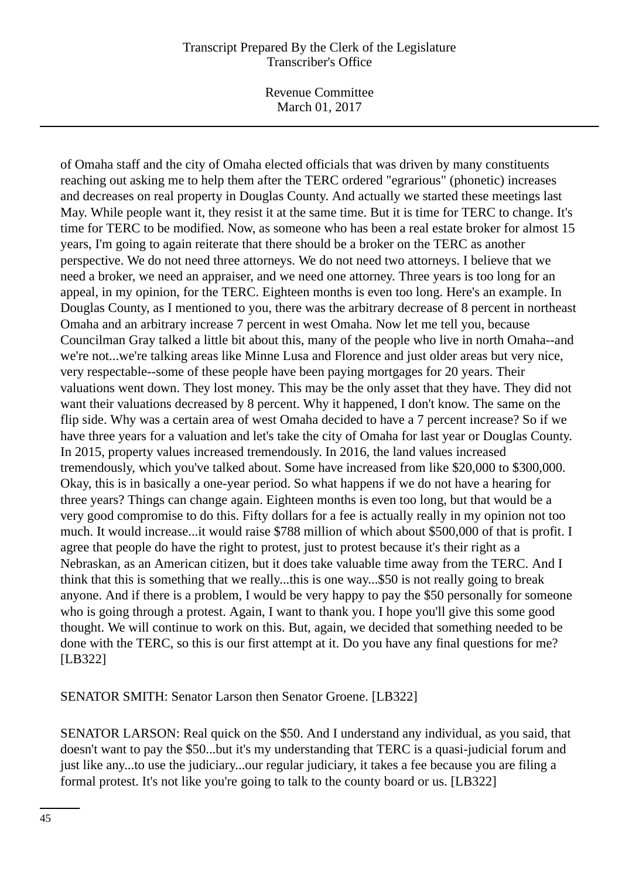Revenue Committee March 01, 2017

of Omaha staff and the city of Omaha elected officials that was driven by many constituents reaching out asking me to help them after the TERC ordered "egrarious" (phonetic) increases and decreases on real property in Douglas County. And actually we started these meetings last May. While people want it, they resist it at the same time. But it is time for TERC to change. It's time for TERC to be modified. Now, as someone who has been a real estate broker for almost 15 years, I'm going to again reiterate that there should be a broker on the TERC as another perspective. We do not need three attorneys. We do not need two attorneys. I believe that we need a broker, we need an appraiser, and we need one attorney. Three years is too long for an appeal, in my opinion, for the TERC. Eighteen months is even too long. Here's an example. In Douglas County, as I mentioned to you, there was the arbitrary decrease of 8 percent in northeast Omaha and an arbitrary increase 7 percent in west Omaha. Now let me tell you, because Councilman Gray talked a little bit about this, many of the people who live in north Omaha--and we're not...we're talking areas like Minne Lusa and Florence and just older areas but very nice, very respectable--some of these people have been paying mortgages for 20 years. Their valuations went down. They lost money. This may be the only asset that they have. They did not want their valuations decreased by 8 percent. Why it happened, I don't know. The same on the flip side. Why was a certain area of west Omaha decided to have a 7 percent increase? So if we have three years for a valuation and let's take the city of Omaha for last year or Douglas County. In 2015, property values increased tremendously. In 2016, the land values increased tremendously, which you've talked about. Some have increased from like \$20,000 to \$300,000. Okay, this is in basically a one-year period. So what happens if we do not have a hearing for three years? Things can change again. Eighteen months is even too long, but that would be a very good compromise to do this. Fifty dollars for a fee is actually really in my opinion not too much. It would increase...it would raise \$788 million of which about \$500,000 of that is profit. I agree that people do have the right to protest, just to protest because it's their right as a Nebraskan, as an American citizen, but it does take valuable time away from the TERC. And I think that this is something that we really...this is one way...\$50 is not really going to break anyone. And if there is a problem, I would be very happy to pay the \$50 personally for someone who is going through a protest. Again, I want to thank you. I hope you'll give this some good thought. We will continue to work on this. But, again, we decided that something needed to be done with the TERC, so this is our first attempt at it. Do you have any final questions for me? [LB322]

SENATOR SMITH: Senator Larson then Senator Groene. [LB322]

SENATOR LARSON: Real quick on the \$50. And I understand any individual, as you said, that doesn't want to pay the \$50...but it's my understanding that TERC is a quasi-judicial forum and just like any...to use the judiciary...our regular judiciary, it takes a fee because you are filing a formal protest. It's not like you're going to talk to the county board or us. [LB322]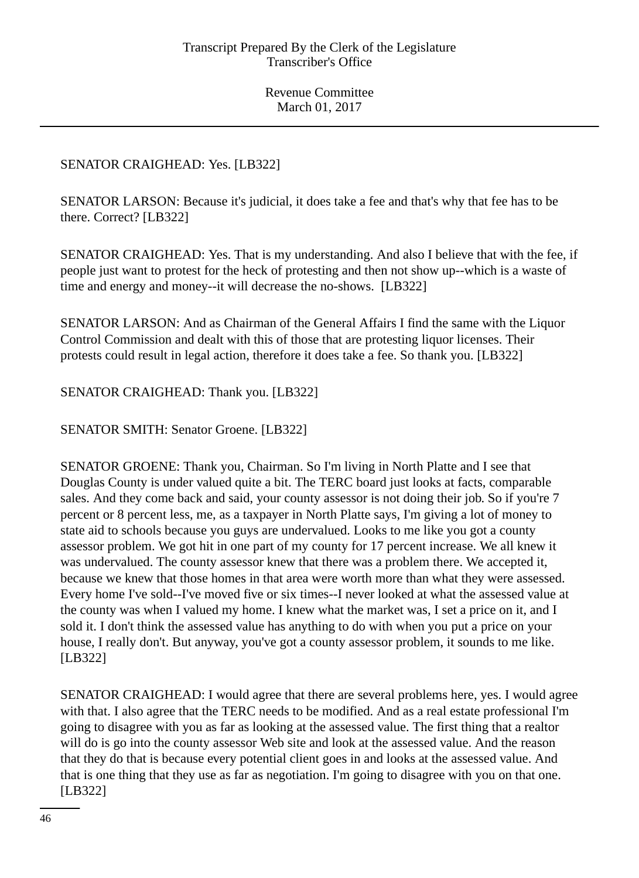# SENATOR CRAIGHEAD: Yes. [LB322]

SENATOR LARSON: Because it's judicial, it does take a fee and that's why that fee has to be there. Correct? [LB322]

SENATOR CRAIGHEAD: Yes. That is my understanding. And also I believe that with the fee, if people just want to protest for the heck of protesting and then not show up--which is a waste of time and energy and money--it will decrease the no-shows. [LB322]

SENATOR LARSON: And as Chairman of the General Affairs I find the same with the Liquor Control Commission and dealt with this of those that are protesting liquor licenses. Their protests could result in legal action, therefore it does take a fee. So thank you. [LB322]

SENATOR CRAIGHEAD: Thank you. [LB322]

SENATOR SMITH: Senator Groene. [LB322]

SENATOR GROENE: Thank you, Chairman. So I'm living in North Platte and I see that Douglas County is under valued quite a bit. The TERC board just looks at facts, comparable sales. And they come back and said, your county assessor is not doing their job. So if you're 7 percent or 8 percent less, me, as a taxpayer in North Platte says, I'm giving a lot of money to state aid to schools because you guys are undervalued. Looks to me like you got a county assessor problem. We got hit in one part of my county for 17 percent increase. We all knew it was undervalued. The county assessor knew that there was a problem there. We accepted it, because we knew that those homes in that area were worth more than what they were assessed. Every home I've sold--I've moved five or six times--I never looked at what the assessed value at the county was when I valued my home. I knew what the market was, I set a price on it, and I sold it. I don't think the assessed value has anything to do with when you put a price on your house, I really don't. But anyway, you've got a county assessor problem, it sounds to me like. [LB322]

SENATOR CRAIGHEAD: I would agree that there are several problems here, yes. I would agree with that. I also agree that the TERC needs to be modified. And as a real estate professional I'm going to disagree with you as far as looking at the assessed value. The first thing that a realtor will do is go into the county assessor Web site and look at the assessed value. And the reason that they do that is because every potential client goes in and looks at the assessed value. And that is one thing that they use as far as negotiation. I'm going to disagree with you on that one. [LB322]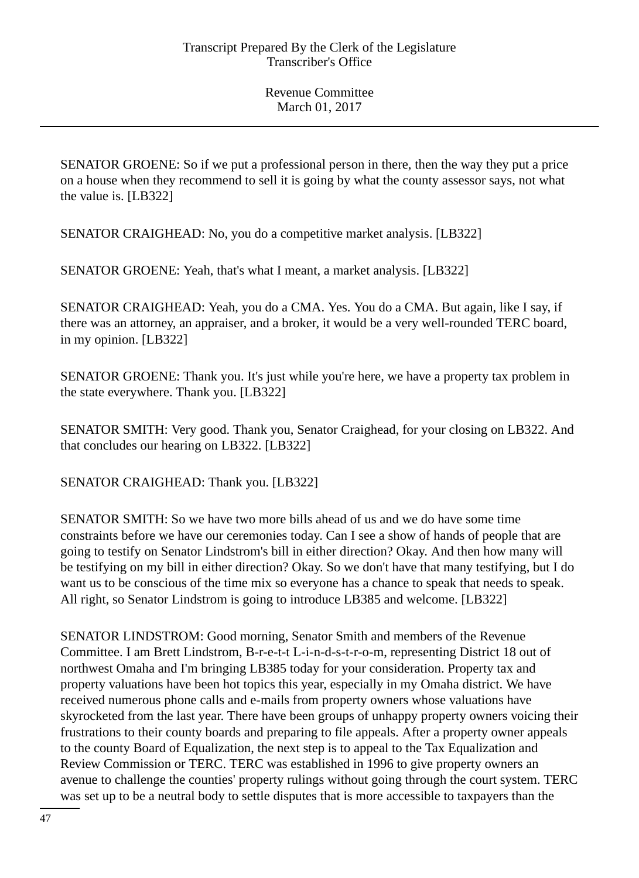SENATOR GROENE: So if we put a professional person in there, then the way they put a price on a house when they recommend to sell it is going by what the county assessor says, not what the value is. [LB322]

SENATOR CRAIGHEAD: No, you do a competitive market analysis. [LB322]

SENATOR GROENE: Yeah, that's what I meant, a market analysis. [LB322]

SENATOR CRAIGHEAD: Yeah, you do a CMA. Yes. You do a CMA. But again, like I say, if there was an attorney, an appraiser, and a broker, it would be a very well-rounded TERC board, in my opinion. [LB322]

SENATOR GROENE: Thank you. It's just while you're here, we have a property tax problem in the state everywhere. Thank you. [LB322]

SENATOR SMITH: Very good. Thank you, Senator Craighead, for your closing on LB322. And that concludes our hearing on LB322. [LB322]

SENATOR CRAIGHEAD: Thank you. [LB322]

SENATOR SMITH: So we have two more bills ahead of us and we do have some time constraints before we have our ceremonies today. Can I see a show of hands of people that are going to testify on Senator Lindstrom's bill in either direction? Okay. And then how many will be testifying on my bill in either direction? Okay. So we don't have that many testifying, but I do want us to be conscious of the time mix so everyone has a chance to speak that needs to speak. All right, so Senator Lindstrom is going to introduce LB385 and welcome. [LB322]

SENATOR LINDSTROM: Good morning, Senator Smith and members of the Revenue Committee. I am Brett Lindstrom, B-r-e-t-t L-i-n-d-s-t-r-o-m, representing District 18 out of northwest Omaha and I'm bringing LB385 today for your consideration. Property tax and property valuations have been hot topics this year, especially in my Omaha district. We have received numerous phone calls and e-mails from property owners whose valuations have skyrocketed from the last year. There have been groups of unhappy property owners voicing their frustrations to their county boards and preparing to file appeals. After a property owner appeals to the county Board of Equalization, the next step is to appeal to the Tax Equalization and Review Commission or TERC. TERC was established in 1996 to give property owners an avenue to challenge the counties' property rulings without going through the court system. TERC was set up to be a neutral body to settle disputes that is more accessible to taxpayers than the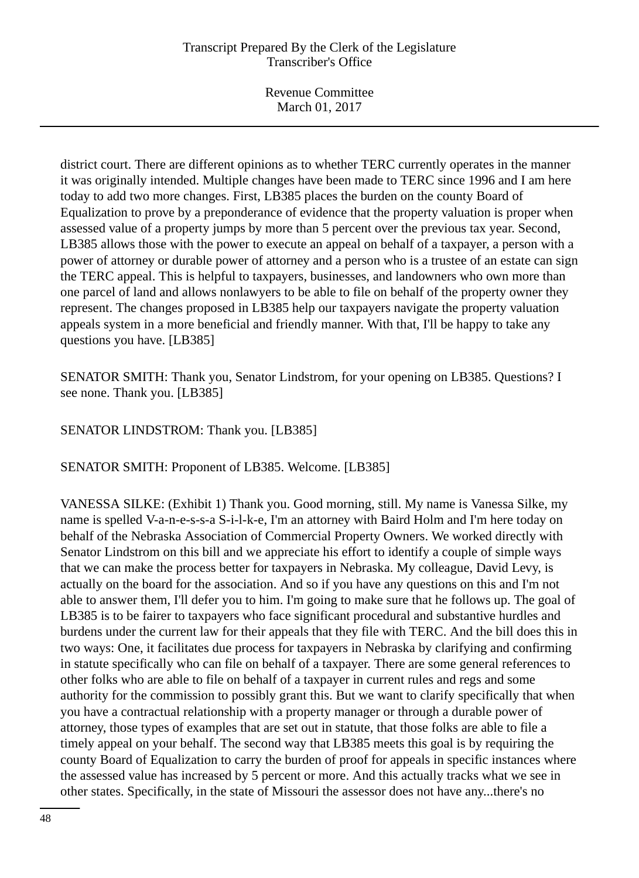Revenue Committee March 01, 2017

district court. There are different opinions as to whether TERC currently operates in the manner it was originally intended. Multiple changes have been made to TERC since 1996 and I am here today to add two more changes. First, LB385 places the burden on the county Board of Equalization to prove by a preponderance of evidence that the property valuation is proper when assessed value of a property jumps by more than 5 percent over the previous tax year. Second, LB385 allows those with the power to execute an appeal on behalf of a taxpayer, a person with a power of attorney or durable power of attorney and a person who is a trustee of an estate can sign the TERC appeal. This is helpful to taxpayers, businesses, and landowners who own more than one parcel of land and allows nonlawyers to be able to file on behalf of the property owner they represent. The changes proposed in LB385 help our taxpayers navigate the property valuation appeals system in a more beneficial and friendly manner. With that, I'll be happy to take any questions you have. [LB385]

SENATOR SMITH: Thank you, Senator Lindstrom, for your opening on LB385. Questions? I see none. Thank you. [LB385]

SENATOR LINDSTROM: Thank you. [LB385]

SENATOR SMITH: Proponent of LB385. Welcome. [LB385]

VANESSA SILKE: (Exhibit 1) Thank you. Good morning, still. My name is Vanessa Silke, my name is spelled V-a-n-e-s-s-a S-i-l-k-e, I'm an attorney with Baird Holm and I'm here today on behalf of the Nebraska Association of Commercial Property Owners. We worked directly with Senator Lindstrom on this bill and we appreciate his effort to identify a couple of simple ways that we can make the process better for taxpayers in Nebraska. My colleague, David Levy, is actually on the board for the association. And so if you have any questions on this and I'm not able to answer them, I'll defer you to him. I'm going to make sure that he follows up. The goal of LB385 is to be fairer to taxpayers who face significant procedural and substantive hurdles and burdens under the current law for their appeals that they file with TERC. And the bill does this in two ways: One, it facilitates due process for taxpayers in Nebraska by clarifying and confirming in statute specifically who can file on behalf of a taxpayer. There are some general references to other folks who are able to file on behalf of a taxpayer in current rules and regs and some authority for the commission to possibly grant this. But we want to clarify specifically that when you have a contractual relationship with a property manager or through a durable power of attorney, those types of examples that are set out in statute, that those folks are able to file a timely appeal on your behalf. The second way that LB385 meets this goal is by requiring the county Board of Equalization to carry the burden of proof for appeals in specific instances where the assessed value has increased by 5 percent or more. And this actually tracks what we see in other states. Specifically, in the state of Missouri the assessor does not have any...there's no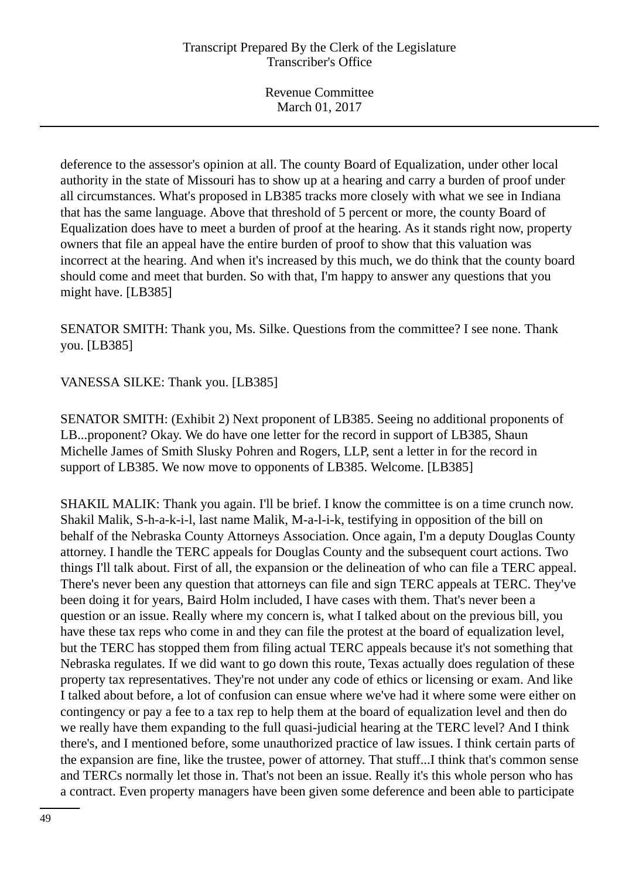deference to the assessor's opinion at all. The county Board of Equalization, under other local authority in the state of Missouri has to show up at a hearing and carry a burden of proof under all circumstances. What's proposed in LB385 tracks more closely with what we see in Indiana that has the same language. Above that threshold of 5 percent or more, the county Board of Equalization does have to meet a burden of proof at the hearing. As it stands right now, property owners that file an appeal have the entire burden of proof to show that this valuation was incorrect at the hearing. And when it's increased by this much, we do think that the county board should come and meet that burden. So with that, I'm happy to answer any questions that you might have. [LB385]

SENATOR SMITH: Thank you, Ms. Silke. Questions from the committee? I see none. Thank you. [LB385]

VANESSA SILKE: Thank you. [LB385]

SENATOR SMITH: (Exhibit 2) Next proponent of LB385. Seeing no additional proponents of LB...proponent? Okay. We do have one letter for the record in support of LB385, Shaun Michelle James of Smith Slusky Pohren and Rogers, LLP, sent a letter in for the record in support of LB385. We now move to opponents of LB385. Welcome. [LB385]

SHAKIL MALIK: Thank you again. I'll be brief. I know the committee is on a time crunch now. Shakil Malik, S-h-a-k-i-l, last name Malik, M-a-l-i-k, testifying in opposition of the bill on behalf of the Nebraska County Attorneys Association. Once again, I'm a deputy Douglas County attorney. I handle the TERC appeals for Douglas County and the subsequent court actions. Two things I'll talk about. First of all, the expansion or the delineation of who can file a TERC appeal. There's never been any question that attorneys can file and sign TERC appeals at TERC. They've been doing it for years, Baird Holm included, I have cases with them. That's never been a question or an issue. Really where my concern is, what I talked about on the previous bill, you have these tax reps who come in and they can file the protest at the board of equalization level, but the TERC has stopped them from filing actual TERC appeals because it's not something that Nebraska regulates. If we did want to go down this route, Texas actually does regulation of these property tax representatives. They're not under any code of ethics or licensing or exam. And like I talked about before, a lot of confusion can ensue where we've had it where some were either on contingency or pay a fee to a tax rep to help them at the board of equalization level and then do we really have them expanding to the full quasi-judicial hearing at the TERC level? And I think there's, and I mentioned before, some unauthorized practice of law issues. I think certain parts of the expansion are fine, like the trustee, power of attorney. That stuff...I think that's common sense and TERCs normally let those in. That's not been an issue. Really it's this whole person who has a contract. Even property managers have been given some deference and been able to participate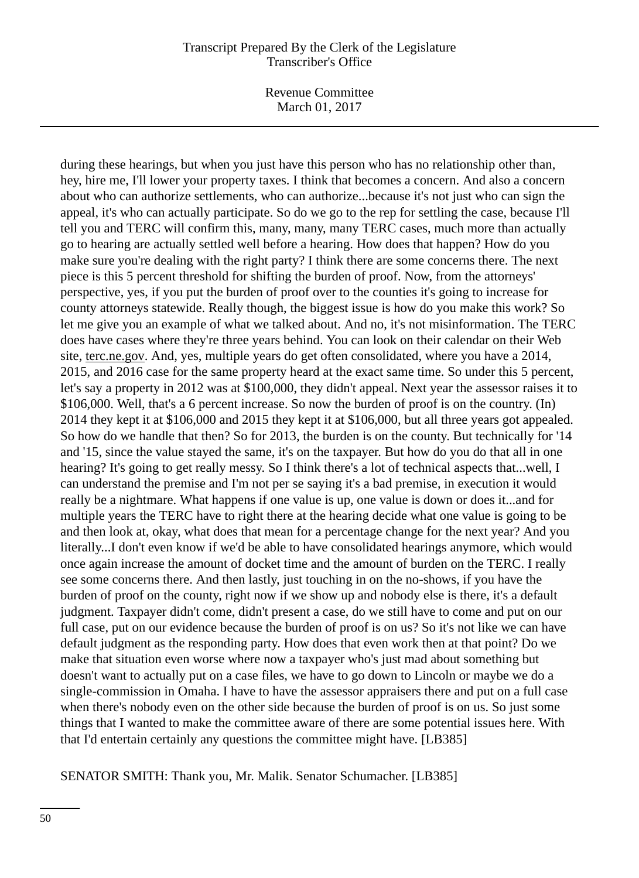Revenue Committee March 01, 2017

during these hearings, but when you just have this person who has no relationship other than, hey, hire me, I'll lower your property taxes. I think that becomes a concern. And also a concern about who can authorize settlements, who can authorize...because it's not just who can sign the appeal, it's who can actually participate. So do we go to the rep for settling the case, because I'll tell you and TERC will confirm this, many, many, many TERC cases, much more than actually go to hearing are actually settled well before a hearing. How does that happen? How do you make sure you're dealing with the right party? I think there are some concerns there. The next piece is this 5 percent threshold for shifting the burden of proof. Now, from the attorneys' perspective, yes, if you put the burden of proof over to the counties it's going to increase for county attorneys statewide. Really though, the biggest issue is how do you make this work? So let me give you an example of what we talked about. And no, it's not misinformation. The TERC does have cases where they're three years behind. You can look on their calendar on their Web site, terc.ne.gov. And, yes, multiple years do get often consolidated, where you have a 2014, 2015, and 2016 case for the same property heard at the exact same time. So under this 5 percent, let's say a property in 2012 was at \$100,000, they didn't appeal. Next year the assessor raises it to \$106,000. Well, that's a 6 percent increase. So now the burden of proof is on the country. (In) 2014 they kept it at \$106,000 and 2015 they kept it at \$106,000, but all three years got appealed. So how do we handle that then? So for 2013, the burden is on the county. But technically for '14 and '15, since the value stayed the same, it's on the taxpayer. But how do you do that all in one hearing? It's going to get really messy. So I think there's a lot of technical aspects that...well, I can understand the premise and I'm not per se saying it's a bad premise, in execution it would really be a nightmare. What happens if one value is up, one value is down or does it...and for multiple years the TERC have to right there at the hearing decide what one value is going to be and then look at, okay, what does that mean for a percentage change for the next year? And you literally...I don't even know if we'd be able to have consolidated hearings anymore, which would once again increase the amount of docket time and the amount of burden on the TERC. I really see some concerns there. And then lastly, just touching in on the no-shows, if you have the burden of proof on the county, right now if we show up and nobody else is there, it's a default judgment. Taxpayer didn't come, didn't present a case, do we still have to come and put on our full case, put on our evidence because the burden of proof is on us? So it's not like we can have default judgment as the responding party. How does that even work then at that point? Do we make that situation even worse where now a taxpayer who's just mad about something but doesn't want to actually put on a case files, we have to go down to Lincoln or maybe we do a single-commission in Omaha. I have to have the assessor appraisers there and put on a full case when there's nobody even on the other side because the burden of proof is on us. So just some things that I wanted to make the committee aware of there are some potential issues here. With that I'd entertain certainly any questions the committee might have. [LB385]

#### SENATOR SMITH: Thank you, Mr. Malik. Senator Schumacher. [LB385]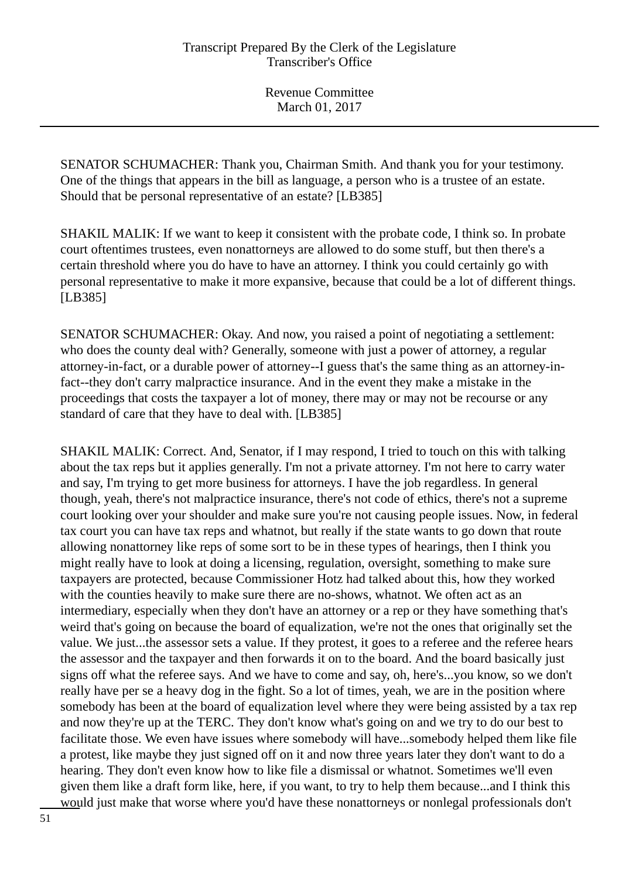SENATOR SCHUMACHER: Thank you, Chairman Smith. And thank you for your testimony. One of the things that appears in the bill as language, a person who is a trustee of an estate. Should that be personal representative of an estate? [LB385]

SHAKIL MALIK: If we want to keep it consistent with the probate code, I think so. In probate court oftentimes trustees, even nonattorneys are allowed to do some stuff, but then there's a certain threshold where you do have to have an attorney. I think you could certainly go with personal representative to make it more expansive, because that could be a lot of different things. [LB385]

SENATOR SCHUMACHER: Okay. And now, you raised a point of negotiating a settlement: who does the county deal with? Generally, someone with just a power of attorney, a regular attorney-in-fact, or a durable power of attorney--I guess that's the same thing as an attorney-infact--they don't carry malpractice insurance. And in the event they make a mistake in the proceedings that costs the taxpayer a lot of money, there may or may not be recourse or any standard of care that they have to deal with. [LB385]

SHAKIL MALIK: Correct. And, Senator, if I may respond, I tried to touch on this with talking about the tax reps but it applies generally. I'm not a private attorney. I'm not here to carry water and say, I'm trying to get more business for attorneys. I have the job regardless. In general though, yeah, there's not malpractice insurance, there's not code of ethics, there's not a supreme court looking over your shoulder and make sure you're not causing people issues. Now, in federal tax court you can have tax reps and whatnot, but really if the state wants to go down that route allowing nonattorney like reps of some sort to be in these types of hearings, then I think you might really have to look at doing a licensing, regulation, oversight, something to make sure taxpayers are protected, because Commissioner Hotz had talked about this, how they worked with the counties heavily to make sure there are no-shows, whatnot. We often act as an intermediary, especially when they don't have an attorney or a rep or they have something that's weird that's going on because the board of equalization, we're not the ones that originally set the value. We just...the assessor sets a value. If they protest, it goes to a referee and the referee hears the assessor and the taxpayer and then forwards it on to the board. And the board basically just signs off what the referee says. And we have to come and say, oh, here's...you know, so we don't really have per se a heavy dog in the fight. So a lot of times, yeah, we are in the position where somebody has been at the board of equalization level where they were being assisted by a tax rep and now they're up at the TERC. They don't know what's going on and we try to do our best to facilitate those. We even have issues where somebody will have...somebody helped them like file a protest, like maybe they just signed off on it and now three years later they don't want to do a hearing. They don't even know how to like file a dismissal or whatnot. Sometimes we'll even given them like a draft form like, here, if you want, to try to help them because...and I think this would just make that worse where you'd have these nonattorneys or nonlegal professionals don't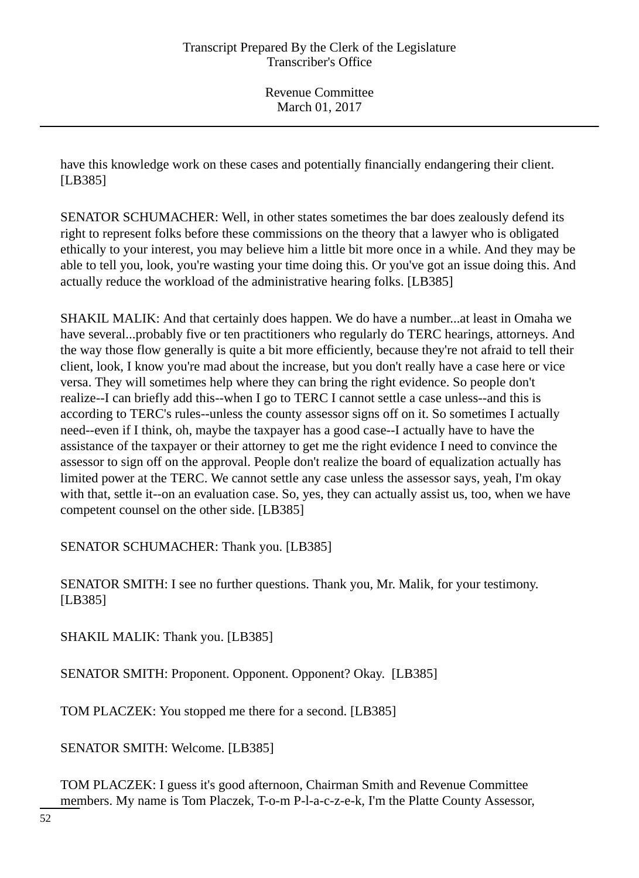have this knowledge work on these cases and potentially financially endangering their client. [LB385]

SENATOR SCHUMACHER: Well, in other states sometimes the bar does zealously defend its right to represent folks before these commissions on the theory that a lawyer who is obligated ethically to your interest, you may believe him a little bit more once in a while. And they may be able to tell you, look, you're wasting your time doing this. Or you've got an issue doing this. And actually reduce the workload of the administrative hearing folks. [LB385]

SHAKIL MALIK: And that certainly does happen. We do have a number...at least in Omaha we have several...probably five or ten practitioners who regularly do TERC hearings, attorneys. And the way those flow generally is quite a bit more efficiently, because they're not afraid to tell their client, look, I know you're mad about the increase, but you don't really have a case here or vice versa. They will sometimes help where they can bring the right evidence. So people don't realize--I can briefly add this--when I go to TERC I cannot settle a case unless--and this is according to TERC's rules--unless the county assessor signs off on it. So sometimes I actually need--even if I think, oh, maybe the taxpayer has a good case--I actually have to have the assistance of the taxpayer or their attorney to get me the right evidence I need to convince the assessor to sign off on the approval. People don't realize the board of equalization actually has limited power at the TERC. We cannot settle any case unless the assessor says, yeah, I'm okay with that, settle it--on an evaluation case. So, yes, they can actually assist us, too, when we have competent counsel on the other side. [LB385]

SENATOR SCHUMACHER: Thank you. [LB385]

SENATOR SMITH: I see no further questions. Thank you, Mr. Malik, for your testimony. [LB385]

SHAKIL MALIK: Thank you. [LB385]

SENATOR SMITH: Proponent. Opponent. Opponent? Okay. [LB385]

TOM PLACZEK: You stopped me there for a second. [LB385]

SENATOR SMITH: Welcome. [LB385]

TOM PLACZEK: I guess it's good afternoon, Chairman Smith and Revenue Committee members. My name is Tom Placzek, T-o-m P-l-a-c-z-e-k, I'm the Platte County Assessor,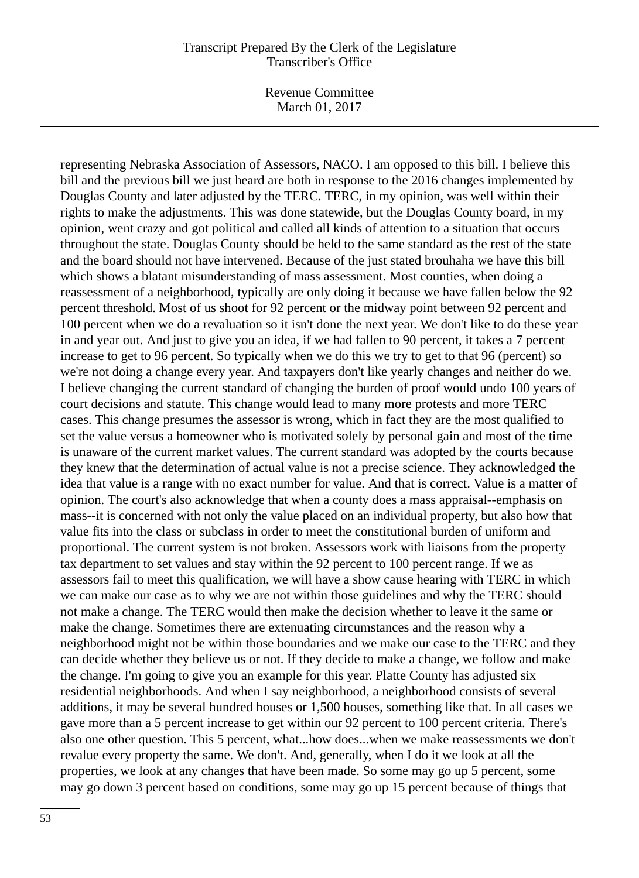Revenue Committee March 01, 2017

representing Nebraska Association of Assessors, NACO. I am opposed to this bill. I believe this bill and the previous bill we just heard are both in response to the 2016 changes implemented by Douglas County and later adjusted by the TERC. TERC, in my opinion, was well within their rights to make the adjustments. This was done statewide, but the Douglas County board, in my opinion, went crazy and got political and called all kinds of attention to a situation that occurs throughout the state. Douglas County should be held to the same standard as the rest of the state and the board should not have intervened. Because of the just stated brouhaha we have this bill which shows a blatant misunderstanding of mass assessment. Most counties, when doing a reassessment of a neighborhood, typically are only doing it because we have fallen below the 92 percent threshold. Most of us shoot for 92 percent or the midway point between 92 percent and 100 percent when we do a revaluation so it isn't done the next year. We don't like to do these year in and year out. And just to give you an idea, if we had fallen to 90 percent, it takes a 7 percent increase to get to 96 percent. So typically when we do this we try to get to that 96 (percent) so we're not doing a change every year. And taxpayers don't like yearly changes and neither do we. I believe changing the current standard of changing the burden of proof would undo 100 years of court decisions and statute. This change would lead to many more protests and more TERC cases. This change presumes the assessor is wrong, which in fact they are the most qualified to set the value versus a homeowner who is motivated solely by personal gain and most of the time is unaware of the current market values. The current standard was adopted by the courts because they knew that the determination of actual value is not a precise science. They acknowledged the idea that value is a range with no exact number for value. And that is correct. Value is a matter of opinion. The court's also acknowledge that when a county does a mass appraisal--emphasis on mass--it is concerned with not only the value placed on an individual property, but also how that value fits into the class or subclass in order to meet the constitutional burden of uniform and proportional. The current system is not broken. Assessors work with liaisons from the property tax department to set values and stay within the 92 percent to 100 percent range. If we as assessors fail to meet this qualification, we will have a show cause hearing with TERC in which we can make our case as to why we are not within those guidelines and why the TERC should not make a change. The TERC would then make the decision whether to leave it the same or make the change. Sometimes there are extenuating circumstances and the reason why a neighborhood might not be within those boundaries and we make our case to the TERC and they can decide whether they believe us or not. If they decide to make a change, we follow and make the change. I'm going to give you an example for this year. Platte County has adjusted six residential neighborhoods. And when I say neighborhood, a neighborhood consists of several additions, it may be several hundred houses or 1,500 houses, something like that. In all cases we gave more than a 5 percent increase to get within our 92 percent to 100 percent criteria. There's also one other question. This 5 percent, what...how does...when we make reassessments we don't revalue every property the same. We don't. And, generally, when I do it we look at all the properties, we look at any changes that have been made. So some may go up 5 percent, some may go down 3 percent based on conditions, some may go up 15 percent because of things that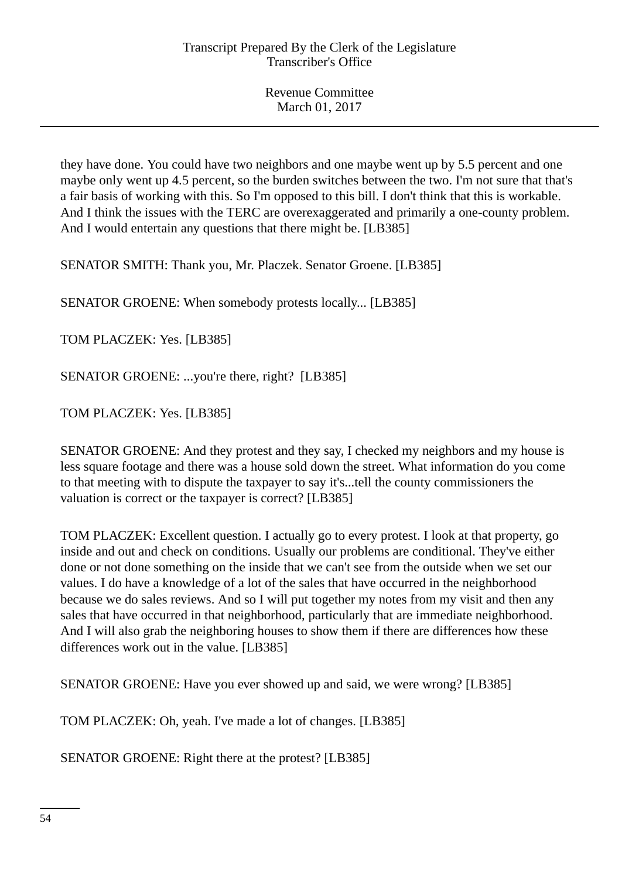they have done. You could have two neighbors and one maybe went up by 5.5 percent and one maybe only went up 4.5 percent, so the burden switches between the two. I'm not sure that that's a fair basis of working with this. So I'm opposed to this bill. I don't think that this is workable. And I think the issues with the TERC are overexaggerated and primarily a one-county problem. And I would entertain any questions that there might be. [LB385]

SENATOR SMITH: Thank you, Mr. Placzek. Senator Groene. [LB385]

SENATOR GROENE: When somebody protests locally... [LB385]

TOM PLACZEK: Yes. [LB385]

SENATOR GROENE: ...you're there, right? [LB385]

TOM PLACZEK: Yes. [LB385]

SENATOR GROENE: And they protest and they say, I checked my neighbors and my house is less square footage and there was a house sold down the street. What information do you come to that meeting with to dispute the taxpayer to say it's...tell the county commissioners the valuation is correct or the taxpayer is correct? [LB385]

TOM PLACZEK: Excellent question. I actually go to every protest. I look at that property, go inside and out and check on conditions. Usually our problems are conditional. They've either done or not done something on the inside that we can't see from the outside when we set our values. I do have a knowledge of a lot of the sales that have occurred in the neighborhood because we do sales reviews. And so I will put together my notes from my visit and then any sales that have occurred in that neighborhood, particularly that are immediate neighborhood. And I will also grab the neighboring houses to show them if there are differences how these differences work out in the value. [LB385]

SENATOR GROENE: Have you ever showed up and said, we were wrong? [LB385]

TOM PLACZEK: Oh, yeah. I've made a lot of changes. [LB385]

SENATOR GROENE: Right there at the protest? [LB385]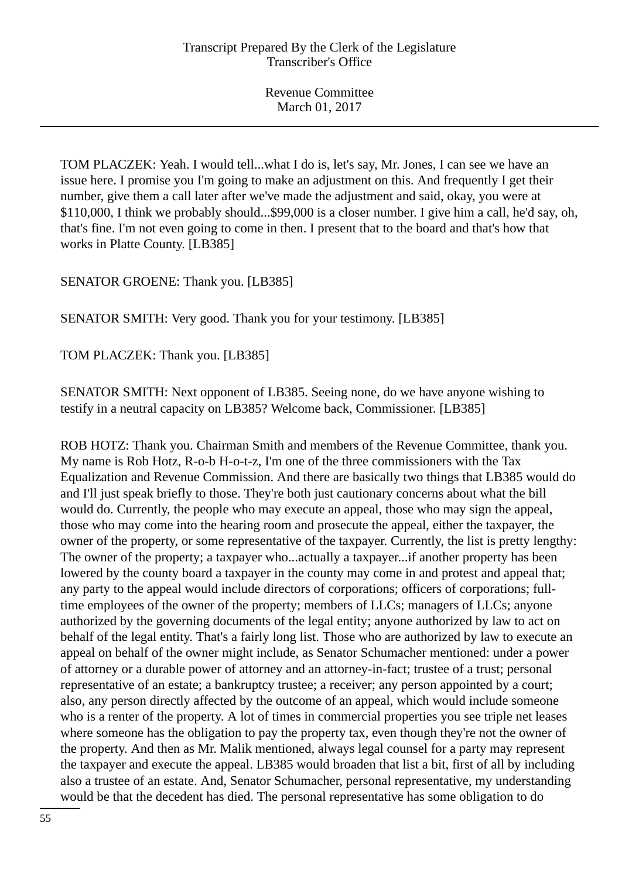TOM PLACZEK: Yeah. I would tell...what I do is, let's say, Mr. Jones, I can see we have an issue here. I promise you I'm going to make an adjustment on this. And frequently I get their number, give them a call later after we've made the adjustment and said, okay, you were at \$110,000, I think we probably should...\$99,000 is a closer number. I give him a call, he'd say, oh, that's fine. I'm not even going to come in then. I present that to the board and that's how that works in Platte County. [LB385]

SENATOR GROENE: Thank you. [LB385]

SENATOR SMITH: Very good. Thank you for your testimony. [LB385]

TOM PLACZEK: Thank you. [LB385]

SENATOR SMITH: Next opponent of LB385. Seeing none, do we have anyone wishing to testify in a neutral capacity on LB385? Welcome back, Commissioner. [LB385]

ROB HOTZ: Thank you. Chairman Smith and members of the Revenue Committee, thank you. My name is Rob Hotz, R-o-b H-o-t-z, I'm one of the three commissioners with the Tax Equalization and Revenue Commission. And there are basically two things that LB385 would do and I'll just speak briefly to those. They're both just cautionary concerns about what the bill would do. Currently, the people who may execute an appeal, those who may sign the appeal, those who may come into the hearing room and prosecute the appeal, either the taxpayer, the owner of the property, or some representative of the taxpayer. Currently, the list is pretty lengthy: The owner of the property; a taxpayer who...actually a taxpayer...if another property has been lowered by the county board a taxpayer in the county may come in and protest and appeal that; any party to the appeal would include directors of corporations; officers of corporations; fulltime employees of the owner of the property; members of LLCs; managers of LLCs; anyone authorized by the governing documents of the legal entity; anyone authorized by law to act on behalf of the legal entity. That's a fairly long list. Those who are authorized by law to execute an appeal on behalf of the owner might include, as Senator Schumacher mentioned: under a power of attorney or a durable power of attorney and an attorney-in-fact; trustee of a trust; personal representative of an estate; a bankruptcy trustee; a receiver; any person appointed by a court; also, any person directly affected by the outcome of an appeal, which would include someone who is a renter of the property. A lot of times in commercial properties you see triple net leases where someone has the obligation to pay the property tax, even though they're not the owner of the property. And then as Mr. Malik mentioned, always legal counsel for a party may represent the taxpayer and execute the appeal. LB385 would broaden that list a bit, first of all by including also a trustee of an estate. And, Senator Schumacher, personal representative, my understanding would be that the decedent has died. The personal representative has some obligation to do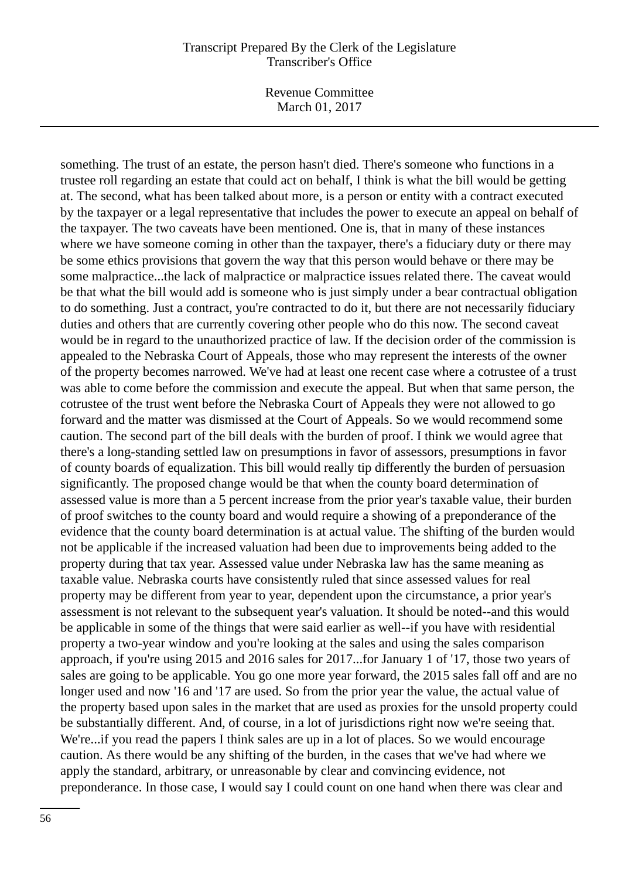Revenue Committee March 01, 2017

something. The trust of an estate, the person hasn't died. There's someone who functions in a trustee roll regarding an estate that could act on behalf, I think is what the bill would be getting at. The second, what has been talked about more, is a person or entity with a contract executed by the taxpayer or a legal representative that includes the power to execute an appeal on behalf of the taxpayer. The two caveats have been mentioned. One is, that in many of these instances where we have someone coming in other than the taxpayer, there's a fiduciary duty or there may be some ethics provisions that govern the way that this person would behave or there may be some malpractice...the lack of malpractice or malpractice issues related there. The caveat would be that what the bill would add is someone who is just simply under a bear contractual obligation to do something. Just a contract, you're contracted to do it, but there are not necessarily fiduciary duties and others that are currently covering other people who do this now. The second caveat would be in regard to the unauthorized practice of law. If the decision order of the commission is appealed to the Nebraska Court of Appeals, those who may represent the interests of the owner of the property becomes narrowed. We've had at least one recent case where a cotrustee of a trust was able to come before the commission and execute the appeal. But when that same person, the cotrustee of the trust went before the Nebraska Court of Appeals they were not allowed to go forward and the matter was dismissed at the Court of Appeals. So we would recommend some caution. The second part of the bill deals with the burden of proof. I think we would agree that there's a long-standing settled law on presumptions in favor of assessors, presumptions in favor of county boards of equalization. This bill would really tip differently the burden of persuasion significantly. The proposed change would be that when the county board determination of assessed value is more than a 5 percent increase from the prior year's taxable value, their burden of proof switches to the county board and would require a showing of a preponderance of the evidence that the county board determination is at actual value. The shifting of the burden would not be applicable if the increased valuation had been due to improvements being added to the property during that tax year. Assessed value under Nebraska law has the same meaning as taxable value. Nebraska courts have consistently ruled that since assessed values for real property may be different from year to year, dependent upon the circumstance, a prior year's assessment is not relevant to the subsequent year's valuation. It should be noted--and this would be applicable in some of the things that were said earlier as well--if you have with residential property a two-year window and you're looking at the sales and using the sales comparison approach, if you're using 2015 and 2016 sales for 2017...for January 1 of '17, those two years of sales are going to be applicable. You go one more year forward, the 2015 sales fall off and are no longer used and now '16 and '17 are used. So from the prior year the value, the actual value of the property based upon sales in the market that are used as proxies for the unsold property could be substantially different. And, of course, in a lot of jurisdictions right now we're seeing that. We're...if you read the papers I think sales are up in a lot of places. So we would encourage caution. As there would be any shifting of the burden, in the cases that we've had where we apply the standard, arbitrary, or unreasonable by clear and convincing evidence, not preponderance. In those case, I would say I could count on one hand when there was clear and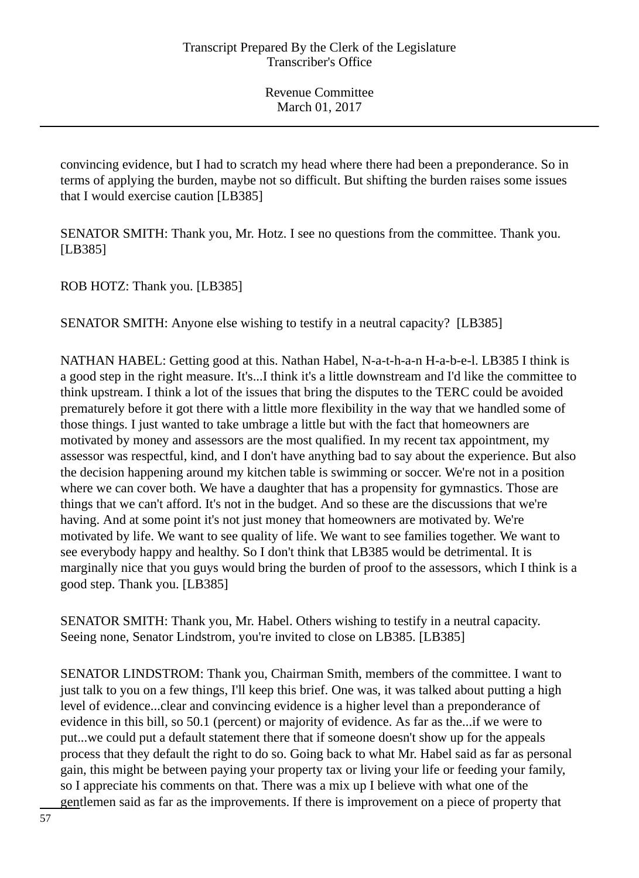convincing evidence, but I had to scratch my head where there had been a preponderance. So in terms of applying the burden, maybe not so difficult. But shifting the burden raises some issues that I would exercise caution [LB385]

SENATOR SMITH: Thank you, Mr. Hotz. I see no questions from the committee. Thank you. [LB385]

ROB HOTZ: Thank you. [LB385]

SENATOR SMITH: Anyone else wishing to testify in a neutral capacity? [LB385]

NATHAN HABEL: Getting good at this. Nathan Habel, N-a-t-h-a-n H-a-b-e-l. LB385 I think is a good step in the right measure. It's...I think it's a little downstream and I'd like the committee to think upstream. I think a lot of the issues that bring the disputes to the TERC could be avoided prematurely before it got there with a little more flexibility in the way that we handled some of those things. I just wanted to take umbrage a little but with the fact that homeowners are motivated by money and assessors are the most qualified. In my recent tax appointment, my assessor was respectful, kind, and I don't have anything bad to say about the experience. But also the decision happening around my kitchen table is swimming or soccer. We're not in a position where we can cover both. We have a daughter that has a propensity for gymnastics. Those are things that we can't afford. It's not in the budget. And so these are the discussions that we're having. And at some point it's not just money that homeowners are motivated by. We're motivated by life. We want to see quality of life. We want to see families together. We want to see everybody happy and healthy. So I don't think that LB385 would be detrimental. It is marginally nice that you guys would bring the burden of proof to the assessors, which I think is a good step. Thank you. [LB385]

SENATOR SMITH: Thank you, Mr. Habel. Others wishing to testify in a neutral capacity. Seeing none, Senator Lindstrom, you're invited to close on LB385. [LB385]

SENATOR LINDSTROM: Thank you, Chairman Smith, members of the committee. I want to just talk to you on a few things, I'll keep this brief. One was, it was talked about putting a high level of evidence...clear and convincing evidence is a higher level than a preponderance of evidence in this bill, so 50.1 (percent) or majority of evidence. As far as the...if we were to put...we could put a default statement there that if someone doesn't show up for the appeals process that they default the right to do so. Going back to what Mr. Habel said as far as personal gain, this might be between paying your property tax or living your life or feeding your family, so I appreciate his comments on that. There was a mix up I believe with what one of the gentlemen said as far as the improvements. If there is improvement on a piece of property that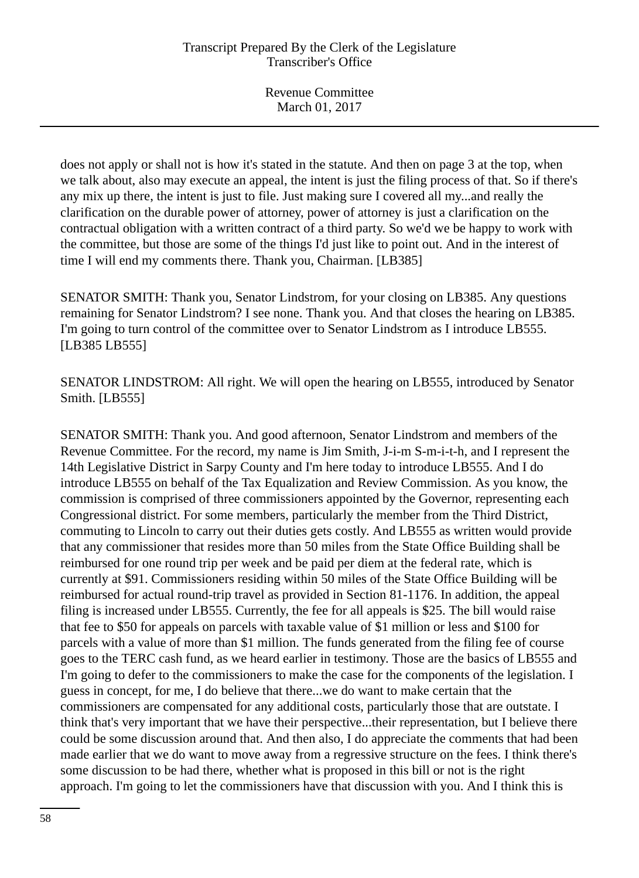does not apply or shall not is how it's stated in the statute. And then on page 3 at the top, when we talk about, also may execute an appeal, the intent is just the filing process of that. So if there's any mix up there, the intent is just to file. Just making sure I covered all my...and really the clarification on the durable power of attorney, power of attorney is just a clarification on the contractual obligation with a written contract of a third party. So we'd we be happy to work with the committee, but those are some of the things I'd just like to point out. And in the interest of time I will end my comments there. Thank you, Chairman. [LB385]

SENATOR SMITH: Thank you, Senator Lindstrom, for your closing on LB385. Any questions remaining for Senator Lindstrom? I see none. Thank you. And that closes the hearing on LB385. I'm going to turn control of the committee over to Senator Lindstrom as I introduce LB555. [LB385 LB555]

SENATOR LINDSTROM: All right. We will open the hearing on LB555, introduced by Senator Smith. [LB555]

SENATOR SMITH: Thank you. And good afternoon, Senator Lindstrom and members of the Revenue Committee. For the record, my name is Jim Smith, J-i-m S-m-i-t-h, and I represent the 14th Legislative District in Sarpy County and I'm here today to introduce LB555. And I do introduce LB555 on behalf of the Tax Equalization and Review Commission. As you know, the commission is comprised of three commissioners appointed by the Governor, representing each Congressional district. For some members, particularly the member from the Third District, commuting to Lincoln to carry out their duties gets costly. And LB555 as written would provide that any commissioner that resides more than 50 miles from the State Office Building shall be reimbursed for one round trip per week and be paid per diem at the federal rate, which is currently at \$91. Commissioners residing within 50 miles of the State Office Building will be reimbursed for actual round-trip travel as provided in Section 81-1176. In addition, the appeal filing is increased under LB555. Currently, the fee for all appeals is \$25. The bill would raise that fee to \$50 for appeals on parcels with taxable value of \$1 million or less and \$100 for parcels with a value of more than \$1 million. The funds generated from the filing fee of course goes to the TERC cash fund, as we heard earlier in testimony. Those are the basics of LB555 and I'm going to defer to the commissioners to make the case for the components of the legislation. I guess in concept, for me, I do believe that there...we do want to make certain that the commissioners are compensated for any additional costs, particularly those that are outstate. I think that's very important that we have their perspective...their representation, but I believe there could be some discussion around that. And then also, I do appreciate the comments that had been made earlier that we do want to move away from a regressive structure on the fees. I think there's some discussion to be had there, whether what is proposed in this bill or not is the right approach. I'm going to let the commissioners have that discussion with you. And I think this is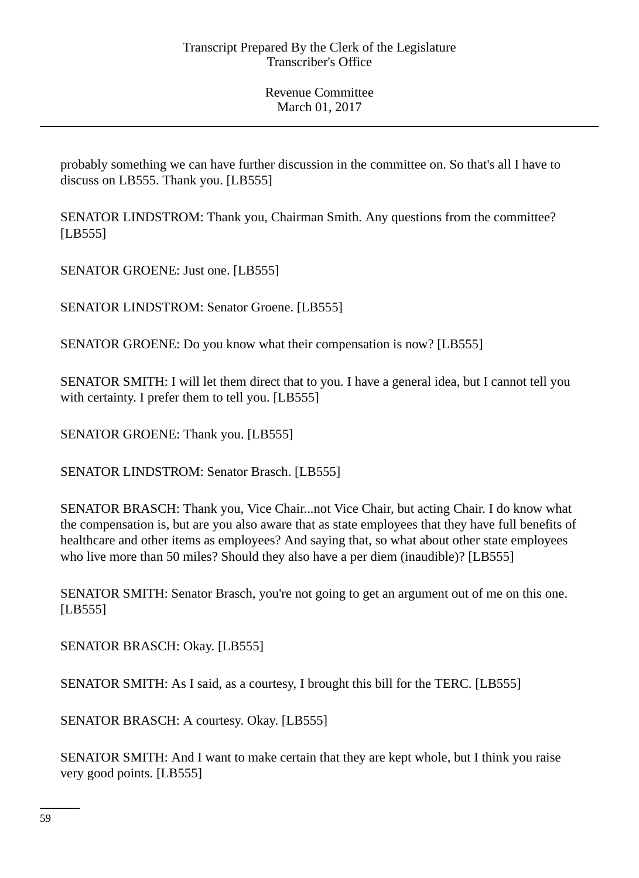probably something we can have further discussion in the committee on. So that's all I have to discuss on LB555. Thank you. [LB555]

SENATOR LINDSTROM: Thank you, Chairman Smith. Any questions from the committee? [LB555]

SENATOR GROENE: Just one. [LB555]

SENATOR LINDSTROM: Senator Groene. [LB555]

SENATOR GROENE: Do you know what their compensation is now? [LB555]

SENATOR SMITH: I will let them direct that to you. I have a general idea, but I cannot tell you with certainty. I prefer them to tell you. [LB555]

SENATOR GROENE: Thank you. [LB555]

SENATOR LINDSTROM: Senator Brasch. [LB555]

SENATOR BRASCH: Thank you, Vice Chair...not Vice Chair, but acting Chair. I do know what the compensation is, but are you also aware that as state employees that they have full benefits of healthcare and other items as employees? And saying that, so what about other state employees who live more than 50 miles? Should they also have a per diem (inaudible)? [LB555]

SENATOR SMITH: Senator Brasch, you're not going to get an argument out of me on this one. [LB555]

SENATOR BRASCH: Okay. [LB555]

SENATOR SMITH: As I said, as a courtesy, I brought this bill for the TERC. [LB555]

SENATOR BRASCH: A courtesy. Okay. [LB555]

SENATOR SMITH: And I want to make certain that they are kept whole, but I think you raise very good points. [LB555]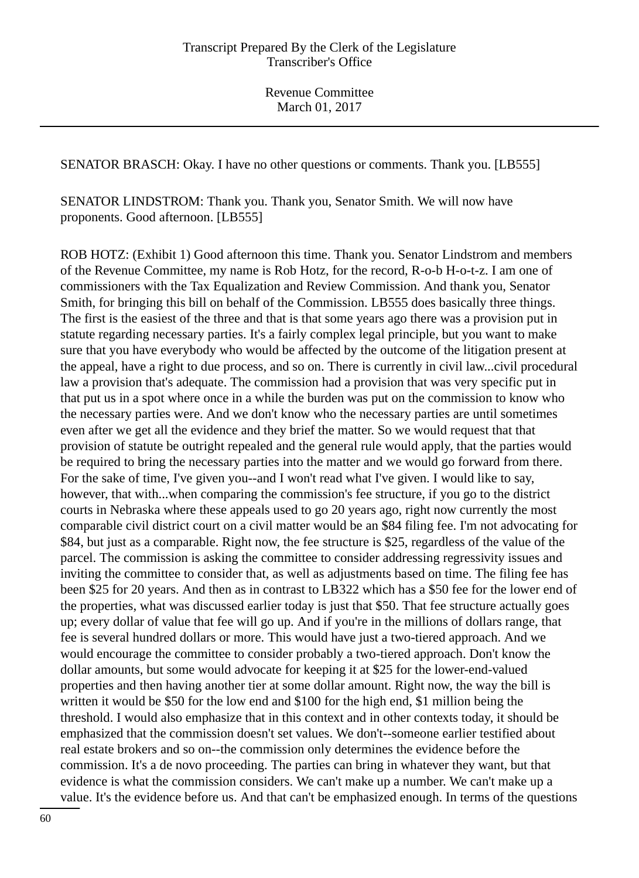SENATOR BRASCH: Okay. I have no other questions or comments. Thank you. [LB555]

SENATOR LINDSTROM: Thank you. Thank you, Senator Smith. We will now have proponents. Good afternoon. [LB555]

ROB HOTZ: (Exhibit 1) Good afternoon this time. Thank you. Senator Lindstrom and members of the Revenue Committee, my name is Rob Hotz, for the record, R-o-b H-o-t-z. I am one of commissioners with the Tax Equalization and Review Commission. And thank you, Senator Smith, for bringing this bill on behalf of the Commission. LB555 does basically three things. The first is the easiest of the three and that is that some years ago there was a provision put in statute regarding necessary parties. It's a fairly complex legal principle, but you want to make sure that you have everybody who would be affected by the outcome of the litigation present at the appeal, have a right to due process, and so on. There is currently in civil law...civil procedural law a provision that's adequate. The commission had a provision that was very specific put in that put us in a spot where once in a while the burden was put on the commission to know who the necessary parties were. And we don't know who the necessary parties are until sometimes even after we get all the evidence and they brief the matter. So we would request that that provision of statute be outright repealed and the general rule would apply, that the parties would be required to bring the necessary parties into the matter and we would go forward from there. For the sake of time, I've given you--and I won't read what I've given. I would like to say, however, that with...when comparing the commission's fee structure, if you go to the district courts in Nebraska where these appeals used to go 20 years ago, right now currently the most comparable civil district court on a civil matter would be an \$84 filing fee. I'm not advocating for \$84, but just as a comparable. Right now, the fee structure is \$25, regardless of the value of the parcel. The commission is asking the committee to consider addressing regressivity issues and inviting the committee to consider that, as well as adjustments based on time. The filing fee has been \$25 for 20 years. And then as in contrast to LB322 which has a \$50 fee for the lower end of the properties, what was discussed earlier today is just that \$50. That fee structure actually goes up; every dollar of value that fee will go up. And if you're in the millions of dollars range, that fee is several hundred dollars or more. This would have just a two-tiered approach. And we would encourage the committee to consider probably a two-tiered approach. Don't know the dollar amounts, but some would advocate for keeping it at \$25 for the lower-end-valued properties and then having another tier at some dollar amount. Right now, the way the bill is written it would be \$50 for the low end and \$100 for the high end, \$1 million being the threshold. I would also emphasize that in this context and in other contexts today, it should be emphasized that the commission doesn't set values. We don't--someone earlier testified about real estate brokers and so on--the commission only determines the evidence before the commission. It's a de novo proceeding. The parties can bring in whatever they want, but that evidence is what the commission considers. We can't make up a number. We can't make up a value. It's the evidence before us. And that can't be emphasized enough. In terms of the questions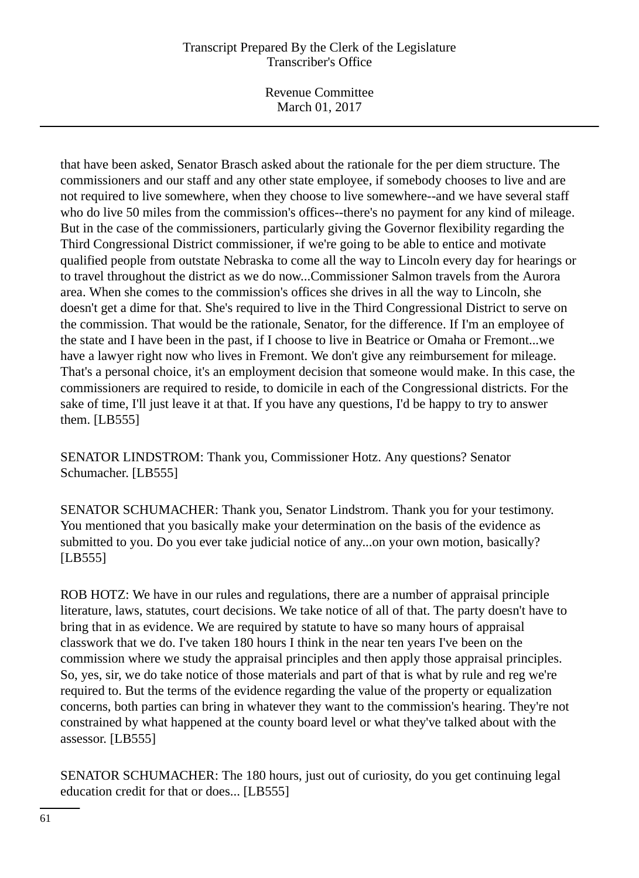Revenue Committee March 01, 2017

that have been asked, Senator Brasch asked about the rationale for the per diem structure. The commissioners and our staff and any other state employee, if somebody chooses to live and are not required to live somewhere, when they choose to live somewhere--and we have several staff who do live 50 miles from the commission's offices--there's no payment for any kind of mileage. But in the case of the commissioners, particularly giving the Governor flexibility regarding the Third Congressional District commissioner, if we're going to be able to entice and motivate qualified people from outstate Nebraska to come all the way to Lincoln every day for hearings or to travel throughout the district as we do now...Commissioner Salmon travels from the Aurora area. When she comes to the commission's offices she drives in all the way to Lincoln, she doesn't get a dime for that. She's required to live in the Third Congressional District to serve on the commission. That would be the rationale, Senator, for the difference. If I'm an employee of the state and I have been in the past, if I choose to live in Beatrice or Omaha or Fremont...we have a lawyer right now who lives in Fremont. We don't give any reimbursement for mileage. That's a personal choice, it's an employment decision that someone would make. In this case, the commissioners are required to reside, to domicile in each of the Congressional districts. For the sake of time, I'll just leave it at that. If you have any questions, I'd be happy to try to answer them. [LB555]

SENATOR LINDSTROM: Thank you, Commissioner Hotz. Any questions? Senator Schumacher. [LB555]

SENATOR SCHUMACHER: Thank you, Senator Lindstrom. Thank you for your testimony. You mentioned that you basically make your determination on the basis of the evidence as submitted to you. Do you ever take judicial notice of any...on your own motion, basically? [LB555]

ROB HOTZ: We have in our rules and regulations, there are a number of appraisal principle literature, laws, statutes, court decisions. We take notice of all of that. The party doesn't have to bring that in as evidence. We are required by statute to have so many hours of appraisal classwork that we do. I've taken 180 hours I think in the near ten years I've been on the commission where we study the appraisal principles and then apply those appraisal principles. So, yes, sir, we do take notice of those materials and part of that is what by rule and reg we're required to. But the terms of the evidence regarding the value of the property or equalization concerns, both parties can bring in whatever they want to the commission's hearing. They're not constrained by what happened at the county board level or what they've talked about with the assessor. [LB555]

SENATOR SCHUMACHER: The 180 hours, just out of curiosity, do you get continuing legal education credit for that or does... [LB555]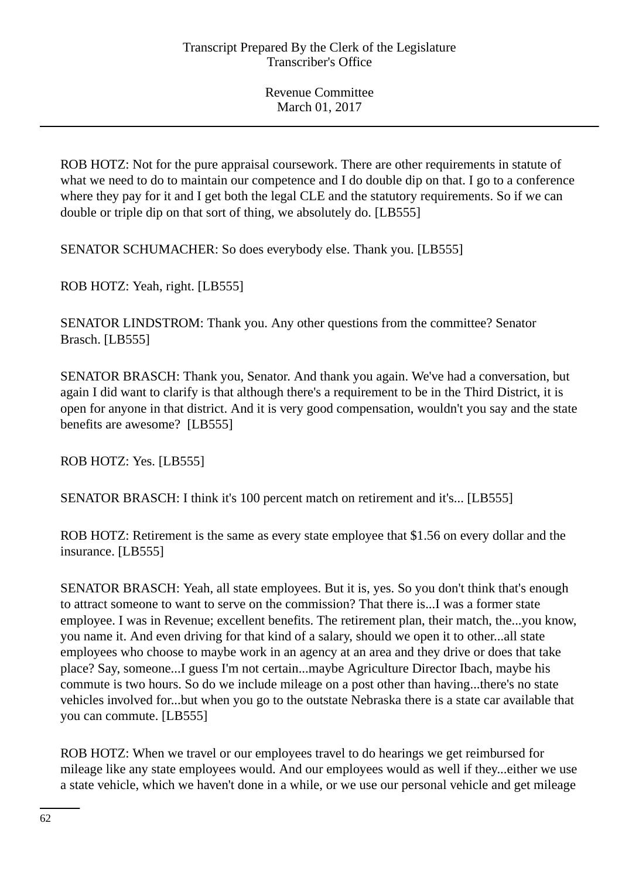ROB HOTZ: Not for the pure appraisal coursework. There are other requirements in statute of what we need to do to maintain our competence and I do double dip on that. I go to a conference where they pay for it and I get both the legal CLE and the statutory requirements. So if we can double or triple dip on that sort of thing, we absolutely do. [LB555]

SENATOR SCHUMACHER: So does everybody else. Thank you. [LB555]

ROB HOTZ: Yeah, right. [LB555]

SENATOR LINDSTROM: Thank you. Any other questions from the committee? Senator Brasch. [LB555]

SENATOR BRASCH: Thank you, Senator. And thank you again. We've had a conversation, but again I did want to clarify is that although there's a requirement to be in the Third District, it is open for anyone in that district. And it is very good compensation, wouldn't you say and the state benefits are awesome? [LB555]

ROB HOTZ: Yes. [LB555]

SENATOR BRASCH: I think it's 100 percent match on retirement and it's... [LB555]

ROB HOTZ: Retirement is the same as every state employee that \$1.56 on every dollar and the insurance. [LB555]

SENATOR BRASCH: Yeah, all state employees. But it is, yes. So you don't think that's enough to attract someone to want to serve on the commission? That there is...I was a former state employee. I was in Revenue; excellent benefits. The retirement plan, their match, the...you know, you name it. And even driving for that kind of a salary, should we open it to other...all state employees who choose to maybe work in an agency at an area and they drive or does that take place? Say, someone...I guess I'm not certain...maybe Agriculture Director Ibach, maybe his commute is two hours. So do we include mileage on a post other than having...there's no state vehicles involved for...but when you go to the outstate Nebraska there is a state car available that you can commute. [LB555]

ROB HOTZ: When we travel or our employees travel to do hearings we get reimbursed for mileage like any state employees would. And our employees would as well if they...either we use a state vehicle, which we haven't done in a while, or we use our personal vehicle and get mileage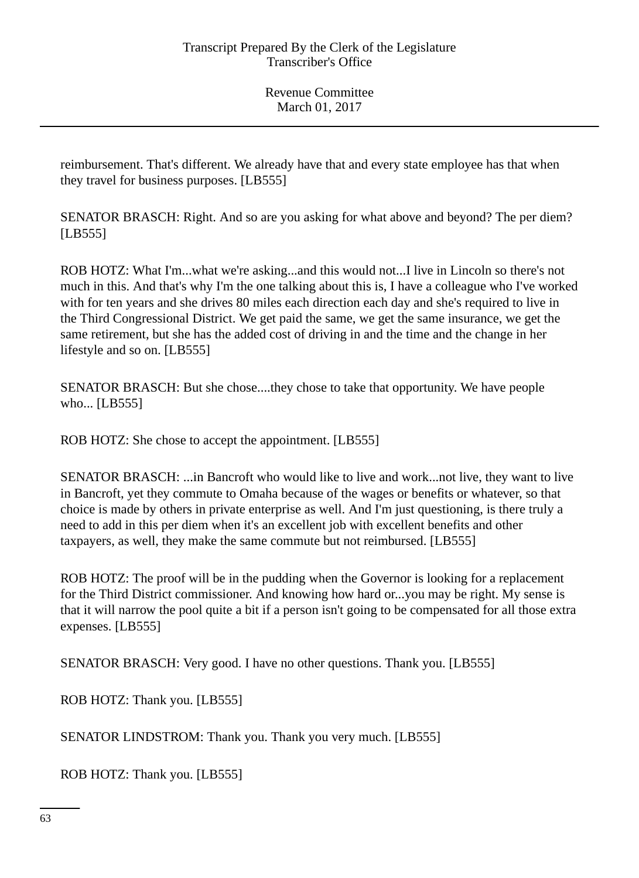reimbursement. That's different. We already have that and every state employee has that when they travel for business purposes. [LB555]

SENATOR BRASCH: Right. And so are you asking for what above and beyond? The per diem? [LB555]

ROB HOTZ: What I'm...what we're asking...and this would not...I live in Lincoln so there's not much in this. And that's why I'm the one talking about this is, I have a colleague who I've worked with for ten years and she drives 80 miles each direction each day and she's required to live in the Third Congressional District. We get paid the same, we get the same insurance, we get the same retirement, but she has the added cost of driving in and the time and the change in her lifestyle and so on. [LB555]

SENATOR BRASCH: But she chose....they chose to take that opportunity. We have people who... [LB555]

ROB HOTZ: She chose to accept the appointment. [LB555]

SENATOR BRASCH: ...in Bancroft who would like to live and work...not live, they want to live in Bancroft, yet they commute to Omaha because of the wages or benefits or whatever, so that choice is made by others in private enterprise as well. And I'm just questioning, is there truly a need to add in this per diem when it's an excellent job with excellent benefits and other taxpayers, as well, they make the same commute but not reimbursed. [LB555]

ROB HOTZ: The proof will be in the pudding when the Governor is looking for a replacement for the Third District commissioner. And knowing how hard or...you may be right. My sense is that it will narrow the pool quite a bit if a person isn't going to be compensated for all those extra expenses. [LB555]

SENATOR BRASCH: Very good. I have no other questions. Thank you. [LB555]

ROB HOTZ: Thank you. [LB555]

SENATOR LINDSTROM: Thank you. Thank you very much. [LB555]

ROB HOTZ: Thank you. [LB555]